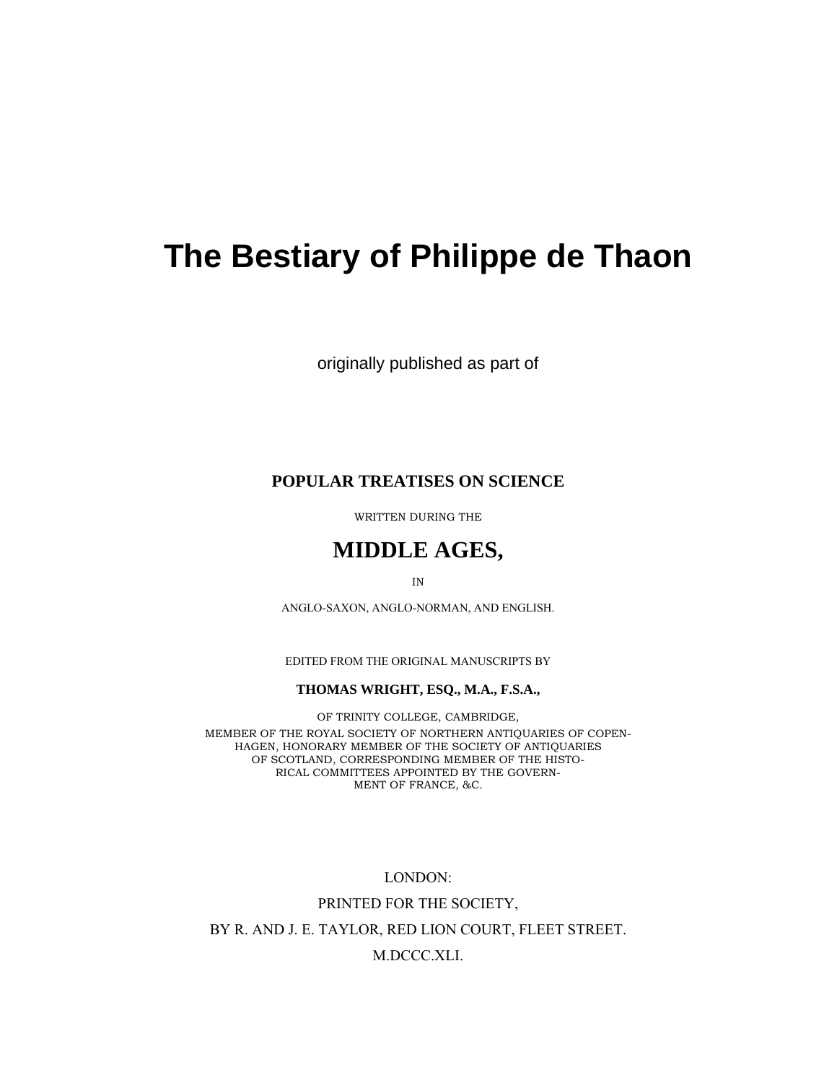# **The Bestiary of Philippe de Thaon**

originally published as part of

### **POPULAR TREATISES ON SCIENCE**

WRITTEN DURING THE

## **MIDDLE AGES,**

IN

ANGLO-SAXON, ANGLO-NORMAN, AND ENGLISH.

EDITED FROM THE ORIGINAL MANUSCRIPTS BY

#### **THOMAS WRIGHT, ESQ., M.A., F.S.A.,**

OF TRINITY COLLEGE, CAMBRIDGE, MEMBER OF THE ROYAL SOCIETY OF NORTHERN ANTIQUARIES OF COPEN-HAGEN, HONORARY MEMBER OF THE SOCIETY OF ANTIQUARIES OF SCOTLAND, CORRESPONDING MEMBER OF THE HISTO-RICAL COMMITTEES APPOINTED BY THE GOVERN-MENT OF FRANCE, &C.

LONDON:

PRINTED FOR THE SOCIETY, BY R. AND J. E. TAYLOR, RED LION COURT, FLEET STREET.

#### M.DCCC.XLI.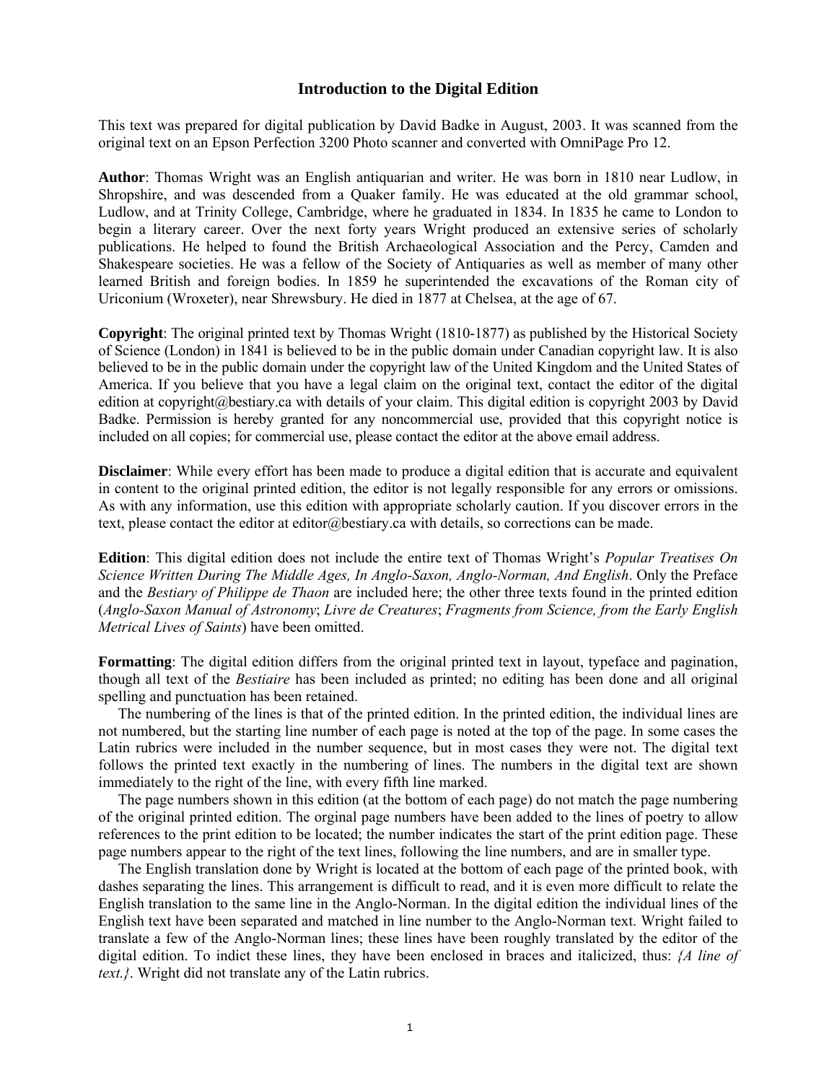#### **Introduction to the Digital Edition**

This text was prepared for digital publication by David Badke in August, 2003. It was scanned from the original text on an Epson Perfection 3200 Photo scanner and converted with OmniPage Pro 12.

**Author**: Thomas Wright was an English antiquarian and writer. He was born in 1810 near Ludlow, in Shropshire, and was descended from a Quaker family. He was educated at the old grammar school, Ludlow, and at Trinity College, Cambridge, where he graduated in 1834. In 1835 he came to London to begin a literary career. Over the next forty years Wright produced an extensive series of scholarly publications. He helped to found the British Archaeological Association and the Percy, Camden and Shakespeare societies. He was a fellow of the Society of Antiquaries as well as member of many other learned British and foreign bodies. In 1859 he superintended the excavations of the Roman city of Uriconium (Wroxeter), near Shrewsbury. He died in 1877 at Chelsea, at the age of 67.

**Copyright**: The original printed text by Thomas Wright (1810-1877) as published by the Historical Society of Science (London) in 1841 is believed to be in the public domain under Canadian copyright law. It is also believed to be in the public domain under the copyright law of the United Kingdom and the United States of America. If you believe that you have a legal claim on the original text, contact the editor of the digital edition at copyright@bestiary.ca with details of your claim. This digital edition is copyright 2003 by David Badke. Permission is hereby granted for any noncommercial use, provided that this copyright notice is included on all copies; for commercial use, please contact the editor at the above email address.

**Disclaimer**: While every effort has been made to produce a digital edition that is accurate and equivalent in content to the original printed edition, the editor is not legally responsible for any errors or omissions. As with any information, use this edition with appropriate scholarly caution. If you discover errors in the text, please contact the editor at editor@bestiary.ca with details, so corrections can be made.

**Edition**: This digital edition does not include the entire text of Thomas Wright's *Popular Treatises On Science Written During The Middle Ages, In Anglo-Saxon, Anglo-Norman, And English*. Only the Preface and the *Bestiary of Philippe de Thaon* are included here; the other three texts found in the printed edition (*Anglo-Saxon Manual of Astronomy*; *Livre de Creatures*; *Fragments from Science, from the Early English Metrical Lives of Saints*) have been omitted.

**Formatting**: The digital edition differs from the original printed text in layout, typeface and pagination, though all text of the *Bestiaire* has been included as printed; no editing has been done and all original spelling and punctuation has been retained.

The numbering of the lines is that of the printed edition. In the printed edition, the individual lines are not numbered, but the starting line number of each page is noted at the top of the page. In some cases the Latin rubrics were included in the number sequence, but in most cases they were not. The digital text follows the printed text exactly in the numbering of lines. The numbers in the digital text are shown immediately to the right of the line, with every fifth line marked.

The page numbers shown in this edition (at the bottom of each page) do not match the page numbering of the original printed edition. The orginal page numbers have been added to the lines of poetry to allow references to the print edition to be located; the number indicates the start of the print edition page. These page numbers appear to the right of the text lines, following the line numbers, and are in smaller type.

The English translation done by Wright is located at the bottom of each page of the printed book, with dashes separating the lines. This arrangement is difficult to read, and it is even more difficult to relate the English translation to the same line in the Anglo-Norman. In the digital edition the individual lines of the English text have been separated and matched in line number to the Anglo-Norman text. Wright failed to translate a few of the Anglo-Norman lines; these lines have been roughly translated by the editor of the digital edition. To indict these lines, they have been enclosed in braces and italicized, thus: *{A line of text.}*. Wright did not translate any of the Latin rubrics.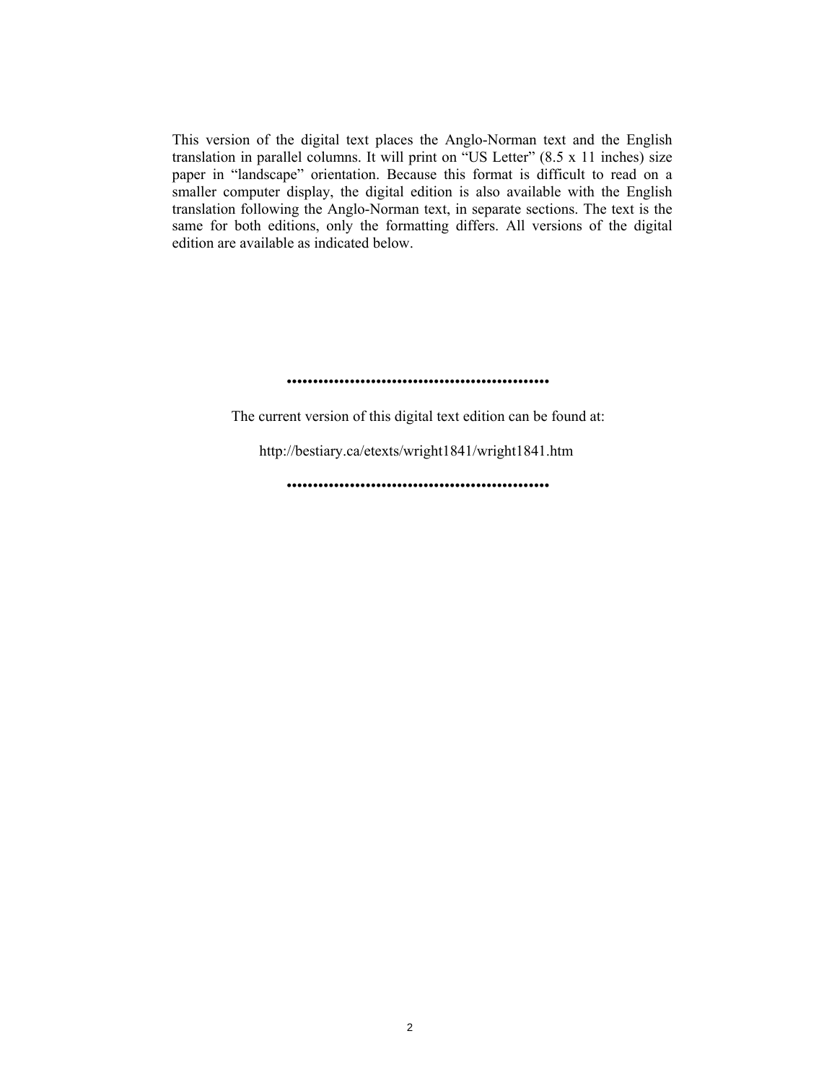This version of the digital text places the Anglo-Norman text and the English translation in parallel columns. It will print on "US Letter"  $(8.5 \times 11)$  inches) size paper in "landscape" orientation. Because this format is difficult to read on a smaller computer display, the digital edition is also available with the English translation following the Anglo-Norman text, in separate sections. The text is the same for both editions, only the formatting differs. All versions of the digital edition are available as indicated below.

ïïïïïïïïïïïïïïïïïïïïïïïïïïïïïïïïïïïïïïïïïïïïïïïïïï

The current version of this digital text edition can be found at:

<http://bestiary.ca/etexts/wright1841/wright1841.htm>

ïïïïïïïïïïïïïïïïïïïïïïïïïïïïïïïïïïïïïïïïïïïïïïïïïï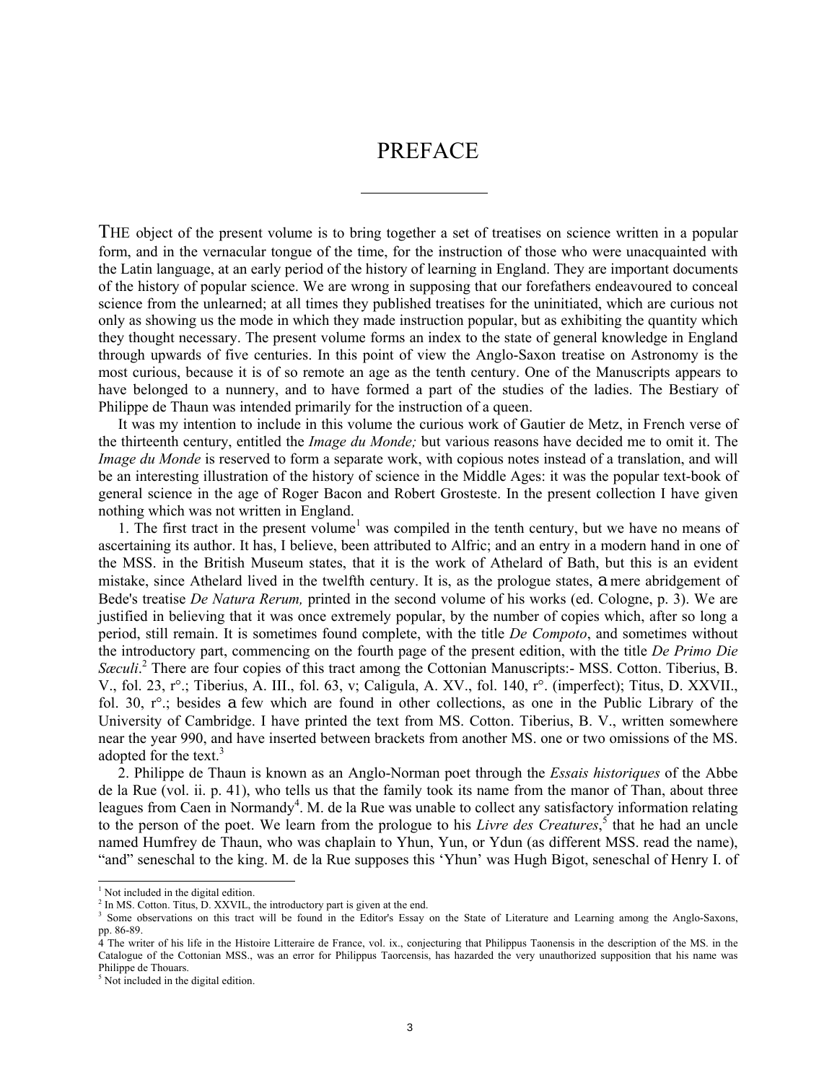### PREFACE

THE object of the present volume is to bring together a set of treatises on science written in a popular form, and in the vernacular tongue of the time, for the instruction of those who were unacquainted with the Latin language, at an early period of the history of learning in England. They are important documents of the history of popular science. We are wrong in supposing that our forefathers endeavoured to conceal science from the unlearned; at all times they published treatises for the uninitiated, which are curious not only as showing us the mode in which they made instruction popular, but as exhibiting the quantity which they thought necessary. The present volume forms an index to the state of general knowledge in England through upwards of five centuries. In this point of view the Anglo-Saxon treatise on Astronomy is the most curious, because it is of so remote an age as the tenth century. One of the Manuscripts appears to have belonged to a nunnery, and to have formed a part of the studies of the ladies. The Bestiary of Philippe de Thaun was intended primarily for the instruction of a queen.

It was my intention to include in this volume the curious work of Gautier de Metz, in French verse of the thirteenth century, entitled the *Image du Monde;* but various reasons have decided me to omit it. The *Image du Monde* is reserved to form a separate work, with copious notes instead of a translation, and will be an interesting illustration of the history of science in the Middle Ages: it was the popular text-book of general science in the age of Roger Bacon and Robert Grosteste. In the present collection I have given nothing which was not written in England.

1. The first tract in the present volume<sup>1</sup> was compiled in the tenth century, but we have no means of ascertaining its author. It has, I believe, been attributed to Alfric; and an entry in a modern hand in one of the MSS. in the British Museum states, that it is the work of Athelard of Bath, but this is an evident mistake, since Athelard lived in the twelfth century. It is, as the prologue states, a mere abridgement of Bede's treatise *De Natura Rerum,* printed in the second volume of his works (ed. Cologne, p. 3). We are justified in believing that it was once extremely popular, by the number of copies which, after so long a period, still remain. It is sometimes found complete, with the title *De Compoto*, and sometimes without the introductory part, commencing on the fourth page of the present edition, with the title *De Primo Die*  Sæculi<sup>2</sup> There are four copies of this tract among the Cottonian Manuscripts:- MSS. Cotton. Tiberius, B. V., fol. 23, r°.; Tiberius, A. III., fol. 63, v; Caligula, A. XV., fol. 140, r°. (imperfect); Titus, D. XXVII., fol. 30, r°.; besides a few which are found in other collections, as one in the Public Library of the University of Cambridge. I have printed the text from MS. Cotton. Tiberius, B. V., written somewhere near the year 990, and have inserted between brackets from another MS. one or two omissions of the MS. adopted for the text. $3$ 

2. Philippe de Thaun is known as an Anglo-Norman poet through the *Essais historiques* of the Abbe de la Rue (vol. ii. p. 41), who tells us that the family took its name from the manor of Than, about three leagues from Caen in Normandy<sup>4</sup>. M. de la Rue was unable to collect any satisfactory information relating to the person of the poet. We learn from the prologue to his *Livre des Creatures*,<sup>5</sup> that he had an uncle named Humfrey de Thaun, who was chaplain to Yhun, Yun, or Ydun (as different MSS. read the name), ìandî seneschal to the king. M. de la Rue supposes this ëYhuní was Hugh Bigot, seneschal of Henry I. of

 $\overline{a}$ 

<sup>&</sup>lt;sup>1</sup> Not included in the digital edition.

 $<sup>2</sup>$  In MS. Cotton. Titus, D. XXVIL, the introductory part is given at the end.</sup>

<sup>&</sup>lt;sup>3</sup> Some observations on this tract will be found in the Editor's Essay on the State of Literature and Learning among the Anglo-Saxons, pp. 86-89.

<sup>4</sup> The writer of his life in the Histoire Litteraire de France, vol. ix., conjecturing that Philippus Taonensis in the description of the MS. in the Catalogue of the Cottonian MSS., was an error for Philippus Taorcensis, has hazarded the very unauthorized supposition that his name was Philippe de Thouars.

<sup>&</sup>lt;sup>5</sup> Not included in the digital edition.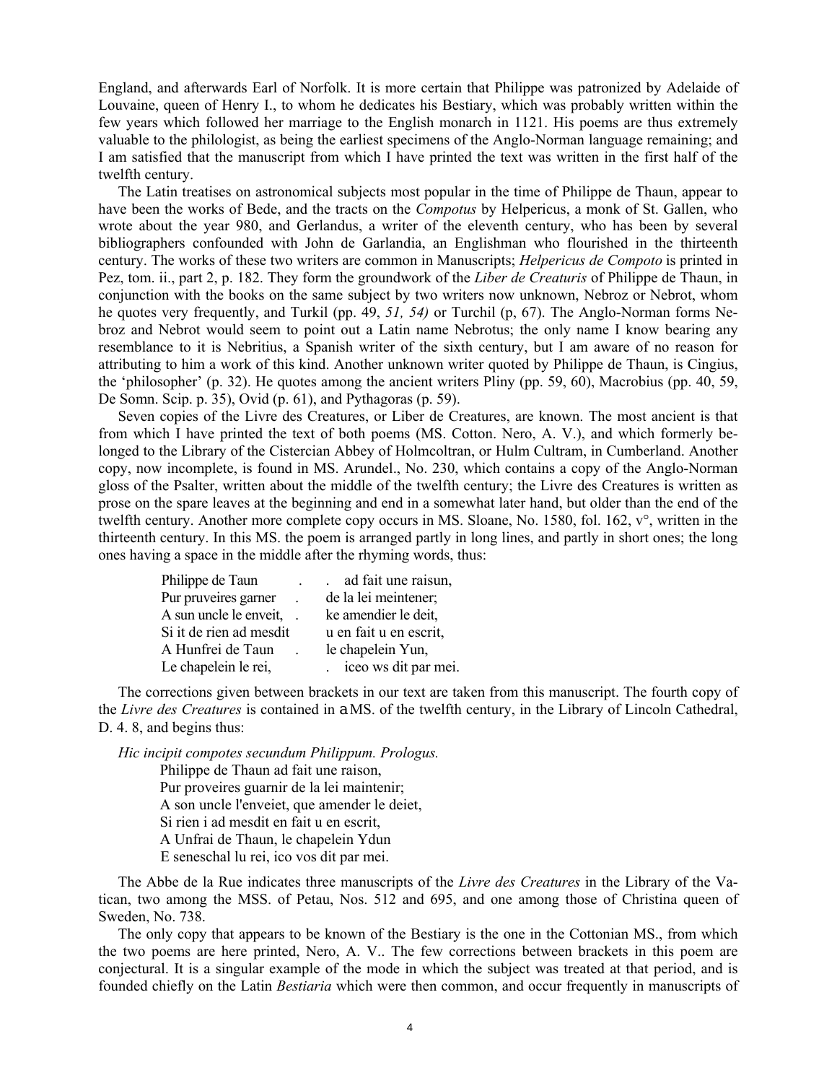England, and afterwards Earl of Norfolk. It is more certain that Philippe was patronized by Adelaide of Louvaine, queen of Henry I., to whom he dedicates his Bestiary, which was probably written within the few years which followed her marriage to the English monarch in 1121. His poems are thus extremely valuable to the philologist, as being the earliest specimens of the Anglo-Norman language remaining; and I am satisfied that the manuscript from which I have printed the text was written in the first half of the twelfth century.

The Latin treatises on astronomical subjects most popular in the time of Philippe de Thaun, appear to have been the works of Bede, and the tracts on the *Compotus* by Helpericus, a monk of St. Gallen, who wrote about the year 980, and Gerlandus, a writer of the eleventh century, who has been by several bibliographers confounded with John de Garlandia, an Englishman who flourished in the thirteenth century. The works of these two writers are common in Manuscripts; *Helpericus de Compoto* is printed in Pez, tom. ii., part 2, p. 182. They form the groundwork of the *Liber de Creaturis* of Philippe de Thaun, in conjunction with the books on the same subject by two writers now unknown, Nebroz or Nebrot, whom he quotes very frequently, and Turkil (pp. 49, *51, 54)* or Turchil (p, 67). The Anglo-Norman forms Nebroz and Nebrot would seem to point out a Latin name Nebrotus; the only name I know bearing any resemblance to it is Nebritius, a Spanish writer of the sixth century, but I am aware of no reason for attributing to him a work of this kind. Another unknown writer quoted by Philippe de Thaun, is Cingius, the 'philosopher' (p. 32). He quotes among the ancient writers Pliny (pp. 59, 60), Macrobius (pp. 40, 59, De Somn. Scip. p. 35), Ovid (p. 61), and Pythagoras (p. 59).

Seven copies of the Livre des Creatures, or Liber de Creatures, are known. The most ancient is that from which I have printed the text of both poems (MS. Cotton. Nero, A. V.), and which formerly belonged to the Library of the Cistercian Abbey of Holmcoltran, or Hulm Cultram, in Cumberland. Another copy, now incomplete, is found in MS. Arundel., No. 230, which contains a copy of the Anglo-Norman gloss of the Psalter, written about the middle of the twelfth century; the Livre des Creatures is written as prose on the spare leaves at the beginning and end in a somewhat later hand, but older than the end of the twelfth century. Another more complete copy occurs in MS. Sloane, No. 1580, fol. 162, v°, written in the thirteenth century. In this MS. the poem is arranged partly in long lines, and partly in short ones; the long ones having a space in the middle after the rhyming words, thus:

| Philippe de Taun        | ad fait une raisun,    |
|-------------------------|------------------------|
| Pur pruveires garner    | de la lei meintener;   |
| A sun uncle le enveit,  | ke amendier le deit,   |
| Si it de rien ad mesdit | u en fait u en escrit, |
| A Hunfrei de Taun       | le chapelein Yun,      |
| Le chapelein le rei,    | iceo ws dit par mei.   |

The corrections given between brackets in our text are taken from this manuscript. The fourth copy of the *Livre des Creatures* is contained in a MS. of the twelfth century, in the Library of Lincoln Cathedral, D. 4. 8, and begins thus:

*Hic incipit compotes secundum Philippum. Prologus.* 

Philippe de Thaun ad fait une raison, Pur proveires guarnir de la lei maintenir; A son uncle l'enveiet, que amender le deiet, Si rien i ad mesdit en fait u en escrit, A Unfrai de Thaun, le chapelein Ydun E seneschal lu rei, ico vos dit par mei.

The Abbe de la Rue indicates three manuscripts of the *Livre des Creatures* in the Library of the Vatican, two among the MSS. of Petau, Nos. 512 and 695, and one among those of Christina queen of Sweden, No. 738.

The only copy that appears to be known of the Bestiary is the one in the Cottonian MS., from which the two poems are here printed, Nero, A. V.. The few corrections between brackets in this poem are conjectural. It is a singular example of the mode in which the subject was treated at that period, and is founded chiefly on the Latin *Bestiaria* which were then common, and occur frequently in manuscripts of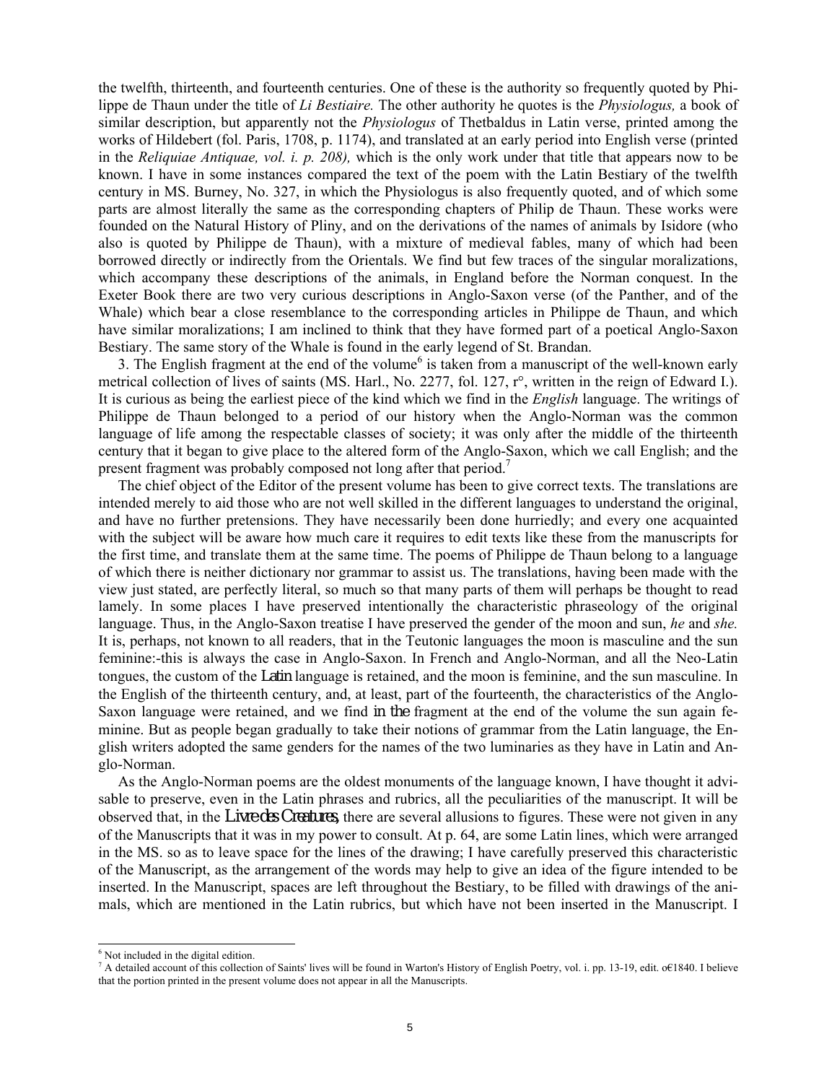the twelfth, thirteenth, and fourteenth centuries. One of these is the authority so frequently quoted by Philippe de Thaun under the title of *Li Bestiaire.* The other authority he quotes is the *Physiologus,* a book of similar description, but apparently not the *Physiologus* of Thetbaldus in Latin verse, printed among the works of Hildebert (fol. Paris, 1708, p. 1174), and translated at an early period into English verse (printed in the *Reliquiae Antiquae, vol. i. p. 208),* which is the only work under that title that appears now to be known. I have in some instances compared the text of the poem with the Latin Bestiary of the twelfth century in MS. Burney, No. 327, in which the Physiologus is also frequently quoted, and of which some parts are almost literally the same as the corresponding chapters of Philip de Thaun. These works were founded on the Natural History of Pliny, and on the derivations of the names of animals by Isidore (who also is quoted by Philippe de Thaun), with a mixture of medieval fables, many of which had been borrowed directly or indirectly from the Orientals. We find but few traces of the singular moralizations, which accompany these descriptions of the animals, in England before the Norman conquest. In the Exeter Book there are two very curious descriptions in Anglo-Saxon verse (of the Panther, and of the Whale) which bear a close resemblance to the corresponding articles in Philippe de Thaun, and which have similar moralizations; I am inclined to think that they have formed part of a poetical Anglo-Saxon Bestiary. The same story of the Whale is found in the early legend of St. Brandan.

3. The English fragment at the end of the volume<sup>6</sup> is taken from a manuscript of the well-known early metrical collection of lives of saints (MS. Harl., No. 2277, fol. 127, r°, written in the reign of Edward I.). It is curious as being the earliest piece of the kind which we find in the *English* language. The writings of Philippe de Thaun belonged to a period of our history when the Anglo-Norman was the common language of life among the respectable classes of society; it was only after the middle of the thirteenth century that it began to give place to the altered form of the Anglo-Saxon, which we call English; and the present fragment was probably composed not long after that period.<sup>7</sup>

The chief object of the Editor of the present volume has been to give correct texts. The translations are intended merely to aid those who are not well skilled in the different languages to understand the original, and have no further pretensions. They have necessarily been done hurriedly; and every one acquainted with the subject will be aware how much care it requires to edit texts like these from the manuscripts for the first time, and translate them at the same time. The poems of Philippe de Thaun belong to a language of which there is neither dictionary nor grammar to assist us. The translations, having been made with the view just stated, are perfectly literal, so much so that many parts of them will perhaps be thought to read lamely. In some places I have preserved intentionally the characteristic phraseology of the original language. Thus, in the Anglo-Saxon treatise I have preserved the gender of the moon and sun, *he* and *she.*  It is, perhaps, not known to all readers, that in the Teutonic languages the moon is masculine and the sun feminine:-this is always the case in Anglo-Saxon. In French and Anglo-Norman, and all the Neo-Latin tongues, the custom of the Latin language is retained, and the moon is feminine, and the sun masculine. In the English of the thirteenth century, and, at least, part of the fourteenth, the characteristics of the Anglo-Saxon language were retained, and we find in the fragment at the end of the volume the sun again feminine. But as people began gradually to take their notions of grammar from the Latin language, the English writers adopted the same genders for the names of the two luminaries as they have in Latin and Anglo-Norman.

As the Anglo-Norman poems are the oldest monuments of the language known, I have thought it advisable to preserve, even in the Latin phrases and rubrics, all the peculiarities of the manuscript. It will be observed that, in the *Livre des Creatures,* there are several allusions to figures. These were not given in any of the Manuscripts that it was in my power to consult. At p. 64, are some Latin lines, which were arranged in the MS. so as to leave space for the lines of the drawing; I have carefully preserved this characteristic of the Manuscript, as the arrangement of the words may help to give an idea of the figure intended to be inserted. In the Manuscript, spaces are left throughout the Bestiary, to be filled with drawings of the animals, which are mentioned in the Latin rubrics, but which have not been inserted in the Manuscript. I

 $\overline{a}$ 

<sup>6</sup> Not included in the digital edition.

 $^7$  A detailed account of this collection of Saints' lives will be found in Warton's History of English Poetry, vol. i. pp. 13-19, edit. o€1840. I believe that the portion printed in the present volume does not appear in all the Manuscripts.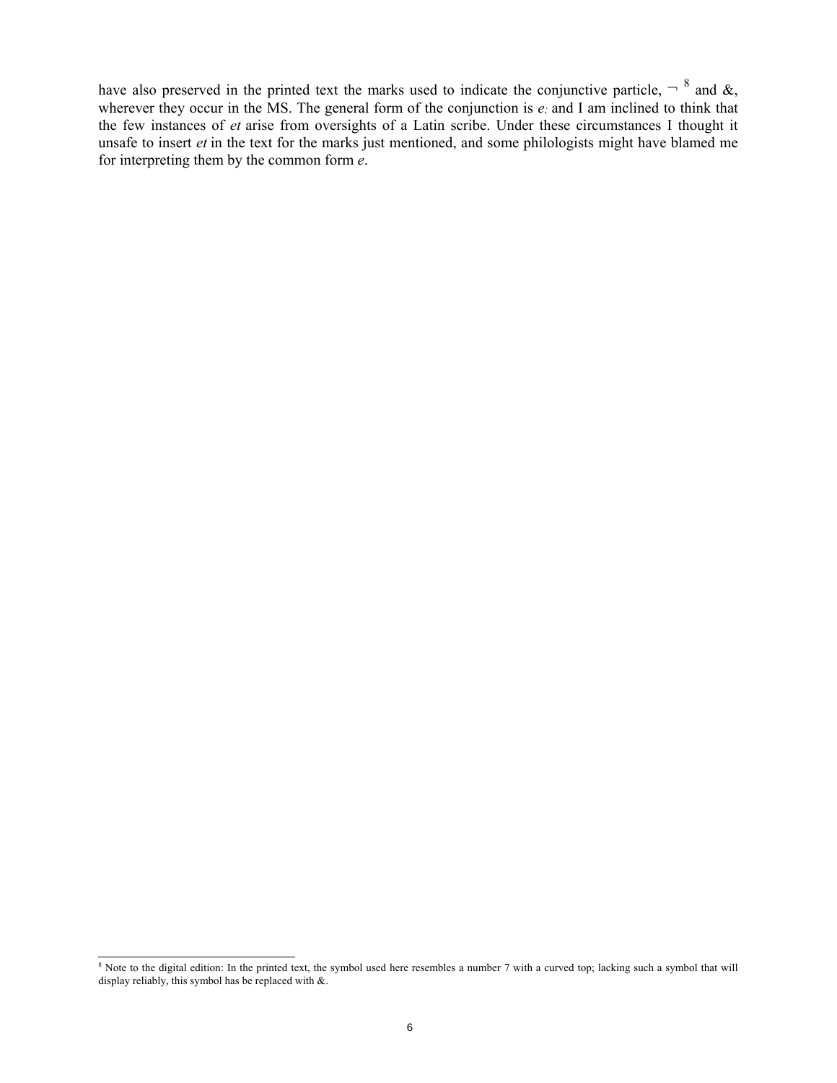have also preserved in the printed text the marks used to indicate the conjunctive particle,  $\overline{ }^{8}$  and  $\&$ , wherever they occur in the MS. The general form of the conjunction is *e*; and I am inclined to think that the few instances of *et* arise from oversights of a Latin scribe. Under these circumstances I thought it unsafe to insert *et* in the text for the marks just mentioned, and some philologists might have blamed me for interpreting them by the common form *e*.

<sup>&</sup>lt;sup>8</sup> Note to the digital edition: In the printed text, the symbol used here resembles a number 7 with a curved top; lacking such a symbol that will display reliably, this symbol has be replaced with  $\&$ .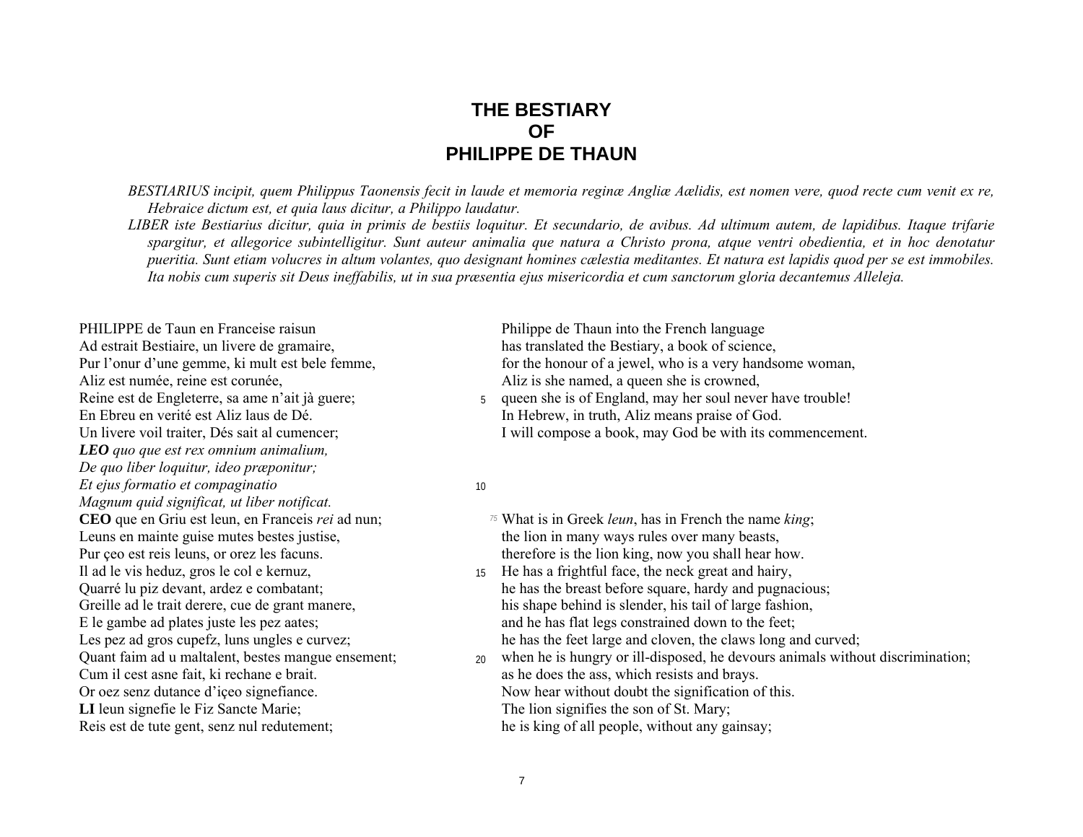### **THE BESTIARY OF PHILIPPE DE THAUN**

*BESTIARIUS incipit, quem Philippus Taonensis fecit in laude et memoria reginæ Angliæ Aælidis, est nomen vere, quod recte cum venit ex re, Hebraice dictum est, et quia laus dicitur, a Philippo laudatur.* 

*LIBER iste Bestiarius dicitur, quia in primis de bestiis loquitur. Et secundario, de avibus. Ad ultimum autem, de lapidibus. Itaque trifarie spargitur, et allegorice subintelligitur. Sunt auteur animalia que natura a Christo prona, atque ventri obedientia, et in hoc denotatur pueritia. Sunt etiam volucres in altum volantes, quo designant homines cælestia meditantes. Et natura est lapidis quod per se est immobiles.* Ita nobis cum superis sit Deus ineffabilis, ut in sua præsentia ejus misericordia et cum sanctorum gloria decantemus Alleleja.

PHILIPPE de Taun en Franceise raisun Philippe de Thaun into the French language Ad estrait Bestiaire, un livere de gramaire, has translated the Bestiary, a book of science, Aliz est numée, reine est corunée, a que est corunée, a que en she is crowned, a que en she is crowned, En Ebreu en verité est Aliz laus de Dé.<br>
In Hebrew, in truth, Aliz means praise of God. *LEO quo que est rex omnium animalium, De quo liber loquitur, ideo præponitur; Et ejus formatio et compaginatio* <sup>10</sup> *Magnum quid significat, ut liber notificat.*  Leuns en mainte guise mutes bestes justise, the lion in many ways rules over many beasts, Il ad le vis heduz, gros le col e kernuz, <sup>15</sup> He has a frightful face, the neck great and hairy, Cum il cest asne fait, ki rechane e brait.  $\qquad \qquad \text{as he does the ass, which resist and brays.}$ **LI** leun signefie le Fiz Sancte Marie; The lion signifies the son of St. Mary; Reis est de tute gent, senz nul redutement; he is king of all people, without any gainsay;

Pur l'onur d'une gemme, ki mult est bele femme, for the honour of a jewel, who is a very handsome woman,

Reine est de Engleterre, sa ame n'ait jà guere; 5 queen she is of England, may her soul never have trouble! Un livere voil traiter, Dés sait al cumencer; I will compose a book, may God be with its commencement.

- **CEO** que en Griu est leun, en Franceis *rei* ad nun; *75* What is in Greek *leun*, has in French the name *king*; Pur ceo est reis leuns, or orez les facuns. therefore is the lion king, now you shall hear how.
- Quarré lu piz devant, ardez e combatant; he has the breast before square, hardy and pugnacious; Greille ad le trait derere, cue de grant manere, his shape behind is slender, his tail of large fashion, E le gambe ad plates juste les pez aates; and he has flat legs constrained down to the feet;<br>
Les pez ad gros cupefz, luns ungles e curvez; he has the feet large and cloven, the claws long and he has the feet large and cloven, the claws long and curved;
- Quant faim ad u maltalent, bestes mangue ensement; 20 when he is hungry or ill-disposed, he devours animals without discrimination; Or oez senz dutance d'içeo signefiance. Now hear without doubt the signification of this.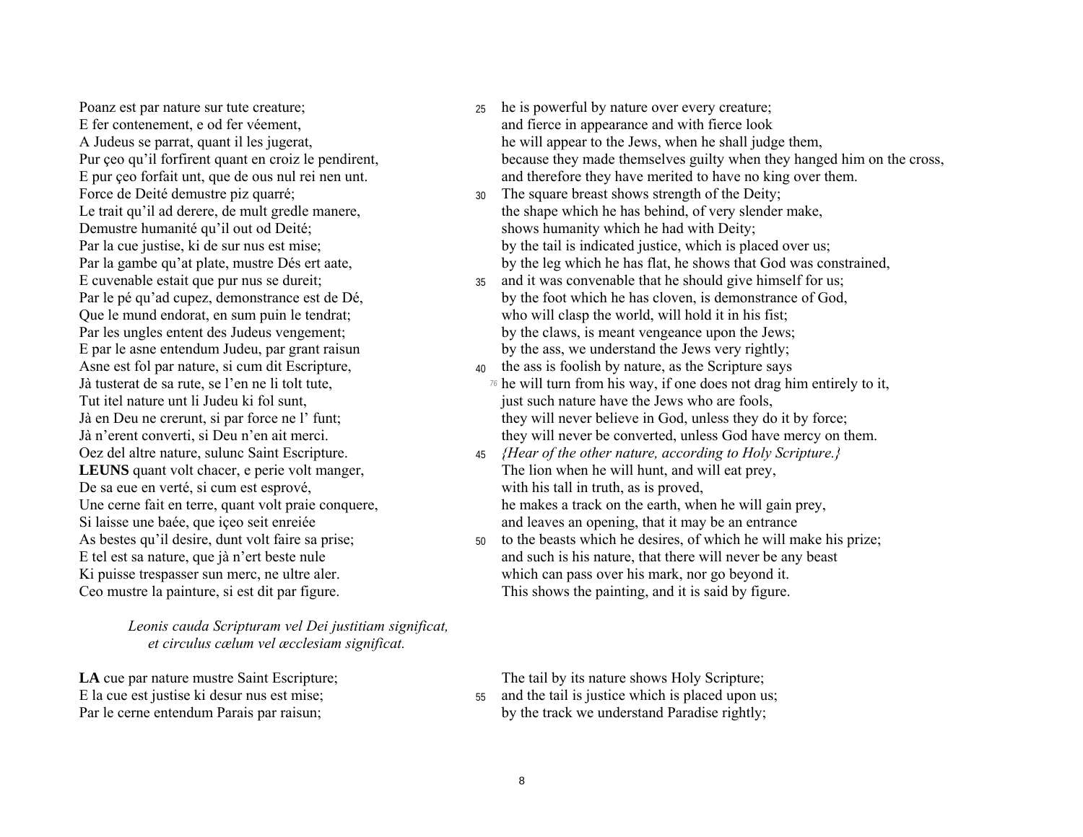Poanz est par nature sur tute creature; E fer contenement, e od fer véement, A Judeus se parrat, quant il les jugerat, Pur çeo qu'il forfirent quant en croiz le pendirent, E pur çeo forfait unt, que de ous nul rei nen unt. Force de Deité demustre piz quarré; Le trait qu'il ad derere, de mult gredle manere, Demustre humanité qu'il out od Deité; Par la cue justise, ki de sur nus est mise; Par la gambe qu'at plate, mustre Dés ert aate, E cuvenable estait que pur nus se dureit; Par le pé qu'ad cupez, demonstrance est de Dé, Que le mund endorat, en sum puin le tendrat; Par les ungles entent des Judeus vengement: E par le asne entendum Judeu, par grant raisun Asne est fol par nature, si cum dit Escripture, Jà tusterat de sa rute, se l'en ne li tolt tute, Tut itel nature unt li Judeu ki fol sunt. Jà en Deu ne crerunt, si par force ne l' funt; Jà n'erent converti, si Deu n'en ait merci. Oez del altre nature, sulunc Saint Escripture. **LEUNS** quant volt chacer, e perie volt manger, De sa eue en verté, si cum est esprové, Une cerne fait en terre, quant volt praie conquere, Si laisse une baée, que iceo seit enreiée As bestes qu'il desire, dunt volt faire sa prise; E tel est sa nature, que jà n'ert beste nule Ki puisse trespasser sun merc, ne ultre aler. Ceo mustre la painture, si est dit par figure.

> Leonis cauda Scripturam vel Dei justitiam significat, et circulus cælum vel æcclesiam significat.

**LA** cue par nature mustre Saint Escripture; E la cue est justise ki desur nus est mise; Par le cerne entendum Parais par raisun;

- the is powerful by nature over every creature. 25 and fierce in appearance and with fierce look he will appear to the Jews, when he shall judge them, because they made themselves guilty when they hanged him on the cross, and therefore they have merited to have no king over them.
- The square breast shows strength of the Deity;  $30<sup>1</sup>$ the shape which he has behind, of very slender make, shows humanity which he had with Deity; by the tail is indicated justice, which is placed over us; by the leg which he has flat, he shows that God was constrained,
- and it was convenable that he should give himself for us;  $35$ by the foot which he has cloven, is demonstrance of God. who will clasp the world, will hold it in his fist; by the claws, is meant vengeance upon the Jews; by the ass, we understand the Jews very rightly;
- 40 the ass is foolish by nature, as the Scripture says  $\frac{1}{4}$  he will turn from his way, if one does not drag him entirely to it, just such nature have the Jews who are fools, they will never believe in God, unless they do it by force; they will never be converted, unless God have mercy on them.
- 45 *{Hear of the other nature, according to Holy Scripture.}* The lion when he will hunt, and will eat prey, with his tall in truth, as is proved, he makes a track on the earth, when he will gain prev. and leaves an opening, that it may be an entrance
- to the beasts which he desires, of which he will make his prize;  $50<sup>1</sup>$ and such is his nature, that there will never be any beast which can pass over his mark, nor go beyond it. This shows the painting, and it is said by figure.

The tail by its nature shows Holy Scripture;

55 and the tail is justice which is placed upon us; by the track we understand Paradise rightly;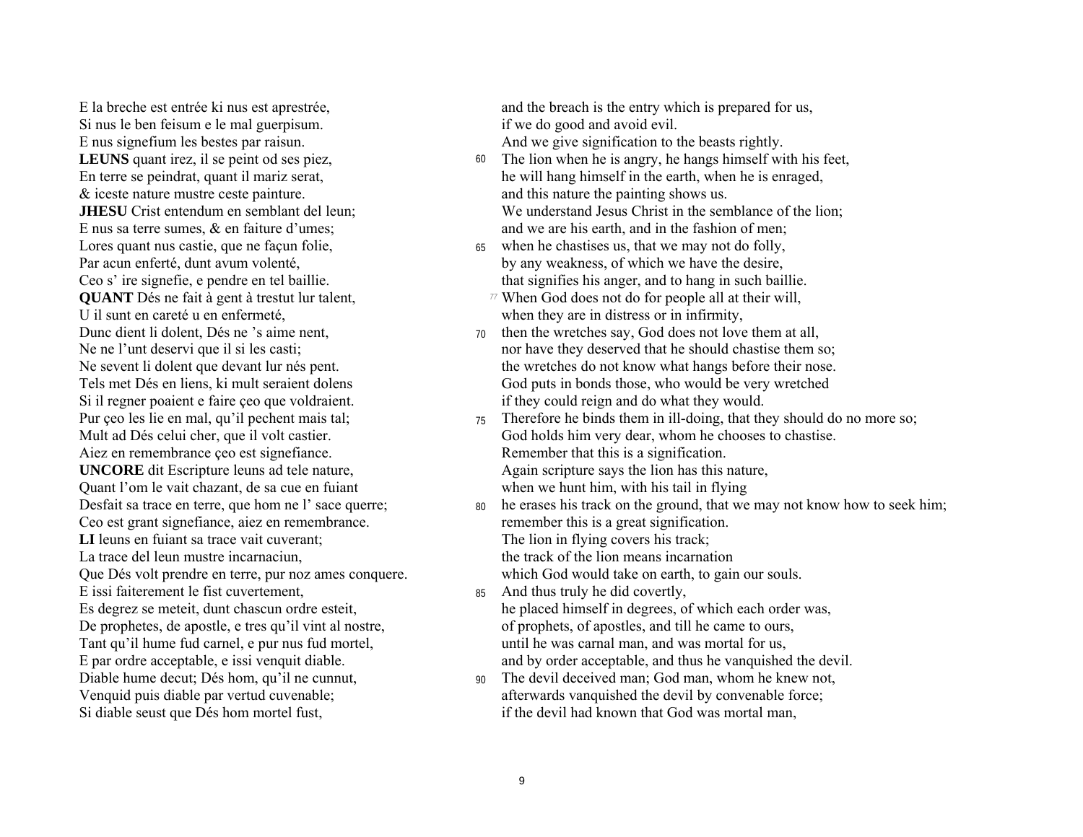E la breche est entrée ki nus est aprestrée. Si nus le ben feisum e le mal guerpisum. E nus signefium les bestes par raisun. **LEUNS** quant irez, il se peint od ses piez, En terre se peindrat, quant il mariz serat,  $&$  iceste nature mustre ceste painture. **JHESU** Crist entendum en semblant del leun; E nus sa terre sumes,  $\&$  en faiture d'umes; Lores quant nus castie, que ne facun folie, Par acun enferté, dunt avum volenté, Ceo s' ire signefie, e pendre en tel baillie. **QUANT** Dés ne fait à gent à trestut lur talent, U il sunt en careté u en enfermeté. Dunc dient li dolent. Dés ne 's aime nent. Ne ne l'unt deservi que il si les casti; Ne sevent li dolent que devant lur nés pent. Tels met Dés en liens, ki mult seraient dolens Si il regner poaient e faire ceo que voldraient. Pur çeo les lie en mal, qu'il pechent mais tal: Mult ad Dés celui cher, que il volt castier. Aiez en remembrance çeo est signefiance. **UNCORE** dit Escripture leuns ad tele nature, Quant l'om le vait chazant, de sa cue en fuiant Desfait sa trace en terre, que hom ne l' sace querre; Ceo est grant signefiance, aiez en remembrance. **LI** leuns en fuiant sa trace vait cuverant: La trace del leun mustre incarnaciun. Que Dés volt prendre en terre, pur noz ames conquere. E issi faiterement le fist cuvertement. Es degrez se meteit, dunt chascun ordre esteit, De prophetes, de apostle, e tres qu'il vint al nostre, Tant qu'il hume fud carnel, e pur nus fud mortel, E par ordre acceptable, e issi venquit diable. Diable hume decut; Dés hom, qu'il ne cunnut, Venquid puis diable par vertud cuvenable; Si diable seust que Dés hom mortel fust,

and the breach is the entry which is prepared for us. if we do good and avoid evil. And we give signification to the beasts rightly.

- 60 The lion when he is angry, he hangs himself with his feet, he will hang himself in the earth, when he is enraged, and this nature the painting shows us. We understand Jesus Christ in the semblance of the lion; and we are his earth, and in the fashion of men;
	-
- when he chastises us, that we may not do folly, 65 by any weakness, of which we have the desire, that signifies his anger, and to hang in such baillie.
	- 77 When God does not do for people all at their will, when they are in distress or in infirmity,
- then the wretches say, God does not love them at all,  $70<sup>1</sup>$ nor have they deserved that he should chastise them so: the wretches do not know what hangs before their nose. God puts in bonds those, who would be very wretched if they could reign and do what they would.
- $75$  Therefore he binds them in ill-doing, that they should do no more so; God holds him very dear, whom he chooses to chastise. Remember that this is a signification. Again scripture says the lion has this nature, when we hunt him, with his tail in flying
- he erases his track on the ground, that we may not know how to seek him; 80 remember this is a great signification. The lion in flying covers his track;
	- the track of the lion means incarnation
	- which God would take on earth, to gain our souls.
- And thus truly he did covertly, 85 he placed himself in degrees, of which each order was. of prophets, of apostles, and till he came to ours, until he was carnal man, and was mortal for us, and by order acceptable, and thus he vanquished the devil.
- The devil deceived man; God man, whom he knew not,  $90<sup>1</sup>$ afterwards vanquished the devil by convenable force; if the devil had known that God was mortal man.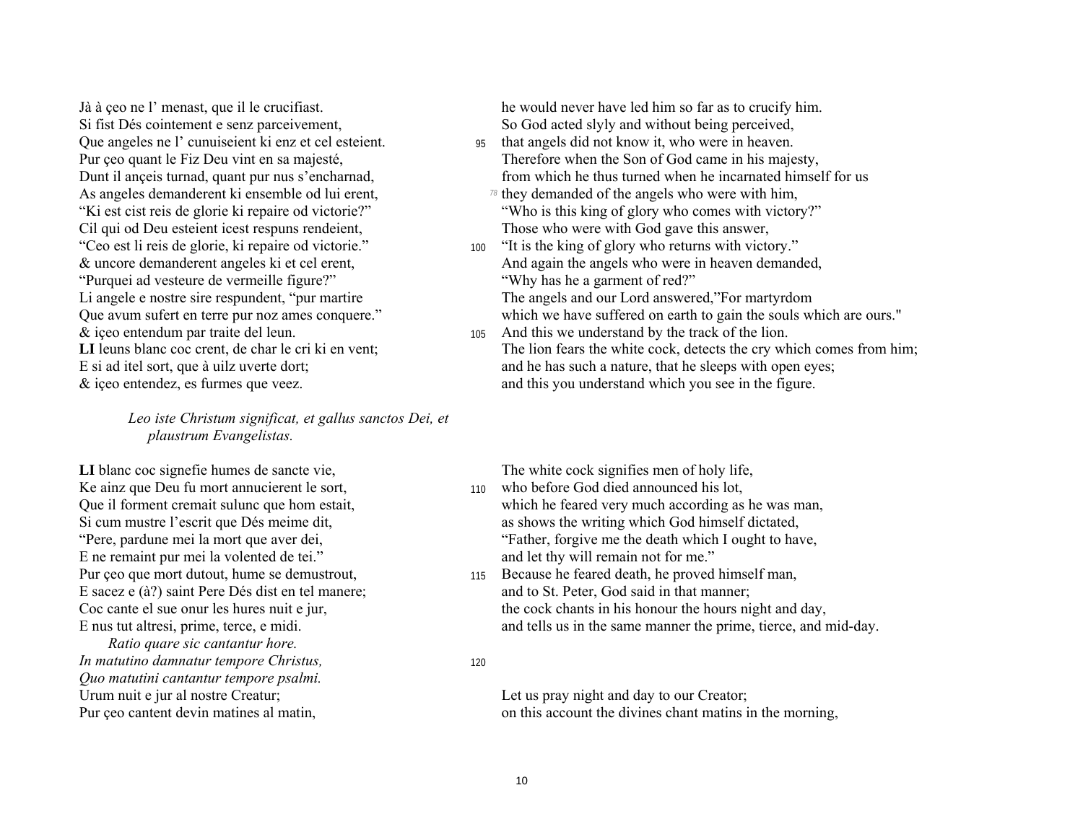Jà à ceo ne l' menast, que il le crucifiast. Si fist Dés cointement e senz parceivement, Oue angeles ne l' cunuiseient ki enz et cel esteient. Pur çeo quant le Fiz Deu vint en sa majesté, Dunt il ance is turnad, quant pur nus s'encharnad, As angeles demanderent ki ensemble od lui erent, "Ki est cist reis de glorie ki repaire od victorie?" Cil qui od Deu esteient icest respuns rendeient, "Ceo est li reis de glorie, ki repaire od victorie." & uncore demanderent angeles ki et cel erent. "Purquei ad vesteure de vermeille figure?" Li angele e nostre sire respundent, "pur martire" Que avum sufert en terre pur noz ames conquere." & iceo entendum par traite del leun. LI leuns blanc coc crent, de char le cri ki en vent; E si ad itel sort, que à uilz uverte dort;  $\&$  iceo entendez, es furmes que veez.

> Leo iste Christum significat, et gallus sanctos Dei, et plaustrum Evangelistas.

LI blanc coc signefie humes de sancte vie, Ke ainz que Deu fu mort annucierent le sort, Que il forment cremait sulunc que hom estait, Si cum mustre l'escrit que Dés meime dit, "Pere, pardune mei la mort que aver dei, E ne remaint pur mei la volented de tei." Pur çeo que mort dutout, hume se demustrout, E sacez e (à?) saint Pere Dés dist en tel manere; Coc cante el sue onur les hures nuit e jur. E nus tut altresi, prime, terce, e midi.

Ratio quare sic cantantur hore. In matutino damnatur tempore Christus, Quo matutini cantantur tempore psalmi. Urum nuit e jur al nostre Creatur; Pur ceo cantent devin matines al matin,

he would never have led him so far as to crucify him. So God acted slyly and without being perceived.

- 95 that angels did not know it, who were in heaven. Therefore when the Son of God came in his majesty, from which he thus turned when he incarnated himself for us
	- $\frac{78}{9}$  they demanded of the angels who were with him, "Who is this king of glory who comes with victory?" Those who were with God gave this answer,
- 100 "It is the king of glory who returns with victory." And again the angels who were in heaven demanded. "Why has he a garment of red?" The angels and our Lord answered,"For martyrdom

which we have suffered on earth to gain the souls which are ours."

105 And this we understand by the track of the lion. The lion fears the white cock, detects the cry which comes from him; and he has such a nature, that he sleeps with open eyes; and this you understand which you see in the figure.

The white cock signifies men of holy life,

- 110 who before God died announced his lot. which he feared very much according as he was man, as shows the writing which God himself dictated. "Father, forgive me the death which I ought to have, and let thy will remain not for me."
- Because he feared death, he proved himself man, 115 and to St. Peter, God said in that manner; the cock chants in his honour the hours night and day, and tells us in the same manner the prime, tierce, and mid-day.

#### 120

Let us pray night and day to our Creator; on this account the divines chant mating in the morning.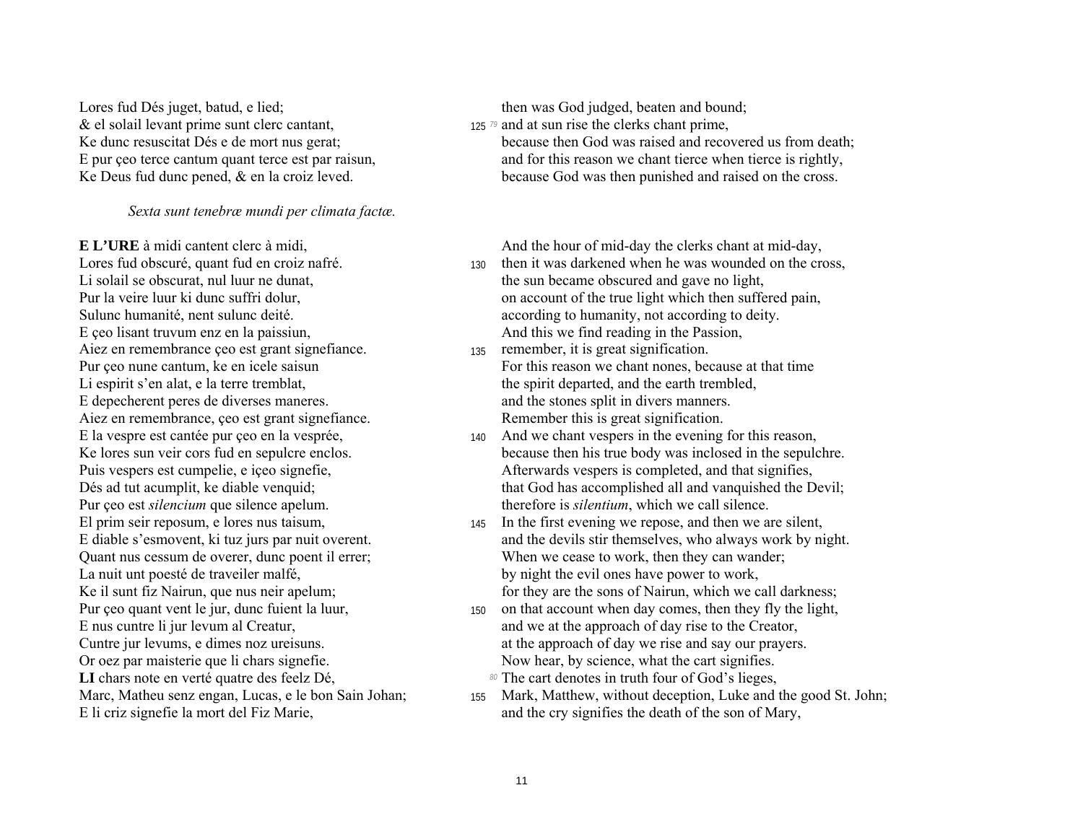Lores fud Dés juget, batud, e lied; the contract then was God judged, beaten and bound; & el solail levant prime sunt clerc cantant, 125<sup>79</sup> and at sun rise the clerks chant prime,

#### *Sexta sunt tenebræ mundi per climata factæ.*

E ceo lisant truvum enz en la paissiun, and this we find reading in the Passion, Aiez en remembrance  $\cos$  est grant signefiance.  $\frac{135}{135}$  remember, it is great signification. Li espirit s'en alat, e la terre tremblat, the spirit departed, and the earth trembled, E depecherent peres de diverses maneres. and the stones split in divers manners. Aiez en remembrance, ceo est grant signefiance. Remember this is great signification. Pur ceo est *silencium* que silence apelum. therefore is *silentium*, which we call silence. La nuit unt poesté de traveiler malfé,<br>
Ke il sunt fiz Nairun, que nus neir apelum;<br>
by night the evil ones have power to work,<br>
for they are the sons of Nairun, which we c Pur ceo quant vent le jur, dunc fuient la luur, 150 on that account when day comes, then they fly the light, Or oez par maisterie que li chars signefie. Now hear, by science, what the cart signifies. LI chars note en verté quatre des feelz Dé,  $\mathbb{R}^3$  The cart denotes in truth four of God's lieges,

Ke dunc resuscitat Dés e de mort nus gerat; because then God was raised and recovered us from death; E pur ceo terce cantum quant terce est par raisun, and for this reason we chant tierce when tierce is rightly, Ke Deus fud dunc pened, & en la croiz leved. because God was then punished and raised on the cross.

**E L'URE** à midi cantent clerc à midi, and the hour of mid-day the clerks chant at mid-day,

- Lores fud obscuré, quant fud en croiz nafré.<br>
130 then it was darkened when he was wounded on the cross,<br>
130 then it was darkened when he was wounded on the cross,<br>
130 the sun became obscured and gave no light. the sun became obscured and gave no light, Pur la veire luur ki dunc suffri dolur, **on account of the true light which then suffered pain**, Sulunc humanité, nent sulunc deité. According to humanity, not according to deity.
- Pur ceo nune cantum, ke en icele saisun For this reason we chant nones, because at that time
- E la vespre est cantée pur ceo en la vesprée,  $\frac{140}{40}$  And we chant vespers in the evening for this reason, Ke lores sun veir cors fud en sepulcre enclos. because then his true body was inclosed in the sepulchre. Puis vespers est cumpelie, e içeo signefie,  $\blacksquare$  Afterwards vespers is completed, and that signifies, Dés ad tut acumplit, ke diable venquid; that God has accomplished all and vanquished the Devil;
- El prim seir reposum, e lores nus taisum, 145 In the first evening we repose, and then we are silent, E diable s'esmovent, ki tuz jurs par nuit overent. and the devils stir themselves, who always work by night. Quant nus cessum de overer, dunc poent il errer; When we cease to work, then they can wander; for they are the sons of Nairun, which we call darkness;
- E nus cuntre li jur levum al Creatur, and we at the approach of day rise to the Creator, Cuntre jur levums, e dimes noz ureisuns.  $\qquad \qquad$  at the approach of day we rise and say our prayers.
	-
- Marc, Matheu senz engan, Lucas, e le bon Sain Johan; 155 Mark, Matthew, without deception, Luke and the good St. John; E li criz signefie la mort del Fiz Marie, and the cry signifies the death of the son of Mary,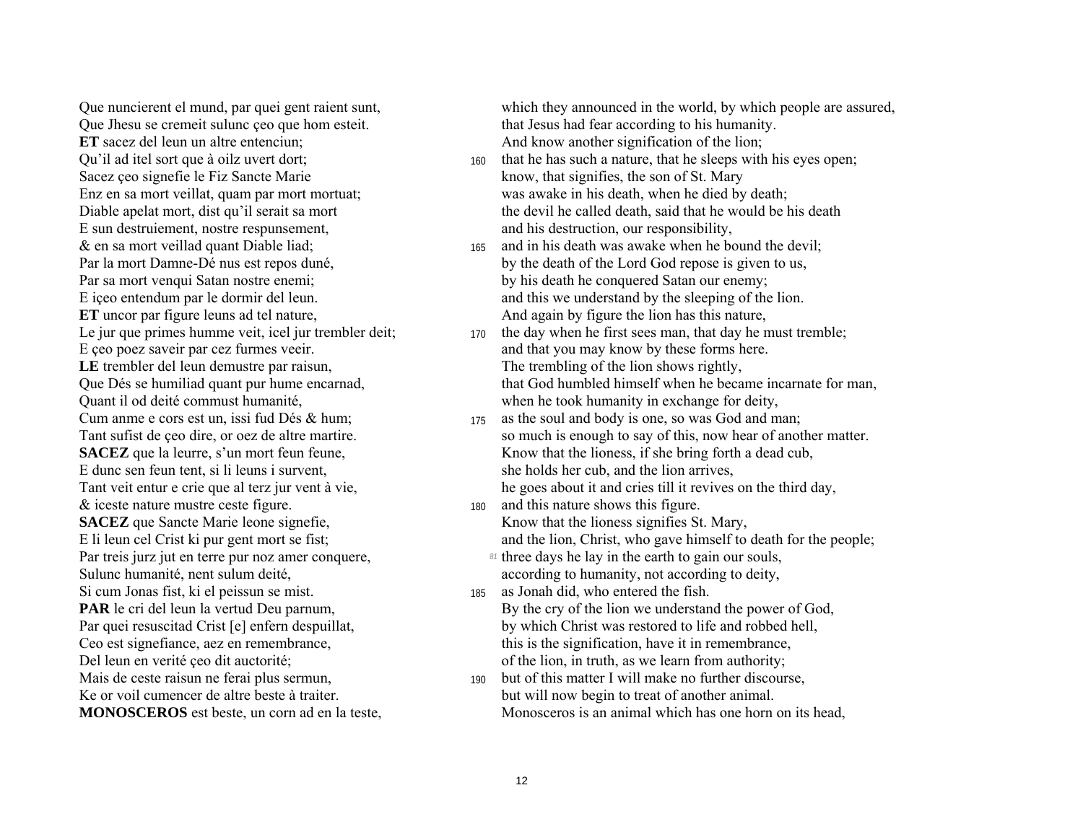Oue nuncierent el mund, par quei gent raient sunt, Oue Jhesu se cremeit sulunc ceo que hom esteit. **ET** sacez del leun un altre entenciun: Qu'il ad itel sort que à oilz uvert dort; Sacez çeo signefie le Fiz Sancte Marie Enz en sa mort veillat, quam par mort mortuat; Diable apelat mort, dist qu'il serait sa mort E sun destruiement, nostre respunsement, & en sa mort veillad quant Diable liad; Par la mort Damne-Dé nus est repos duné, Par sa mort venqui Satan nostre enemi; E iceo entendum par le dormir del leun. ET uncor par figure leuns ad tel nature, Le jur que primes humme veit, icel jur trembler deit: E ceo poez saveir par cez furmes veeir. LE trembler del leun demustre par raisun, Que Dés se humiliad quant pur hume encarnad, Quant il od deité commust humanité, Cum anme e cors est un, issi fud Dés & hum; Tant sufist de çeo dire, or oez de altre martire. **SACEZ** que la leurre, s'un mort feun feune, E dunc sen feun tent, si li leuns i survent, Tant veit entur e crie que al terz jur vent à vie,  $&$  iceste nature mustre ceste figure. **SACEZ** que Sancte Marie leone signefie, E li leun cel Crist ki pur gent mort se fist; Par treis jurz jut en terre pur noz amer conquere, Sulunc humanité, nent sulum deité, Si cum Jonas fist, ki el peissun se mist. **PAR** le cri del leun la vertud Deu parnum, Par quei resuscitad Crist [e] enfern despuillat, Ceo est signefiance, aez en remembrance, Del leun en verité ceo dit auctorité; Mais de ceste raisun ne ferai plus sermun, Ke or voil cumencer de altre beste à traiter. **MONOSCEROS** est beste, un corn ad en la teste,

which they announced in the world, by which people are assured. that Jesus had fear according to his humanity. And know another signification of the lion;

- that he has such a nature, that he sleeps with his eyes open; 160 know, that signifies, the son of St. Mary was awake in his death, when he died by death; the devil he called death, said that he would be his death and his destruction, our responsibility,
- and in his death was awake when he bound the devil: 165 by the death of the Lord God repose is given to us. by his death he conquered Satan our enemy; and this we understand by the sleeping of the lion. And again by figure the lion has this nature,
- the day when he first sees man, that day he must tremble: 170 and that you may know by these forms here. The trembling of the lion shows rightly, that God humbled himself when he became incarnate for man. when he took humanity in exchange for deity,
- as the soul and body is one, so was God and man; 175 so much is enough to say of this, now hear of another matter. Know that the lioness, if she bring forth a dead cub, she holds her cub, and the lion arrives, he goes about it and cries till it revives on the third day,
- and this nature shows this figure. 180 Know that the lioness signifies St. Mary, and the lion, Christ, who gave himself to death for the people;
	- 81 three days he lay in the earth to gain our souls, according to humanity, not according to deity,
- as Jonah did, who entered the fish. 185 By the cry of the lion we understand the power of God. by which Christ was restored to life and robbed hell. this is the signification, have it in remembrance, of the lion, in truth, as we learn from authority;
- but of this matter I will make no further discourse, 190 but will now begin to treat of another animal. Monosceros is an animal which has one horn on its head.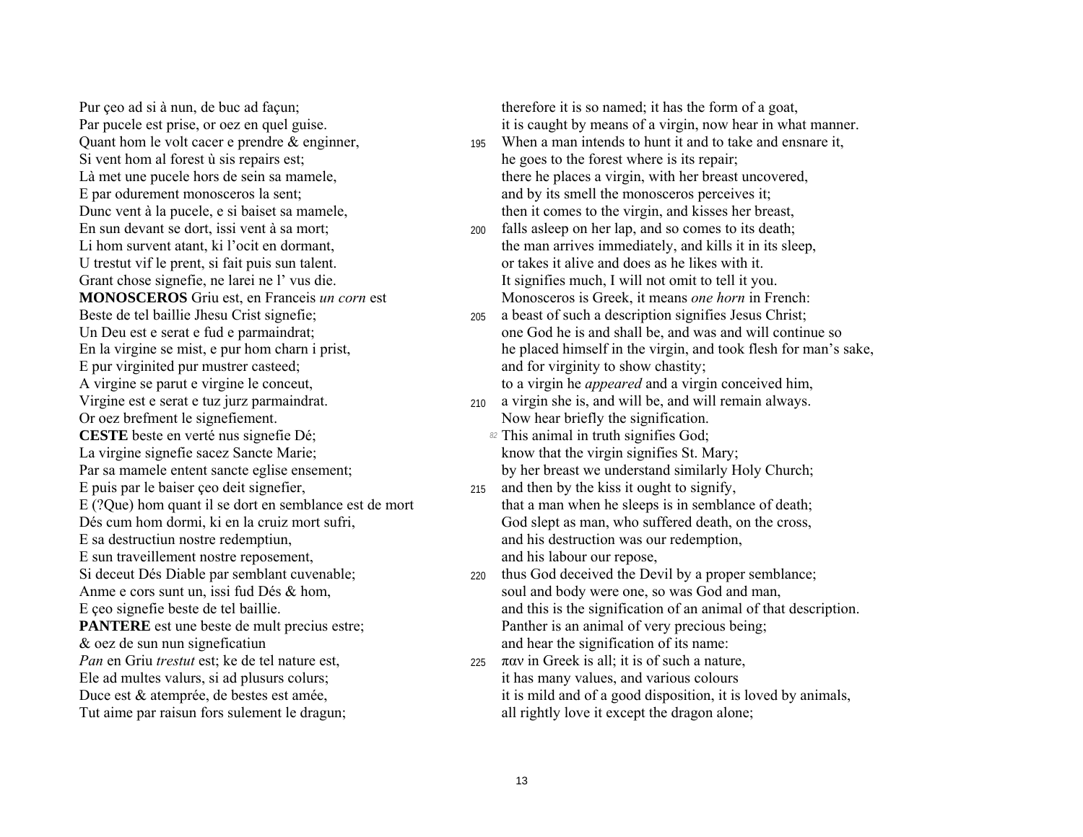Si vent hom al forest ù sis repairs est; he goes to the forest where is its repair; E par odurement monosceros la sent; and by its smell the monosceros perceives it; En sun devant se dort, issi vent à sa mort; 200 falls asleep on her lap, and so comes to its death; U trestut vif le prent, si fait puis sun talent.  $\blacksquare$  or takes it alive and does as he likes with it. Grant chose signefie, ne larei ne l' vus die. It signifies much, I will not omit to tell it you. E pur virginited pur mustrer casteed; and for virginity to show chastity; A virgine se parut e virgine le conceut, to a virgin he *appeared* and a virgin conceived him, Virgine est e serat e tuz jurz parmaindrat. 210 a virgin she is, and will be, and will remain always. Or oez brefment le signefiement. Now hear briefly the signification. **CESTE** beste en verté nus signefie Dé; *82* This animal in truth signifies God; La virgine signefie sacez Sancte Marie; know that the virgin signifies St. Mary; E puis par le baiser  $\chi$  eo deit signefier, 215 and then by the kiss it ought to signify, E sa destructiun nostre redemptiun, and his destruction was our redemption, E sun traveillement nostre reposement, and his labour our repose, Si deceut Dés Diable par semblant cuvenable; 220 thus God deceived the Devil by a proper semblance; **PANTERE** est une beste de mult precius estre; Panther is an animal of very precious being; & oez de sun nun signeficatiun and hear the signification of its name: *Pan* en Griu *trestut* est; ke de tel nature est, 225 παν in Greek is all; it is of such a nature, Ele ad multes valurs, si ad plusurs colurs; it has many values, and various colours

Pur ceo ad si à nun, de buc ad façun; therefore it is so named; it has the form of a goat, Par pucele est prise, or oez en quel guise.  $\cdot$  it is caught by means of a virgin, now hear in what manner.

- Quant hom le volt cacer e prendre  $\&$  enginner,  $\qquad \qquad$  195 When a man intends to hunt it and to take and ensnare it, Là met une pucele hors de sein sa mamele, there he places a virgin, with her breast uncovered, Dunc vent à la pucele, e si baiset sa mamele, then it comes to the virgin, and kisses her breast,
- Li hom survent atant, ki l'ocit en dormant, the man arrives immediately, and kills it in its sleep, **MONOSCEROS** Griu est, en Franceis *un corn* est Monosceros is Greek, it means *one horn* in French:
- Beste de tel baillie Jhesu Crist signefie; 205 a beast of such a description signifies Jesus Christ; Un Deu est e serat e fud e parmaindrat: one God he is and shall be, and was and will continue so En la virgine se mist, e pur hom charn i prist, he placed himself in the virgin, and took flesh for man's sake,

- 
- Par sa mamele entent sancte eglise ensement; by her breast we understand similarly Holy Church;
- E (?Que) hom quant il se dort en semblance est de mort that a man when he sleeps is in semblance of death; Dés cum hom dormi, ki en la cruiz mort sufri, God slept as man, who suffered death, on the cross,
- Anme e cors sunt un, issi fud Dés  $\&$  hom, soul and body were one, so was God and man, E ceo signefie beste de tel baillie. This is the signification of an animal of that description.
- Duce est & atemprée, de bestes est amée, it is mild and of a good disposition, it is loved by animals, Tut aime par raisun fors sulement le dragun; all rightly love it except the dragon alone;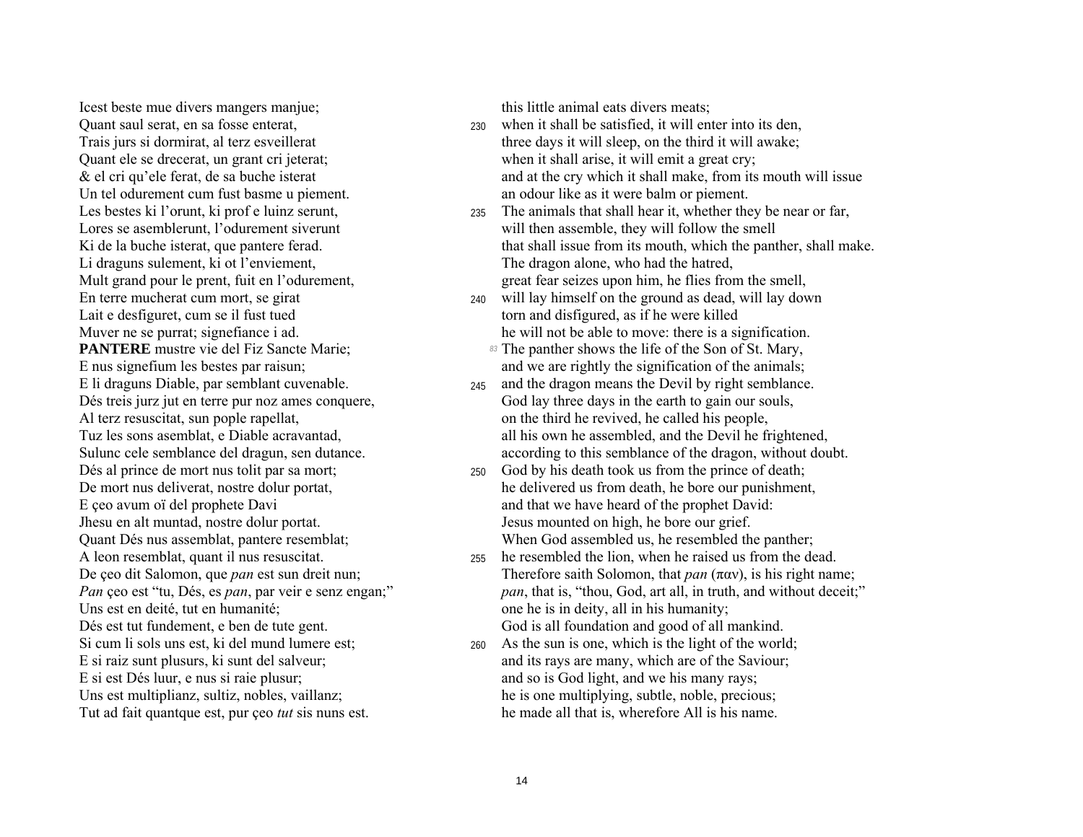Icest beste mue divers mangers manjue; this little animal eats divers meats; Quant ele se drecerat, un grant cri jeterat; when it shall arise, it will emit a great cry; Un tel odurement cum fust basme u piement. and an odour like as it were balm or piement. Li draguns sulement, ki ot l'enviement,  $\blacksquare$  The dragon alone, who had the hatred, Lait e desfiguret, cum se il fust tued torn and disfigured, as if he were killed Jhesu en alt muntad, nostre dolur portat. Jesus mounted on high, he bore our grief. Uns est en deité, tut en humanité; en un entre la comme he is in deity, all in his humanity; E si est Dés luur, e nus si raie plusur; and so is God light, and we his many rays;

- Quant saul serat, en sa fosse enterat, <sup>230</sup> when it shall be satisfied, it will enter into its den, Trais jurs si dormirat, al terz esveillerat three three days it will sleep, on the third it will awake; & el cri qu'ele ferat, de sa buche isterat and at the cry which it shall make, from its mouth will issue
- Les bestes ki l'orunt, ki prof e luinz serunt, 235 The animals that shall hear it, whether they be near or far, Lores se asemblerunt, l'odurement siverunt will then assemble, they will follow the smell Ki de la buche isterat, que pantere ferad.<br>
Ki de la buche isterat, que pantere ferad. that shall issue from its mouth, which the panther, shall make. Mult grand pour le prent, fuit en l'odurement, great fear seizes upon him, he flies from the smell,
- En terre mucherat cum mort, se girat 240 will lay himself on the ground as dead, will lay down Muver ne se purrat; signefiance i ad. he will not be able to move: there is a signification.
- **PANTERE** mustre vie del Fiz Sancte Marie; **83 Interpretering the Son of St. Mary,** *83* **The panther shows the life of the Son of St. Mary,** E nus signefium les bestes par raisun; and we are rightly the signification of the animals;
- E li draguns Diable, par semblant cuvenable. <sup>245</sup> and the dragon means the Devil by right semblance. Dés treis jurz jut en terre pur noz ames conquere, God lay three days in the earth to gain our souls, Al terz resuscitat, sun pople rapellat, on the third he revived, he called his people, Tuz les sons asemblat, e Diable acravantad, and his own he assembled, and the Devil he frightened, Sulunc cele semblance del dragun, sen dutance. according to this semblance of the dragon, without doubt.
- Dés al prince de mort nus tolit par sa mort; 250 God by his death took us from the prince of death; De mort nus deliverat, nostre dolur portat,<br>
E ceo avum oï del prophete Davi and that we have heard of the prophet David: and that we have heard of the prophet David: Quant DÈs nus assemblat, pantere resemblat; When God assembled us, he resembled the panther;
- A leon resemblat, quant il nus resuscitat. 255 he resembled the lion, when he raised us from the dead. De çeo dit Salomon, que *pan* est sun dreit nun;<br>*Pan* ceo est "tu, Dés, es *pan*, par veir e senz engan;" *pan*, that is, "thou, God, art all, in truth, and without deceit; *pan*, that is, "thou, God, art all, in truth, and without deceit;" Dés est tut fundement, e ben de tute gent. God is all foundation and good of all mankind.
- Si cum li sols uns est, ki del mund lumere est; 260 As the sun is one, which is the light of the world; E si raiz sunt plusurs, ki sunt del salveur; and its rays are many, which are of the Saviour; Uns est multiplianz, sultiz, nobles, vaillanz; he is one multiplying, subtle, noble, precious; Tut ad fait quantque est, pur ceo *tut* sis nuns est. he made all that is, wherefore All is his name.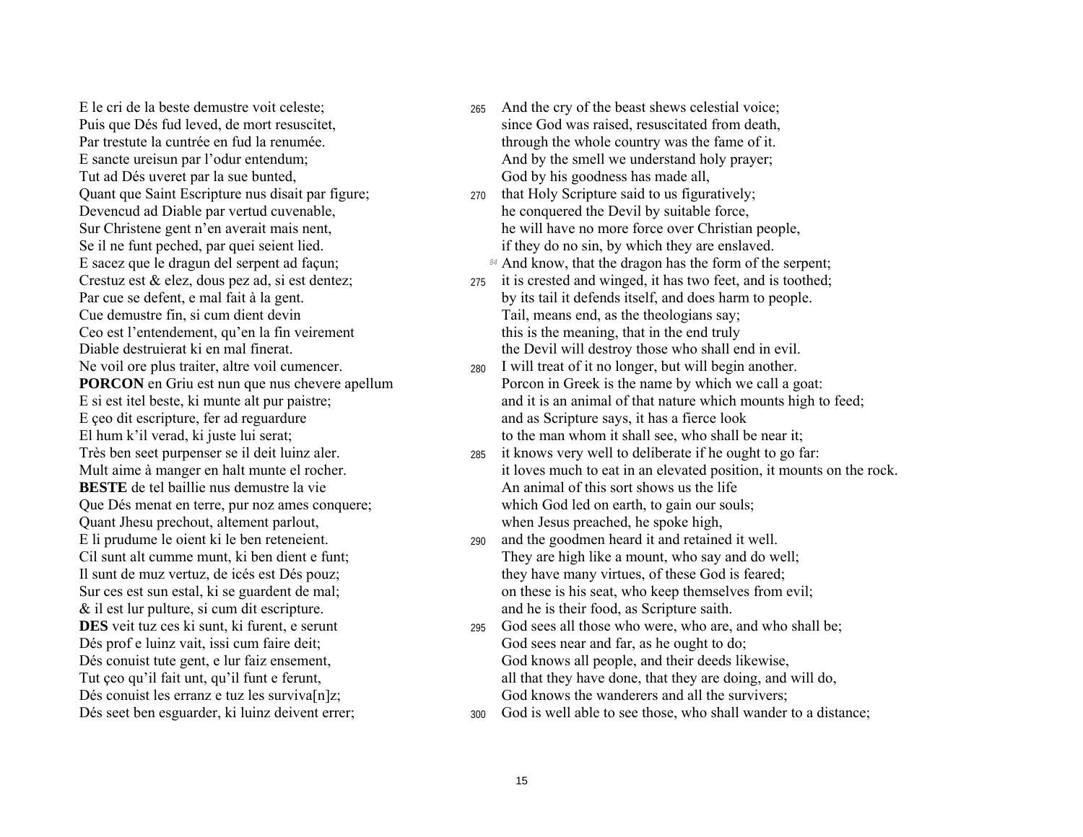Tut ad Dés uveret par la sue bunted, God by his goodness has made all, Quant que Saint Escripture nus disait par figure; <sup>270</sup> that Holy Scripture said to us figuratively; Devencud ad Diable par vertud cuvenable, he conquered the Devil by suitable force, E sacez que le dragun del serpent ad facun; *84* And know, that the dragon has the form of the serpent; Crestuz est & elez, dous pez ad, si est dentez;  $\frac{275}{10}$  it is crested and winged, it has two feet, and is toothed; Cue demustre fin, si cum dient devin Tail, means end, as the theologians say; Ceo est l'entendement, qu'en la fin veirement this is the meaning, that in the end truly Ne voil ore plus traiter, altre voil cumencer. 280 I will treat of it no longer, but will begin another. E ceo dit escripture, fer ad reguardure and as Scripture says, it has a fierce look **BESTE** de tel baillie nus demustre la vie An animal of this sort shows us the life Que DÈs menat en terre, pur noz ames conquere; which God led on earth, to gain our souls; Quant Jhesu prechout, altement parlout, when Jesus preached, he spoke high, & il est lur pulture, si cum dit escripture. and he is their food, as Scripture saith. Dés prof e luinz vait, issi cum faire deit; God sees near and far, as he ought to do;

- E le cri de la beste demustre voit celeste; 265 And the cry of the beast shews celestial voice; Puis que Dés fud leved, de mort resuscitet, since God was raised, resuscitated from death, Par trestute la cuntrée en fud la renumée. through the whole country was the fame of it. E sancte ureisun par l'odur entendum; And by the smell we understand holy prayer;
- Sur Christene gent n'en averait mais nent, he will have no more force over Christian people, Se il ne funt peched, par quei seient lied. if they do no sin, by which they are enslaved.
	-
- Par cue se defent, e mal fait à la gent. by its tail it defends itself, and does harm to people. Diable destruierat ki en mal finerat. The Devil will destroy those who shall end in evil.
- **PORCON** en Griu est nun que nus chevere apellum Porcon in Greek is the name by which we call a goat: E si est itel beste, ki munte alt pur paistre; and it is an animal of that nature which mounts high to feed; El hum k'il verad, ki juste lui serat; to the man whom it shall see, who shall be near it;
- Très ben seet purpenser se il deit luinz aler. 285 it knows very well to deliberate if he ought to go far: Mult aime à manger en halt munte el rocher. it loves much to eat in an elevated position, it mounts on the rock.
- E li prudume le oient ki le ben reteneient. 290 and the goodmen heard it and retained it well. Cil sunt alt cumme munt, ki ben dient e funt; They are high like a mount, who say and do well; Il sunt de muz vertuz, de icés est Dés pouz; they have many virtues, of these God is feared; Sur ces est sun estal, ki se guardent de mal; on these is his seat, who keep themselves from evil;
- **DES** veit tuz ces ki sunt, ki furent, e serunt 295 God sees all those who were, who are, and who shall be; Dés conuist tute gent, e lur faiz ensement, God knows all people, and their deeds likewise, Tut ceo qu'il fait unt, qu'il funt e ferunt, all that they have done, that they are doing, and will do, Dés conuist les erranz e tuz les surviva $[n]z$ ; God knows the wanderers and all the survivers;
- Dés seet ben esguarder, ki luinz deivent errer; 300 God is well able to see those, who shall wander to a distance;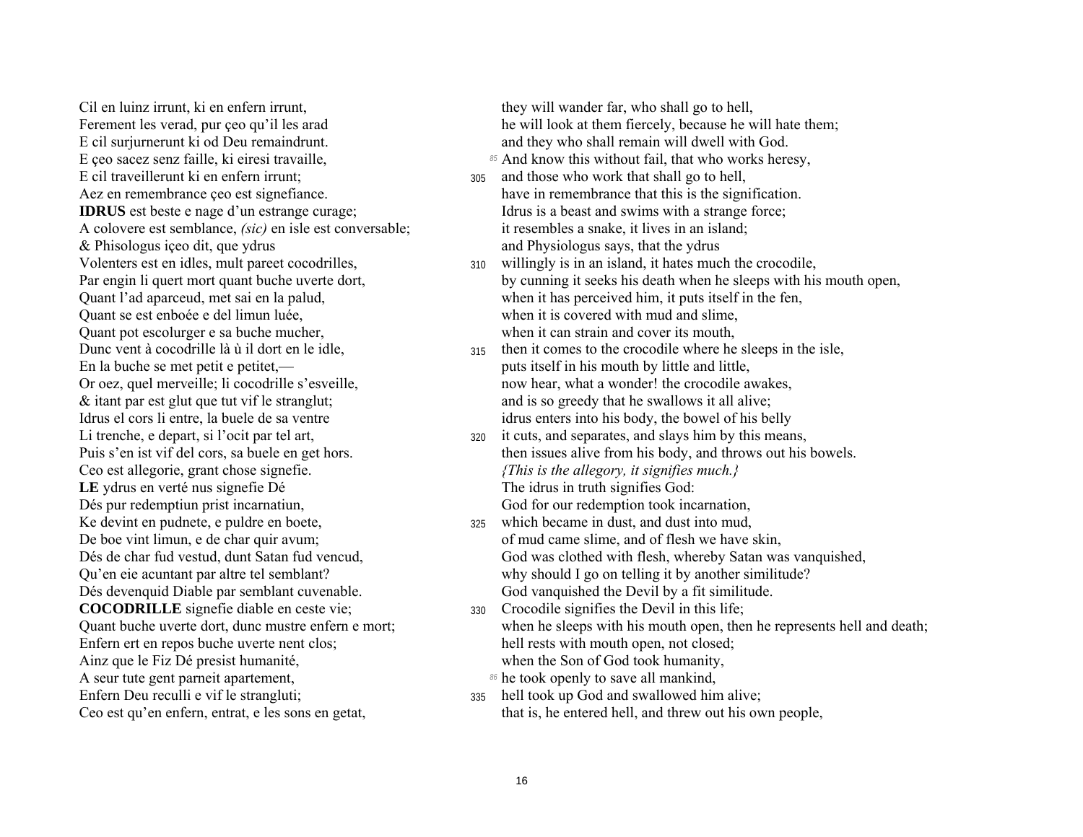Cil en luinz irrunt, ki en enfern irrunt, Ferement les verad, pur ceo qu'il les arad E cil surjurnerunt ki od Deu remaindrunt. E çeo sacez senz faille, ki eiresi travaille, E cil traveillerunt ki en enfern irrunt: Aez en remembrance ceo est signefiance. **IDRUS** est beste e nage d'un estrange curage; A colovere est semblance, *(sic)* en isle est conversable; & Phisologus içeo dit, que ydrus Volenters est en idles, mult pareet cocodrilles, Par engin li quert mort quant buche uverte dort, Quant l'ad aparceud, met sai en la palud, Quant se est enboée e del limun luée. Ouant pot escolurger e sa buche mucher. Dunc vent à cocodrille là ù il dort en le idle, En la buche se met petit e petitet.— Or oez, quel merveille; li cocodrille s'esveille, & itant par est glut que tut vif le stranglut; Idrus el cors li entre, la buele de sa ventre Li trenche, e depart, si l'ocit par tel art. Puis s'en ist vif del cors, sa buele en get hors. Ceo est allegorie, grant chose signefie. LE ydrus en verté nus signefie Dé Dés pur redemptiun prist incarnatiun, Ke devint en pudnete, e puldre en boete, De boe vint limun, e de char quir avum; Dés de char fud vestud, dunt Satan fud vencud. Qu'en eie acuntant par altre tel semblant? Dés devenquid Diable par semblant cuvenable. **COCODRILLE** signefie diable en ceste vie: Quant buche uverte dort, dunc mustre enfern e mort; Enfern ert en repos buche uverte nent clos; Ainz que le Fiz Dé presist humanité, A seur tute gent parneit apartement, Enfern Deu reculli e vif le strangluti; Ceo est qu'en enfern, entrat, e les sons en getat,

they will wander far, who shall go to hell. he will look at them fiercely, because he will hate them; and they who shall remain will dwell with God.

- 85 And know this without fail, that who works heresy,
- and those who work that shall go to hell, 305 have in remembrance that this is the signification. Idrus is a beast and swims with a strange force; it resembles a snake, it lives in an island; and Physiologus says, that the ydrus
- 310 willingly is in an island, it hates much the crocodile, by cunning it seeks his death when he sleeps with his mouth open, when it has perceived him, it puts itself in the fen, when it is covered with mud and slime. when it can strain and cover its mouth.
- then it comes to the crocodile where he sleeps in the isle. 315 puts itself in his mouth by little and little. now hear, what a wonder! the crocodile awakes, and is so greedy that he swallows it all alive; idrus enters into his body, the bowel of his belly
- it cuts, and separates, and slays him by this means, 320 then issues alive from his body, and throws out his bowels. {This is the allegory, it signifies much.} The idrus in truth signifies God: God for our redemption took incarnation,
- which became in dust, and dust into mud,  $325$ of mud came slime, and of flesh we have skin, God was clothed with flesh, whereby Satan was vanquished, why should I go on telling it by another similitude? God vanquished the Devil by a fit similitude.
- 330 Crocodile signifies the Devil in this life; when he sleeps with his mouth open, then he represents hell and death; hell rests with mouth open, not closed; when the Son of God took humanity,
	- 86 he took openly to save all mankind,
- hell took up God and swallowed him alive; 335 that is, he entered hell, and threw out his own people,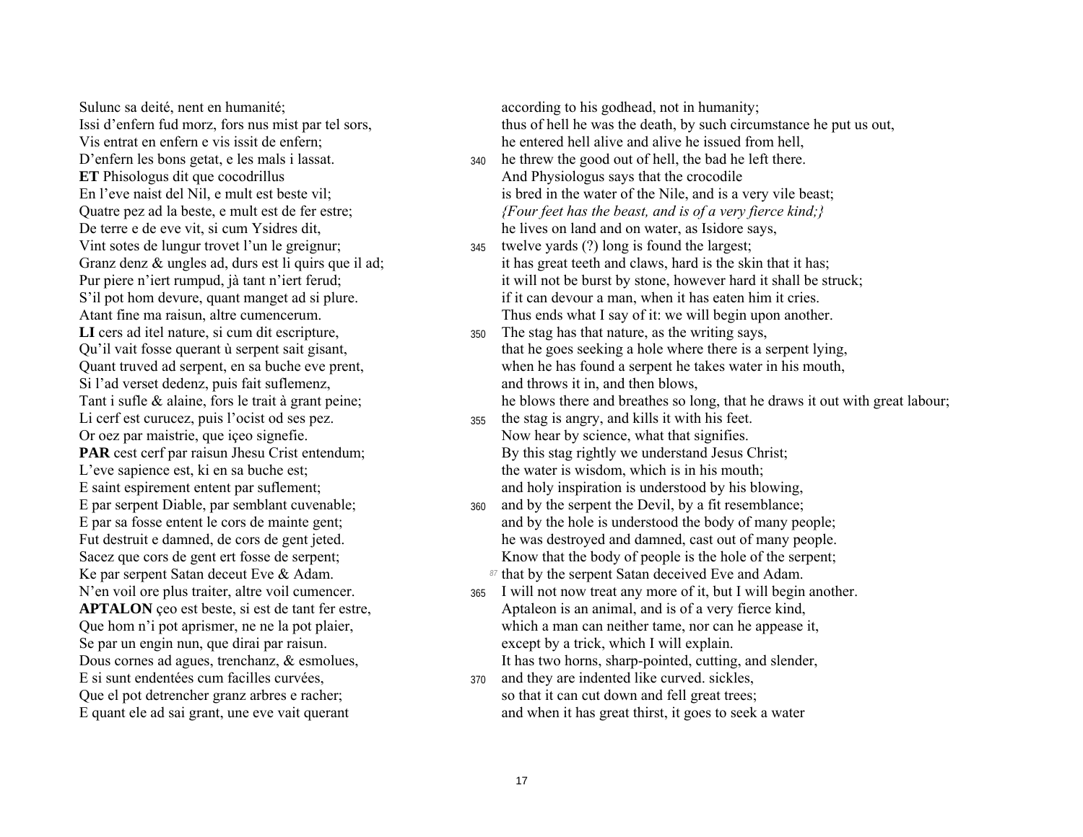Sulunc sa deité, nent en humanité; according to his godhead, not in humanity; D'enfern les bons getat, e les mals i lassat.  $340$  he threw the good out of hell, the bad he left there. **ET** Phisologus dit que cocodrillus And Physiologus says that the crocodile Vint sotes de lungur trovet l'un le greignur; 345 twelve yards (?) long is found the largest; Si l'ad verset dedenz, puis fait suflemenz, and throws it in, and then blows, Li cerf est curucez, puis l'ocist od ses pez. 355 the stag is angry, and kills it with his feet. Or oez par maistrie, que içeo signefie. Now hear by science, what that signifies. E saint espirement entent par suflement;<br>
E par serpent Diable, par semblant cuvenable;<br>  $\frac{360}{400}$  and by the serpent the Devil, by a fit resemblance; Ke par serpent Satan deceut Eve & Adam. **87** that by the serpent Satan deceived Eve and Adam. Se par un engin nun, que dirai par raisun. except by a trick, which I will explain. Dous cornes ad agues, trenchanz, & esmolues, It has two horns, sharp-pointed, cutting, and slender, E si sunt endentées cum facilles curvées,  $\frac{370}{ }$  and they are indented like curved. sickles, Que el pot detrencher granz arbres e racher; so that it can cut down and fell great trees;

Issi d'enfern fud morz, fors nus mist par tel sors, thus of hell he was the death, by such circumstance he put us out, Vis entrat en enfern e vis issit de enfern; he entered hell alive and alive he issued from hell,

- En l'eve naist del Nil, e mult est beste vil; is bred in the water of the Nile, and is a very vile beast; Quatre pez ad la beste, e mult est de fer estre; *{Four feet has the beast, and is of a very fierce kind;}*  De terre e de eve vit, si cum Ysidres dit, he lives on land and on water, as Isidore says,
- Granz denz  $\&$  ungles ad, durs est li quirs que il ad; it has great teeth and claws, hard is the skin that it has; Pur piere n'iert rumpud, jà tant n'iert ferud; it will not be burst by stone, however hard it shall be struck; S'il pot hom devure, quant manget ad si plure. if it can devour a man, when it has eaten him it cries. Atant fine ma raisun, altre cumencerum. Thus ends what I say of it: we will begin upon another.
- LI cers ad itel nature, si cum dit escripture,  $\frac{350}{250}$  The stag has that nature, as the writing says, Qu'il vait fosse querant ù serpent sait gisant, that he goes seeking a hole where there is a serpent lying, Quant truved ad serpent, en sa buche eve prent, when he has found a serpent he takes water in his mouth,

Tant i sufle & alaine, fors le trait à grant peine; he blows there and breathes so long, that he draws it out with great labour;

- **PAR** cest cerf par raisun Jhesu Crist entendum; By this stag rightly we understand Jesus Christ; L'eve sapience est, ki en sa buche est; the water is wisdom, which is in his mouth;
- 360 and by the serpent the Devil, by a fit resemblance; E par sa fosse entent le cors de mainte gent; and by the hole is understood the body of many people; Fut destruit e damned, de cors de gent jeted. he was destroyed and damned, cast out of many people. Sacez que cors de gent ert fosse de serpent; Know that the body of people is the hole of the serpent;
- N'en voil ore plus traiter, altre voil cumencer. 365 I will not now treat any more of it, but I will begin another. **APTALON** ceo est beste, si est de tant fer estre, Aptaleon is an animal, and is of a very fierce kind, Que hom níi pot aprismer, ne ne la pot plaier, which a man can neither tame, nor can he appease it,
- E quant ele ad sai grant, une eve vait querant and when it has great thirst, it goes to seek a water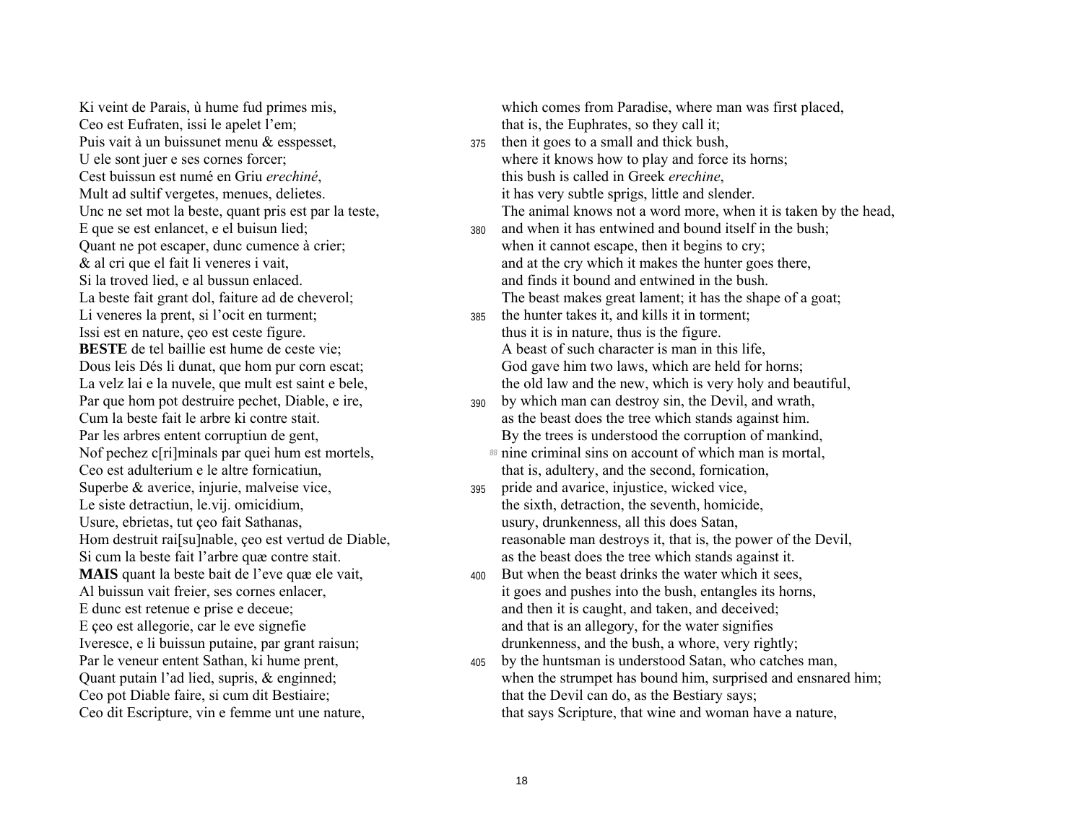Ceo est Eufraten, issi le apelet l'em; that is, the Euphrates, so they call it; Puis vait à un buissunet menu & esspesset,  $\frac{375}{ }$  then it goes to a small and thick bush, Cest buissun est numé en Griu *erechiné*, this bush is called in Greek *erechine*, Mult ad sultif vergetes, menues, delietes. it has very subtle sprigs, little and slender. Li veneres la prent, si l'ocit en turment; 385 the hunter takes it, and kills it in torment; Issi est en nature, ceo est ceste figure. thus it is in nature, thus is the figure. **BESTE** de tel baillie est hume de ceste vie; A beast of such character is man in this life, Ceo est adulterium e le altre fornicatiun, that is, adultery, and the second, fornication, Superbe  $\&$  averice, injurie, malveise vice,  $\frac{395}{2}$  pride and avarice, injustice, wicked vice, Le siste detractiun, le.vij. omicidium, the sixth, detraction, the seventh, homicide, Usure, ebrietas, tut ceo fait Sathanas, the same states of the same states of the sature of the Usury, drunkenness, all this does Satan, Ceo pot Diable faire, si cum dit Bestiaire; that the Devil can do, as the Bestiary says;

Ki veint de Parais,  $\dot{u}$  hume fud primes mis, which comes from Paradise, where man was first placed,

- U ele sont juer e ses cornes forcer; where it knows how to play and force its horns; Unc ne set mot la beste, quant pris est par la teste, The animal knows not a word more, when it is taken by the head,
- E que se est enlancet, e el buisun lied;  $380$  and when it has entwined and bound itself in the bush; Quant ne pot escaper, dunc cumence à crier; when it cannot escape, then it begins to cry; & al cri que el fait li veneres i vait, and at the cry which it makes the hunter goes there, Si la troved lied, e al bussun enlaced. and finds it bound and entwined in the bush. La beste fait grant dol, faiture ad de cheverol; The beast makes great lament; it has the shape of a goat;
- Dous leis Dés li dunat, que hom pur corn escat: God gave him two laws, which are held for horns; La velz lai e la nuvele, que mult est saint e bele, the old law and the new, which is very holy and beautiful,
- Par que hom pot destruire pechet, Diable, e ire,  $\frac{390}{90}$  by which man can destroy sin, the Devil, and wrath, Cum la beste fait le arbre ki contre stait. as the beast does the tree which stands against him. Par les arbres entent corruptiun de gent, By the trees is understood the corruption of mankind,
- Nof pechez c[ri]minals par quei hum est mortels, *88* nine criminal sins on account of which man is mortal,
- Hom destruit rai[su]nable, ceo est vertud de Diable, reasonable man destroys it, that is, the power of the Devil, Si cum la beste fait l'arbre quæ contre stait. as the beast does the tree which stands against it.
- **MAIS** quant la beste bait de l'eve quæ ele vait,  $\frac{400}{400}$  But when the beast drinks the water which it sees, Al buissun vait freier, ses cornes enlacer, it goes and pushes into the bush, entangles its horns, E dunc est retenue e prise e deceue; and then it is caught, and taken, and deceived; E ceo est allegorie, car le eve signefie and that is an allegory, for the water signifies Iveresce, e li buissun putaine, par grant raisun; drunkenness, and the bush, a whore, very rightly;
- Par le veneur entent Sathan, ki hume prent,  $\frac{405}{405}$  by the huntsman is understood Satan, who catches man, Quant putain líad lied, supris, & enginned; when the strumpet has bound him, surprised and ensnared him; Ceo dit Escripture, vin e femme unt une nature, that says Scripture, that wine and woman have a nature,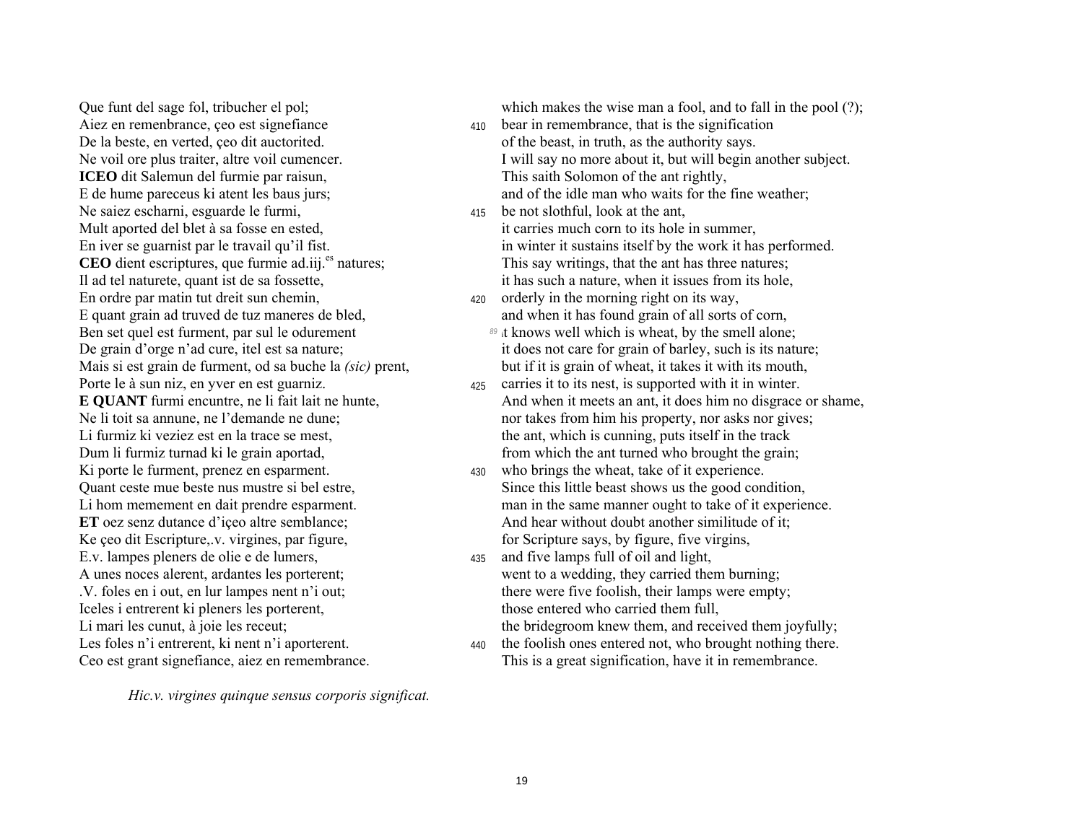Aiez en remenbrance, ceo est signefiance  $\frac{410}{410}$  bear in remembrance, that is the signification De la beste, en verted, ceo dit auctorited.  $\qquad \qquad$  of the beast, in truth, as the authority says. **ICEO** dit Salemun del furmie par raisun, This saith Solomon of the ant rightly, E de hume pareceus ki atent les baus jurs; and of the idle man who waits for the fine weather; Ne saiez escharni, esguarde le furmi,  $\frac{415}{415}$  be not slothful, look at the ant, Mult aported del blet à sa fosse en ested, it carries much corn to its hole in summer, En ordre par matin tut dreit sun chemin,  $\frac{420}{420}$  orderly in the morning right on its way, Ben set quel est furment, par sul le odurement *89* it knows well which is wheat, by the smell alone; Porte le à sun niz, en yver en est guarniz.  $\frac{425}{425}$  carries it to its nest, is supported with it in winter. Ki porte le furment, prenez en esparment.  $\frac{430}{430}$  who brings the wheat, take of it experience. Ke ceo dit Escripture,.v. virgines, par figure, for Scripture says, by figure, five virgins, E.v. lampes pleners de olie e de lumers,  $\frac{435}{435}$  and five lamps full of oil and light, Iceles i entrerent ki pleners les porterent, those entered who carried them full,

Que funt del sage fol, tribucher el pol; which makes the wise man a fool, and to fall in the pool (?);

- Ne voil ore plus traiter, altre voil cumencer. I will say no more about it, but will begin another subject.
- En iver se guarnist par le travail qu'il fist. in winter it sustains itself by the work it has performed. **CEO** dient escriptures, que furmie ad.iii.<sup>es</sup> natures; This say writings, that the ant has three natures; Il ad tel naturete, quant ist de sa fossette, it has such a nature, when it issues from its hole,
- E quant grain ad truved de tuz maneres de bled, and when it has found grain of all sorts of corn,
- De grain d'orge n'ad cure, itel est sa nature; it does not care for grain of barley, such is its nature; Mais si est grain de furment, od sa buche la *(sic)* prent, but if it is grain of wheat, it takes it with its mouth,
- **E QUANT** furmi encuntre, ne li fait lait ne hunte, And when it meets an ant, it does him no disgrace or shame, Ne li toit sa annune, ne l'demande ne dune; nour takes from him his property, nor asks nor gives; Li furmiz ki veziez est en la trace se mest, the ant, which is cunning, puts itself in the track Dum li furmiz turnad ki le grain aportad, from which the ant turned who brought the grain;
- Quant ceste mue beste nus mustre si bel estre, Since this little beast shows us the good condition, Li hom memement en dait prendre esparment. man in the same manner ought to take of it experience. **ET** oez senz dutance d'iceo altre semblance; And hear without doubt another similitude of it;
- A unes noces alerent, ardantes les porterent; went to a wedding, they carried them burning; .V. foles en i out, en lur lampes nent níi out; there were five foolish, their lamps were empty; Li mari les cunut, à joie les receut; the bridegroom knew them, and received them joyfully;
- Les foles n'i entrerent, ki nent n'i aporterent.  $\frac{440}{440}$  the foolish ones entered not, who brought nothing there. Ceo est grant signefiance, aiez en remembrance. This is a great signification, have it in remembrance.

*Hic.v. virgines quinque sensus corporis significat.*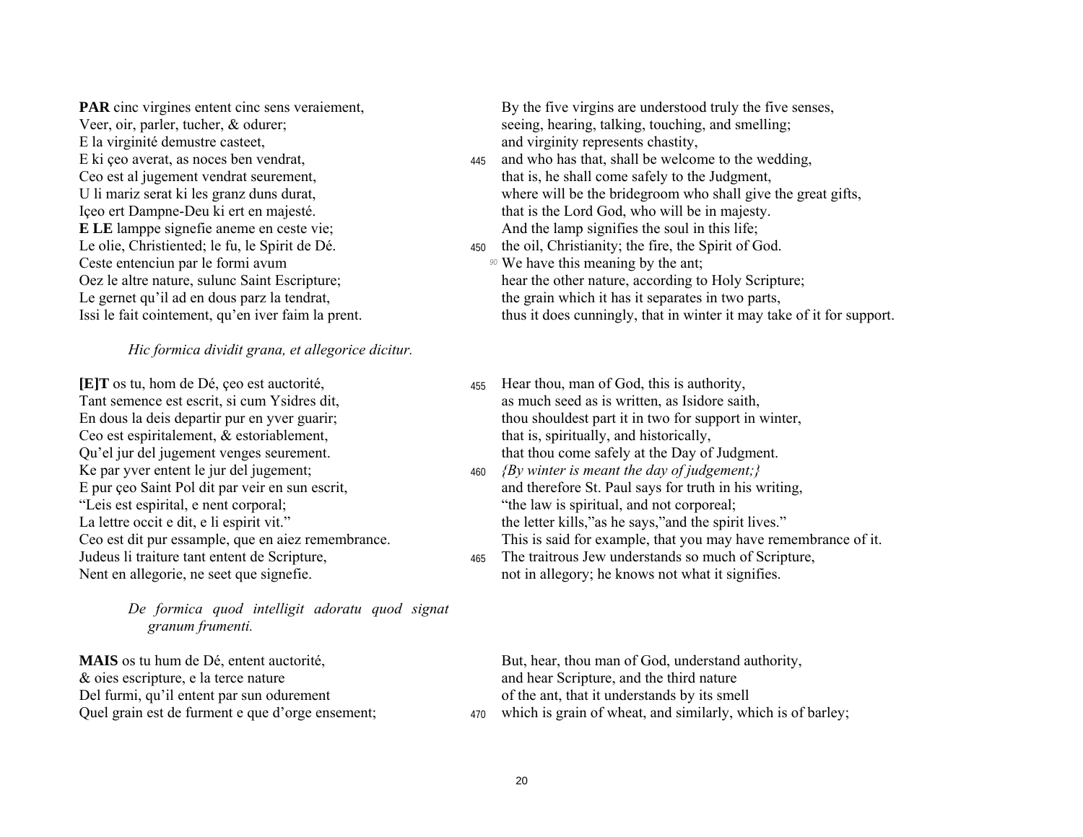**PAR** cinc virgines entent cinc sens veraiement. Veer, oir, parler, tucher, & odurer; E la virginité demustre casteet, E ki çeo averat, as noces ben vendrat, Ceo est al jugement vendrat seurement, U li mariz serat ki les granz duns durat, Içeo ert Dampne-Deu ki ert en majesté. **ELE** lamppe signefie aneme en ceste vie; Le olie, Christiented; le fu, le Spirit de Dé. Ceste entenciun par le formi avum Oez le altre nature, sulunc Saint Escripture; Le gernet qu'il ad en dous parz la tendrat, Issi le fait cointement, qu'en iver faim la prent.

#### Hic formica dividit grana, et allegorice dicitur.

**[E]T** os tu, hom de Dé, ceo est auctorité, Tant semence est escrit, si cum Ysidres dit, En dous la deis departir pur en yver guarir; Ceo est espiritalement, & estoriablement, Qu'el jur del jugement venges seurement. Ke par yver entent le jur del jugement; E pur çeo Saint Pol dit par veir en sun escrit, "Leis est espirital, e nent corporal; La lettre occit e dit, e li espirit vit." Ceo est dit pur essample, que en aiez remembrance. Judeus li traiture tant entent de Scripture, Nent en allegorie, ne seet que signefie.

> De formica quod intelligit adoratu quod signat granum frumenti.

**MAIS** os tu hum de Dé, entent auctorité, & oies escripture, e la terce nature Del furmi, qu'il entent par sun odurement Quel grain est de furment e que d'orge ensement;

By the five virgins are understood truly the five senses. seeing, hearing, talking, touching, and smelling; and virginity represents chastity,

- and who has that, shall be welcome to the wedding, 445 that is, he shall come safely to the Judgment, where will be the bridegroom who shall give the great gifts, that is the Lord God, who will be in majesty. And the lamp signifies the soul in this life;
- 450 the oil, Christianity; the fire, the Spirit of God. <sup>90</sup> We have this meaning by the ant: hear the other nature, according to Holy Scripture;

the grain which it has it separates in two parts. thus it does cunningly, that in winter it may take of it for support.

- Hear thou, man of God, this is authority. 455 as much seed as is written, as Isidore saith, thou shouldest part it in two for support in winter, that is, spiritually, and historically, that thou come safely at the Day of Judgment.
- 460 *{By winter is meant the day of judgement;}* and therefore St. Paul says for truth in his writing, "the law is spiritual, and not corporeal; the letter kills," as he says," and the spirit lives." This is said for example, that you may have remembrance of it.
- The traitrous Jew understands so much of Scripture, 465 not in allegory; he knows not what it signifies.

But, hear, thou man of God, understand authority, and hear Scripture, and the third nature of the ant, that it understands by its smell

470 which is grain of wheat, and similarly, which is of barley;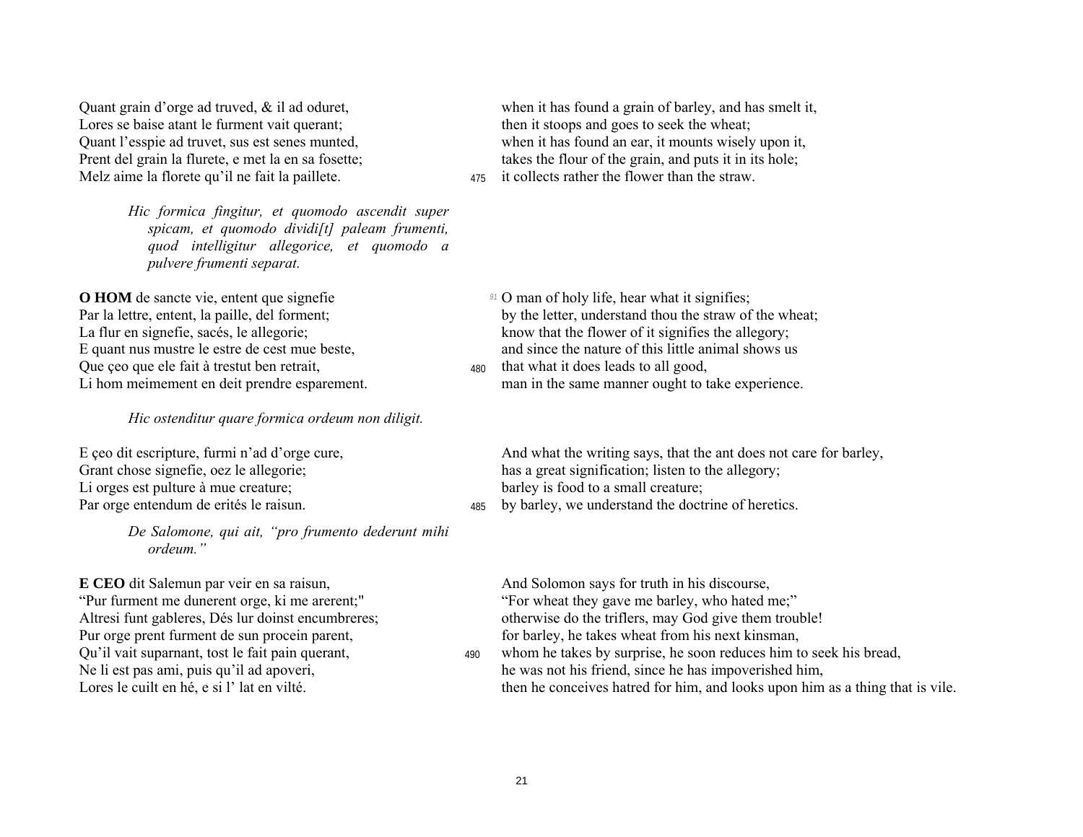Lores se baise atant le furment vait querant; then it stoops and goes to seek the wheat; Melz aime la florete qu'il ne fait la paillete.  $\frac{475}{475}$  it collects rather the flower than the straw.

*Hic formica fingitur, et quomodo ascendit super spicam, et quomodo dividi[t] paleam frumenti, quod intelligitur allegorice, et quomodo a pulvere frumenti separat.* 

**O HOM** de sancte vie, entent que signefie *91* **o** man of holy life, hear what it signifies; Oue ceo que ele fait à trestut ben retrait,  $\frac{480}{480}$  that what it does leads to all good,

*Hic ostenditur quare formica ordeum non diligit.* 

Li orges est pulture à mue creature; barley is food to a small creature; Par orge entendum de erités le raisun.  $\frac{485}{485}$  by barley, we understand the doctrine of heretics.

*De Salomone, qui ait, ìpro frumento dederunt mihi ordeum.î* 

**E CEO** dit Salemun par veir en sa raisun, And Solomon says for truth in his discourse, Pur orge prent furment de sun procein parent, for barley, he takes wheat from his next kinsman,

Quant grain d'orge ad truved, & il ad oduret, when it has found a grain of barley, and has smelt it, Quant líesspie ad truvet, sus est senes munted, when it has found an ear, it mounts wisely upon it, Prent del grain la flurete, e met la en sa fosette; takes the flour of the grain, and puts it in its hole;

Par la lettre, entent, la paille, del forment; by the letter, understand thou the straw of the wheat;<br>La flur en signefie, sacés, le allegorie; know that the flower of it signifies the allegory; know that the flower of it signifies the allegory; E quant nus mustre le estre de cest mue beste. and since the nature of this little animal shows us

Li hom meimement en deit prendre esparement. man in the same manner ought to take experience.

E ceo dit escripture, furmi n'ad d'orge cure, And what the writing says, that the ant does not care for barley, Grant chose signefie, oez le allegorie; has a great signification; listen to the allegory;

<sup>"</sup>Pur furment me dunerent orge, ki me arerent;" <sup>"</sup>For wheat they gave me barley, who hated me;" Altresi funt gableres, Dés lur doinst encumbreres; otherwise do the triflers, may God give them trouble!

Qu'il vait suparnant, tost le fait pain querant,  $\frac{490}{490}$  whom he takes by surprise, he soon reduces him to seek his bread, Ne li est pas ami, puis qu'il ad apoveri, he was not his friend, since he has impoverished him, Lores le cuilt en hé, e si l' lat en vilté. the then he conceives hatred for him, and looks upon him as a thing that is vile.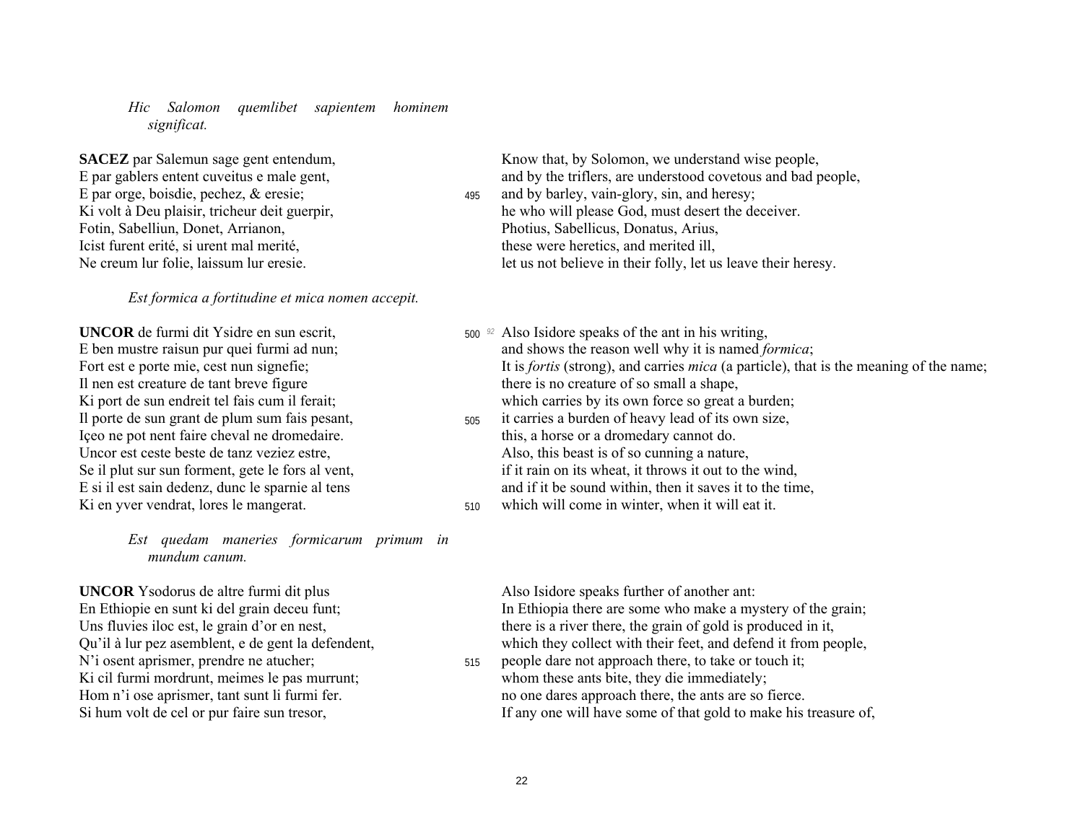*Hic Salomon quemlibet sapientem hominem significat.* 

**SACEZ** par Salemun sage gent entendum, Know that, by Solomon, we understand wise people, Fotin, Sabelliun, Donet, Arrianon, Photius, Sabellicus, Donatus, Arius, Icist furent erité, si urent mal merité, these were heretics, and merited ill,

*Est formica a fortitudine et mica nomen accepit.* 

Il nen est creature de tant breve figure there is no creature of so small a shape, Içeo ne pot nent faire cheval ne dromedaire. this, a horse or a dromedary cannot do.

*Est quedam maneries formicarum primum in mundum canum.* 

**UNCOR** Ysodorus de altre furmi dit plus Also Isidore speaks further of another ant: N'i osent aprismer, prendre ne atucher;  $\frac{515}{2}$  people dare not approach there, to take or touch it;

E par gablers entent cuveitus e male gent, and by the triflers, are understood covetous and bad people, E par orge, boisdie, pechez, & eresie; 495 and by barley, vain-glory, sin, and heresy; Ki volt à Deu plaisir, tricheur deit guerpir, he who will please God, must desert the deceiver. Ne creum lur folie, laissum lur eresie. let us not believe in their folly, let us leave their heresy.

- **UNCOR** de furmi dit Ysidre en sun escrit,  $\frac{500 \text{ } \textdegree}{}$  Also Isidore speaks of the ant in his writing, E ben mustre raisun pur quei furmi ad nun; and shows the reason well why it is named *formica*; Fort est e porte mie, cest nun signefie; It is *fortis* (strong), and carries *mica* (a particle), that is the meaning of the name; Ki port de sun endreit tel fais cum il ferait; which carries by its own force so great a burden; Il porte de sun grant de plum sum fais pesant,  $\frac{505}{400}$  it carries a burden of heavy lead of its own size,
- Uncor est ceste beste de tanz veziez estre, Also, this beast is of so cunning a nature, Se il plut sur sun forment, gete le fors al vent, if it rain on its wheat, it throws it out to the wind, E si il est sain dedenz, dunc le sparnie al tens and if it be sound within, then it saves it to the time,
- Ki en yver vendrat, lores le mangerat.  $\frac{510}{2}$  which will come in winter, when it will eat it.

En Ethiopie en sunt ki del grain deceu funt; In Ethiopia there are some who make a mystery of the grain; Uns fluvies iloc est, le grain d'or en nest, there is a river there, the grain of gold is produced in it, Qu'il à lur pez asemblent, e de gent la defendent, which they collect with their feet, and defend it from people,

Ki cil furmi mordrunt, meimes le pas murrunt; whom these ants bite, they die immediately; Hom n'i ose aprismer, tant sunt li furmi fer. no one dares approach there, the ants are so fierce. Si hum volt de cel or pur faire sun tresor, If any one will have some of that gold to make his treasure of,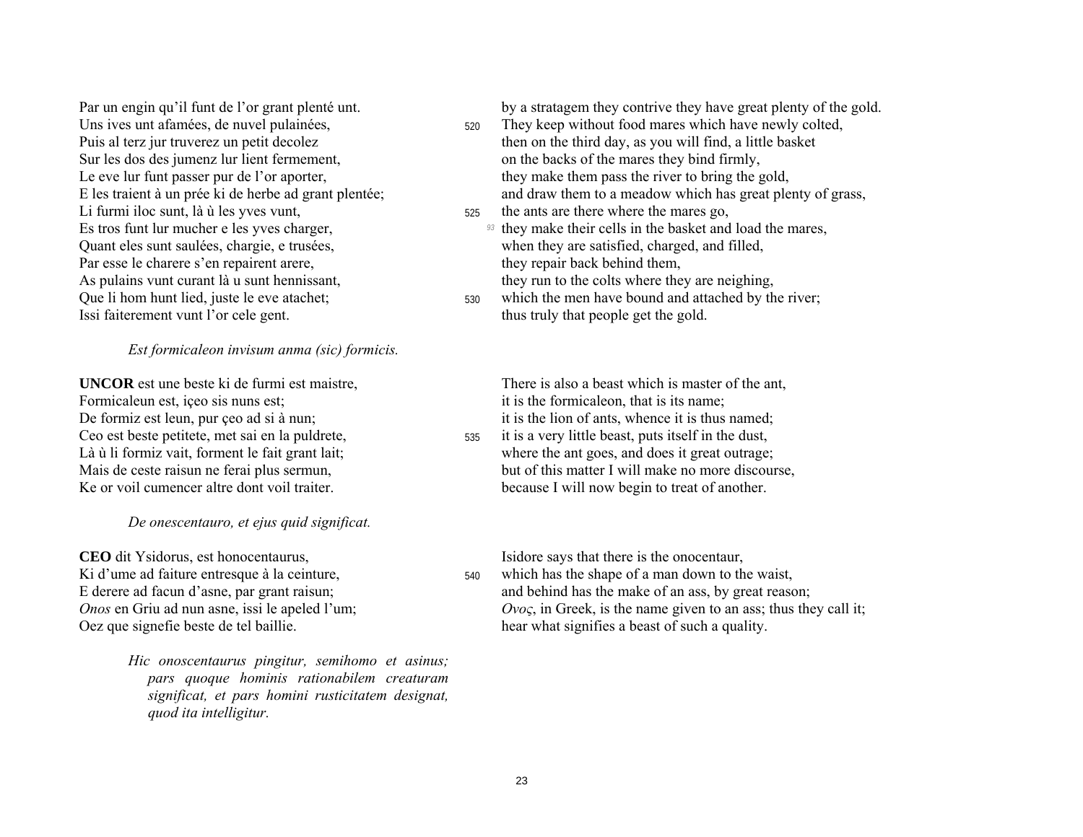Par un engin qu'il funt de l'or grant plenté unt. Uns ives unt afamées, de nuvel pulainées, Puis al terz jur truverez un petit decolez Sur les dos des jumenz lur lient fermement, Le eve lur funt passer pur de l'or aporter, E les traient à un prée ki de herbe ad grant plentée; Li furmi iloc sunt, là ù les yves vunt, Es tros funt lur mucher e les yves charger, Quant eles sunt saulées, chargie, e trusées, Par esse le charere s'en repairent arere, As pulains vunt curant là u sunt hennissant, Que li hom hunt lied, juste le eve atachet; Issi faiterement vunt l'or cele gent.

#### Est formicaleon invisum anma (sic) formicis.

**UNCOR** est une beste ki de furmi est maistre. Formicaleun est, içeo sis nuns est; De formiz est leun, pur çeo ad si à nun; Ceo est beste petitete, met sai en la puldrete, Là ù li formiz vait, forment le fait grant lait; Mais de ceste raisun ne ferai plus sermun, Ke or voil cumencer altre dont voil traiter.

#### De onescentauro, et ejus quid significat.

**CEO** dit Ysidorus, est honocentaurus. Ki d'ume ad faiture entresque à la ceinture, E derere ad facun d'asne, par grant raisun; Onos en Griu ad nun asne, issi le apeled l'um; Oez que signefie beste de tel baillie.

> Hic onoscentaurus pingitur, semihomo et asinus; pars quoque hominis rationabilem creaturam significat, et pars homini rusticitatem designat, quod ita intelligitur.

by a stratagem they contrive they have great plenty of the gold.

- They keep without food mares which have newly colted.  $520$ then on the third day, as you will find, a little basket on the backs of the mares they bind firmly, they make them pass the river to bring the gold, and draw them to a meadow which has great plenty of grass,
- the ants are there where the mares go, 525
	- <sup>93</sup> they make their cells in the basket and load the mares, when they are satisfied, charged, and filled, they repair back behind them. they run to the colts where they are neighing,
- which the men have bound and attached by the river. 530 thus truly that people get the gold.

There is also a beast which is master of the ant. it is the formicale on, that is its name; it is the lion of ants, whence it is thus named;

it is a very little beast, puts itself in the dust, 535 where the ant goes, and does it great outrage; but of this matter I will make no more discourse. because I will now begin to treat of another.

Isidore says that there is the onocentaur,

which has the shape of a man down to the waist, 540 and behind has the make of an ass, by great reason;  $Ovo\varsigma$ , in Greek, is the name given to an ass; thus they call it; hear what signifies a beast of such a quality.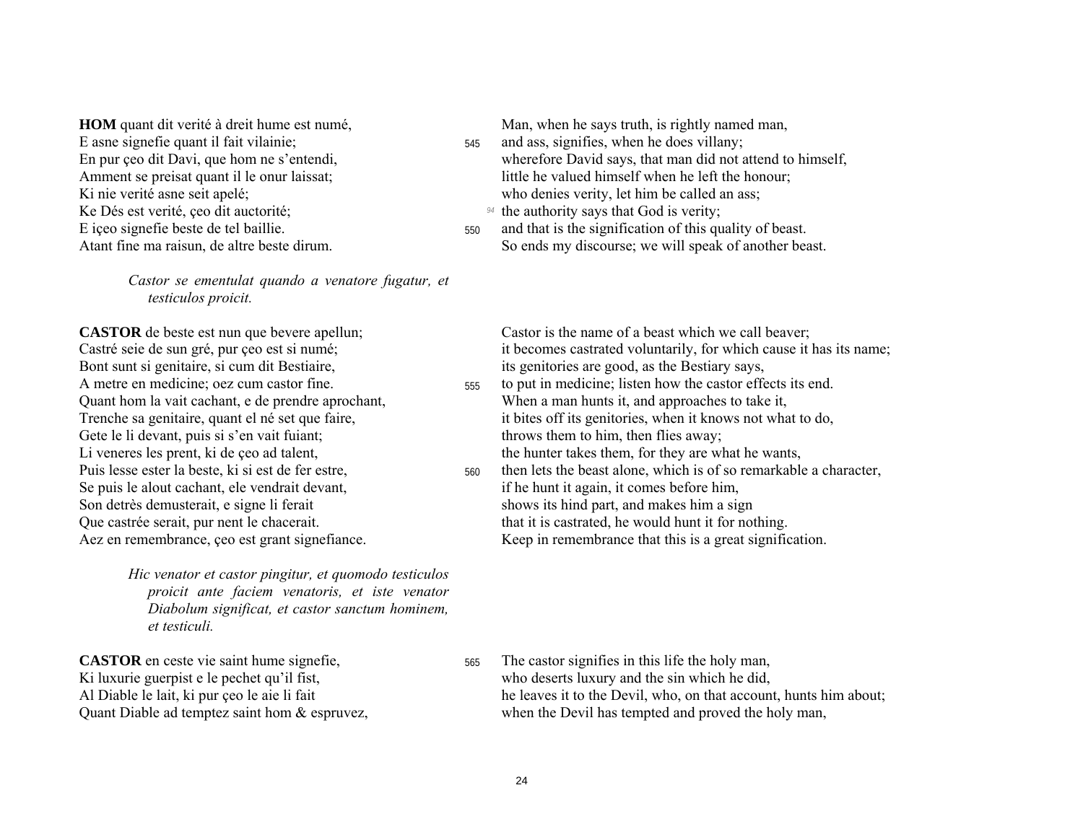**HOM** quant dit verité à dreit hume est numé, E asne signefie quant il fait vilainie; En pur çeo dit Davi, que hom ne s'entendi, Amment se preisat quant il le onur laissat; Ki nie verité asne seit apelé; Ke Dés est verité, çeo dit auctorité; E içeo signefie beste de tel baillie. Atant fine ma raisun, de altre beste dirum.

> Castor se ementulat quando a venatore fugatur, et testiculos proicit.

**CASTOR** de beste est nun que bevere apellun; Castré seie de sun gré, pur çeo est si numé; Bont sunt si genitaire, si cum dit Bestiaire, A metre en medicine; oez cum castor fine. Quant hom la vait cachant, e de prendre aprochant, Trenche sa genitaire, quant el né set que faire, Gete le li devant, puis si s'en vait fuiant; Li veneres les prent, ki de çeo ad talent, Puis lesse ester la beste, ki si est de fer estre, Se puis le alout cachant, ele vendrait devant, Son detrès demusterait, e signe li ferait Que castrée serait, pur nent le chacerait. Aez en remembrance, ceo est grant signefiance.

> Hic venator et castor pingitur, et quomodo testiculos proicit ante faciem venatoris, et iste venator Diabolum significat, et castor sanctum hominem, et testiculi.

**CASTOR** en ceste vie saint hume signefie, Ki luxurie guerpist e le pechet qu'il fist, Al Diable le lait, ki pur çeo le aie li fait Quant Diable ad temptez saint hom & espruvez, Man, when he says truth, is rightly named man,

- and ass, signifies, when he does villany; 545 wherefore David says, that man did not attend to himself, little he valued himself when he left the honour: who denies verity, let him be called an ass;
	- <sup>94</sup> the authority says that God is verity;
- and that is the signification of this quality of beast. 550 So ends my discourse; we will speak of another beast.

Castor is the name of a beast which we call beaver: it becomes castrated voluntarily, for which cause it has its name; its genitories are good, as the Bestiary says,

- to put in medicine; listen how the castor effects its end. 555 When a man hunts it, and approaches to take it, it bites off its genitories, when it knows not what to do, throws them to him, then flies away; the hunter takes them, for they are what he wants,
- then lets the beast alone, which is of so remarkable a character, 560 if he hunt it again, it comes before him, shows its hind part, and makes him a sign that it is castrated, he would hunt it for nothing. Keep in remembrance that this is a great signification.

The castor signifies in this life the holy man, 565 who deserts luxury and the sin which he did, he leaves it to the Devil, who, on that account, hunts him about; when the Devil has tempted and proved the holy man,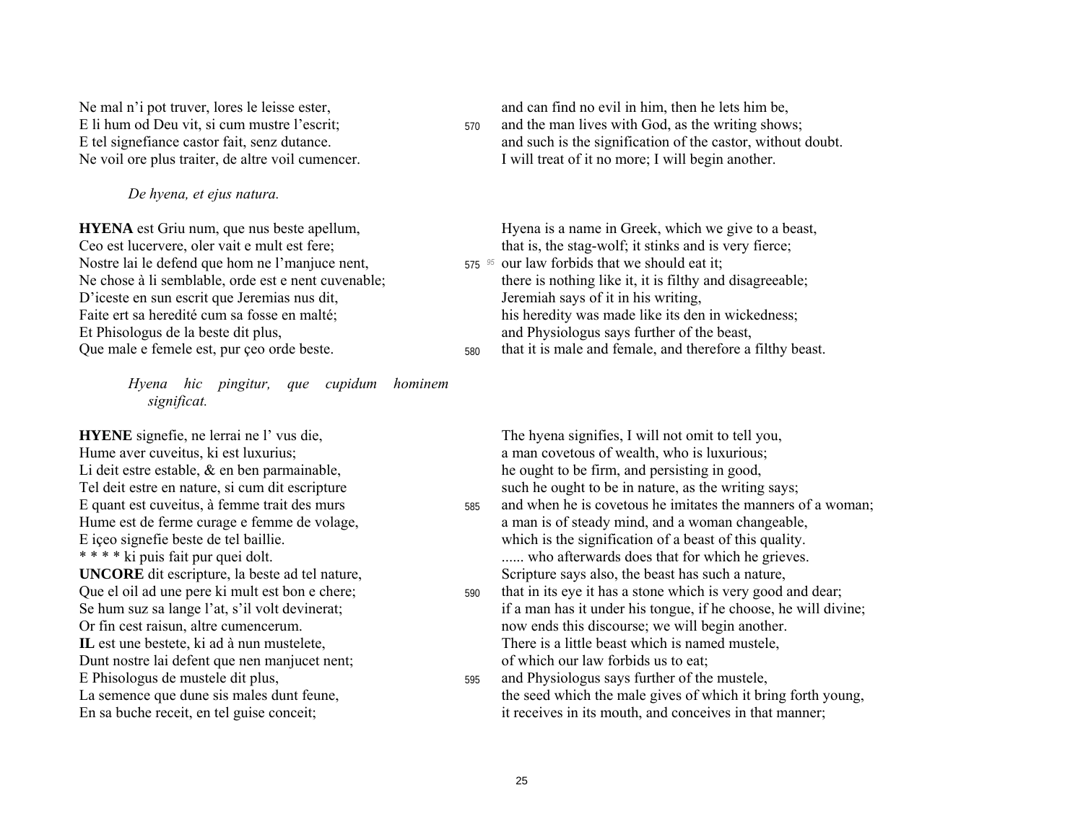*De hyena, et ejus natura.* 

Ceo est lucervere, oler vait e mult est fere; that is, the stag-wolf; it stinks and is very fierce; Nostre lai le defend que hom ne l'manjuce nent, 575 <sup>95</sup> our law forbids that we should eat it; D'iceste en sun escrit que Jeremias nus dit, Jeremiah says of it in his writing, Et Phisologus de la beste dit plus, and Physiologus says further of the beast,

*Hyena hic pingitur, que cupidum hominem significat.* 

Hume aver cuveitus, ki est luxurius; a man covetous of wealth, who is luxurious; Li deit estre estable, & en ben parmainable, he ought to be firm, and persisting in good, Tel deit estre en nature, si cum dit escripture such he ought to be in nature, as the writing says; Dunt nostre lai defent que nen manjucet nent; of which our law forbids us to eat;

Ne mal n'i pot truver, lores le leisse ester, and can find no evil in him, then he lets him be, E li hum od Deu vit, si cum mustre l'escrit; 570 and the man lives with God, as the writing shows; E tel signefiance castor fait, senz dutance. and such is the signification of the castor, without doubt. Ne voil ore plus traiter, de altre voil cumencer. I will treat of it no more; I will begin another.

**HYENA** est Griu num, que nus beste apellum, Hyena is a name in Greek, which we give to a beast,

- Ne chose à li semblable, orde est e nent cuvenable; there is nothing like it, it is filthy and disagreeable; Faite ert sa heredité cum sa fosse en malté; his heredity was made like its den in wickedness;
- Que male e femele est, pur çeo orde beste.  $\frac{580}{4}$  that it is male and female, and therefore a filthy beast.

**HYENE** signefie, ne lerrai ne l' vus die, The hyena signifies, I will not omit to tell you,

- E quant est cuveitus, à femme trait des murs 585 and when he is covetous he imitates the manners of a woman; Hume est de ferme curage e femme de volage. A man is of steady mind, and a woman changeable, E içeo signefie beste de tel baillie.<br>
\* \* \* ki puis fait pur quei dolt. which is the signification of a beast of this quality.<br>
who afterwards does that for which he grieves. ...... who afterwards does that for which he grieves. **UNCORE** dit escripture, la beste ad tel nature, Scripture says also, the beast has such a nature,
- Que el oil ad une pere ki mult est bon e chere;  $\frac{590}{4}$  that in its eye it has a stone which is very good and dear; Se hum suz sa lange l'at, s'il volt devinerat; in the settlement of a man has it under his tongue, if he choose, he will divine; Or fin cest raisun, altre cumencerum. now ends this discourse; we will begin another. **IL** est une bestete, ki ad à nun mustelete,  $\blacksquare$  **There is a little beast which is named mustele,**
- E Phisologus de mustele dit plus,  $\frac{595}{200}$  and Physiologus says further of the mustele, La semence que dune sis males dunt feune, the seed which the male gives of which it bring forth young, En sa buche receit, en tel guise conceit; it receives in its mouth, and conceives in that manner;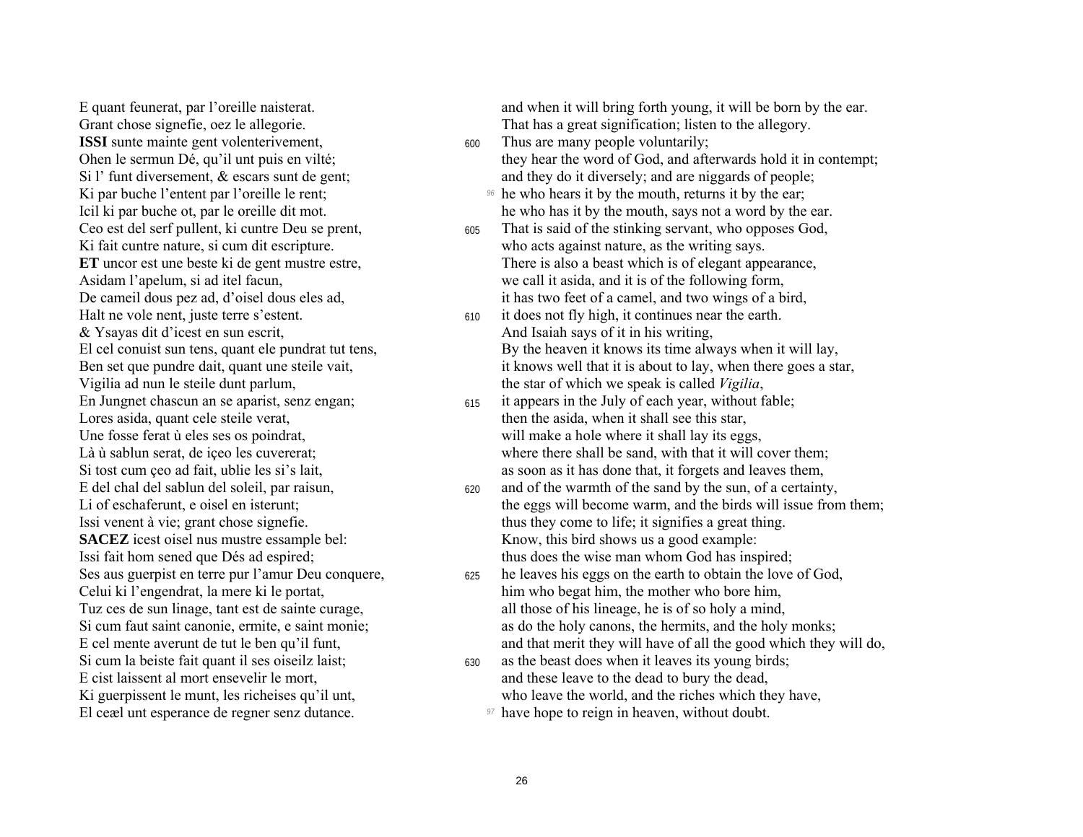**ISSI** sunte mainte gent volenterivement,  $\frac{600}{2}$  Thus are many people voluntarily; & Ysayas dit d'icest en sun escrit, And Isaiah says of it in his writing, Vigilia ad nun le steile dunt parlum, the star of which we speak is called *Vigilia*, Lores asida, quant cele steile verat, then the asida, when it shall see this star, **SACEZ** icest oisel nus mustre essample bel: Know, this bird shows us a good example: Si cum la beiste fait quant il ses oiseilz laist; 630 as the beast does when it leaves its young birds; El ceæl unt esperance de regner senz dutance. <sup>97</sup> have hope to reign in heaven, without doubt.

E quant feunerat, par l'oreille naisterat. And when it will bring forth young, it will be born by the ear. Grant chose signefie, oez le allegorie. That has a great signification; listen to the allegory.

- Ohen le sermun Dé, qu'il unt puis en vilté; they hear the word of God, and afterwards hold it in contempt; Si l' funt diversement,  $\&$  escars sunt de gent; and they do it diversely; and are niggards of people;
- Ki par buche l'entent par l'oreille le rent; <sup>96</sup> he who hears it by the mouth, returns it by the ear; Icil ki par buche ot, par le oreille dit mot. he who has it by the mouth, says not a word by the ear.
- Ceo est del serf pullent, ki cuntre Deu se prent, 605 That is said of the stinking servant, who opposes God, Ki fait cuntre nature, si cum dit escripture. who acts against nature, as the writing says. **ET** uncor est une beste ki de gent mustre estre, There is also a beast which is of elegant appearance, Asidam l'apelum, si ad itel facun, heliapped a server that we call it asida, and it is of the following form, De cameil dous pez ad, d'oisel dous eles ad, it has two feet of a camel, and two wings of a bird,
- Halt ne vole nent, juste terre s'estent. 610 it does not fly high, it continues near the earth. El cel conuist sun tens, quant ele pundrat tut tens, By the heaven it knows its time always when it will lay, Ben set que pundre dait, quant une steile vait, it knows well that it is about to lay, when there goes a star,
- En Jungnet chascun an se aparist, senz engan; 615 it appears in the July of each year, without fable; Une fosse ferat ù eles ses os poindrat, will make a hole where it shall lay its eggs, Là ù sablun serat, de içeo les cuvererat; where there shall be sand, with that it will cover them; Si tost cum çeo ad fait, ublie les si's lait, as soon as it has done that, it forgets and leaves them,
- E del chal del sablun del soleil, par raisun, 620 and of the warmth of the sand by the sun, of a certainty, Li of eschaferunt, e oisel en isterunt; the eggs will become warm, and the birds will issue from them; Issi venent à vie; grant chose signefie. thus they come to life; it signifies a great thing. Issi fait hom sened que Dés ad espired; thus does the wise man whom God has inspired;
- Ses aus guerpist en terre pur l'amur Deu conquere,  $\frac{625}{}$  he leaves his eggs on the earth to obtain the love of God, Celui ki l'engendrat, la mere ki le portat, him who begat him, the mother who bore him, Tuz ces de sun linage, tant est de sainte curage, all those of his lineage, he is of so holy a mind, Si cum faut saint canonie, ermite, e saint monie; as do the holy canons, the hermits, and the holy monks; E cel mente averunt de tut le ben qu'il funt, and that merit they will have of all the good which they will do,
- E cist laissent al mort ensevelir le mort, and these leave to the dead to bury the dead, Ki guerpissent le munt, les richeises qu'il unt, who leave the world, and the riches which they have,
	-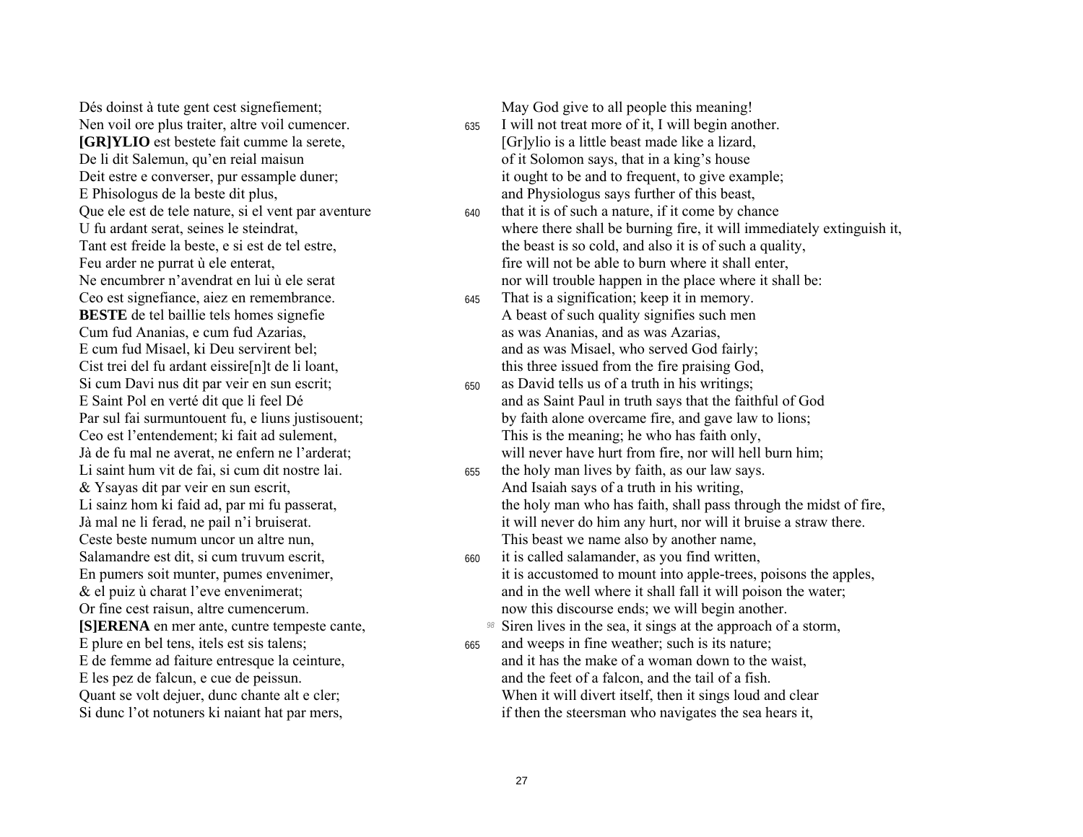Dés doinst à tute gent cest signefiement: Nen voil ore plus traiter, altre voil cumencer. [GR]YLIO est bestete fait cumme la serete, De li dit Salemun, qu'en reial maisun Deit estre e converser, pur essample duner; E Phisologus de la beste dit plus, Que ele est de tele nature, si el vent par aventure U fu ardant serat, seines le steindrat, Tant est freide la beste, e si est de tel estre, Feu arder ne purrat ù ele enterat. Ne encumbrer n'avendrat en lui ù ele serat Ceo est signefiance, aiez en remembrance. **BESTE** de tel baillie tels homes signefie Cum fud Ananias, e cum fud Azarias. E cum fud Misael, ki Deu servirent bel: Cist trei del fu ardant eissire [n]t de li loant. Si cum Davi nus dit par veir en sun escrit; E Saint Pol en verté dit que li feel Dé Par sul fai surmuntouent fu, e liuns justisouent; Ceo est l'entendement; ki fait ad sulement, Jà de fu mal ne averat, ne enfern ne l'arderat: Li saint hum vit de fai, si cum dit nostre lai. & Ysayas dit par veir en sun escrit, Li sainz hom ki faid ad, par mi fu passerat, Jà mal ne li ferad, ne pail n'i bruiserat. Ceste beste numum uncor un altre nun. Salamandre est dit, si cum truvum escrit. En pumers soit munter, pumes envenimer, & el puiz ù charat l'eve envenimerat; Or fine cest raisun, altre cumencerum. [S]ERENA en mer ante, cuntre tempeste cante, E plure en bel tens, itels est sis talens; E de femme ad faiture entresque la ceinture, E les pez de falcun, e cue de peissun. Quant se volt dejuer, dunc chante alt e cler; Si dunc l'ot notuners ki naiant hat par mers,

May God give to all people this meaning!

- I will not treat more of it, I will begin another. 635 [Gr]ylio is a little beast made like a lizard, of it Solomon says, that in a king's house it ought to be and to frequent, to give example; and Physiologus says further of this beast,
- that it is of such a nature, if it come by chance 640 where there shall be burning fire, it will immediately extinguish it, the beast is so cold, and also it is of such a quality, fire will not be able to burn where it shall enter. nor will trouble happen in the place where it shall be:
- That is a signification; keep it in memory. 645 A beast of such quality signifies such men as was Ananias, and as was Azarias. and as was Misael, who served God fairly; this three issued from the fire praising God.
- as David tells us of a truth in his writings; 650 and as Saint Paul in truth says that the faithful of God by faith alone overcame fire, and gave law to lions; This is the meaning; he who has faith only, will never have hurt from fire, nor will hell burn him;
- the holy man lives by faith, as our law says. 655 And Isaiah says of a truth in his writing, the holy man who has faith, shall pass through the midst of fire, it will never do him any hurt, nor will it bruise a straw there. This beast we name also by another name,
- it is called salamander, as you find written, 660 it is accustomed to mount into apple-trees, poisons the apples, and in the well where it shall fall it will poison the water; now this discourse ends; we will begin another.
	- <sup>98</sup> Siren lives in the sea, it sings at the approach of a storm,
- and weeps in fine weather; such is its nature; 665 and it has the make of a woman down to the waist. and the feet of a falcon, and the tail of a fish. When it will divert itself, then it sings loud and clear if then the steersman who navigates the sea hears it,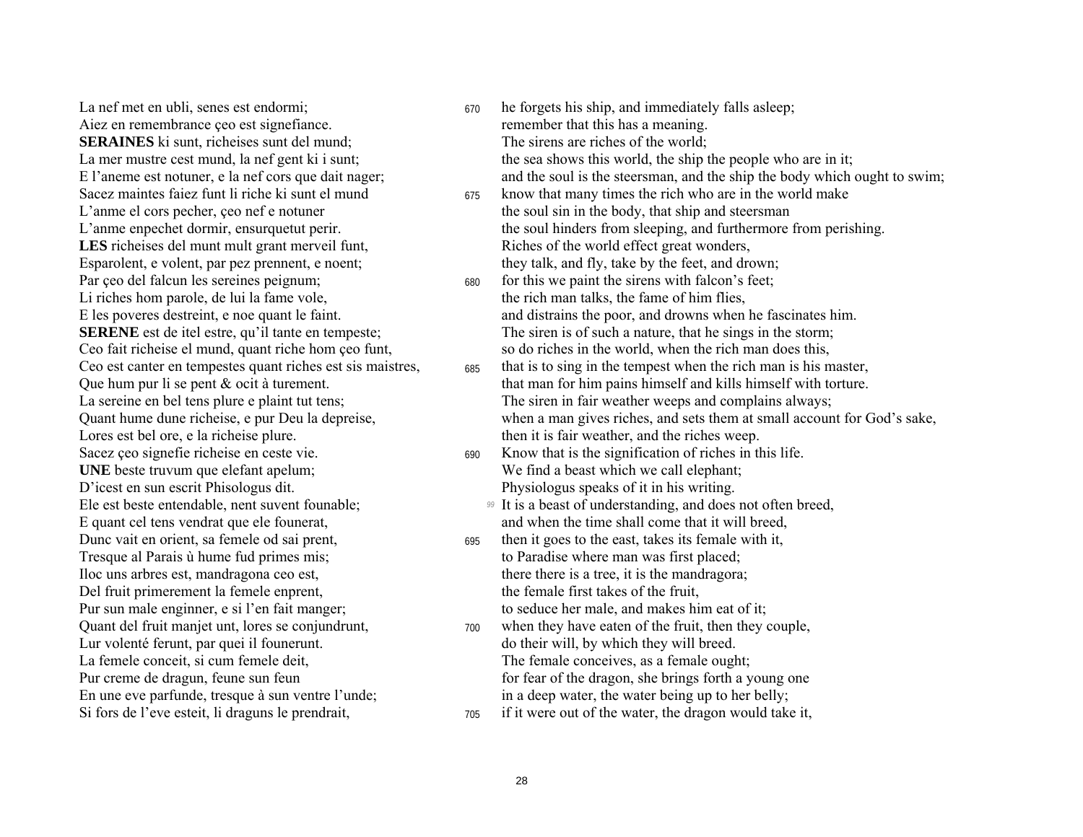Aiez en remembrance ceo est signefiance. The meaning remember that this has a meaning. **SERAINES** ki sunt, richeises sunt del mund; The sirens are riches of the world; Sacez maintes faiez funt li riche ki sunt el mund 675LES richeises del munt mult grant merveil funt, Riches of the world effect great wonders, Li riches hom parole, de lui la fame vole. the rich man talks, the fame of him flies, Lores est bel ore, e la richeise plure. then it is fair weather, and the riches weep. **UNE** beste truvum que elefant apelum; We find a beast which we call elephant; D'icest en sun escrit Phisologus dit. Physiologus speaks of it in his writing. Tresque al Parais ù hume fud primes mis; to Paradise where man was first placed; Iloc uns arbres est, mandragona ceo est, there is a tree, it is the mandragora; Del fruit primerement la femele enprent, the female first takes of the fruit, Pur sun male enginner, e si l'en fait manger; to seduce her male, and makes him eat of it; Lur volentÈ ferunt, par quei il founerunt. do their will, by which they will breed. La femele conceit, si cum femele deit, The female conceives, as a female ought; En une eve parfunde, tresque à sun ventre l'unde; in a deep water, the water being up to her belly; Si fors de l'eve esteit, li draguns le prendrait,  $\frac{705}{4}$  if it were out of the water, the dragon would take it,

La nef met en ubli, senes est endormi;  $\frac{670}{ }$  he forgets his ship, and immediately falls asleep; La mer mustre cest mund, la nef gent ki i sunt; the sea shows this world, the ship the people who are in it; E l'aneme est notuner, e la nef cors que dait nager; and the soul is the steersman, and the ship the body which ought to swim; know that many times the rich who are in the world make L'anme el cors pecher, çeo nef e notuner the soul sin in the body, that ship and steersman L'anme enpechet dormir, ensurquetut perir. the soul hinders from sleeping, and furthermore from perishing. Esparolent, e volent, par pez prennent, e noent; they talk, and fly, take by the feet, and drown; Par ceo del falcun les sereines peignum; 680 for this we paint the sirens with falcon's feet; E les poveres destreint, e noe quant le faint. and distrains the poor, and drowns when he fascinates him. **SERENE** est de itel estre, qu'il tante en tempeste; The siren is of such a nature, that he sings in the storm; Ceo fait richeise el mund, quant riche hom ceo funt, so do riches in the world, when the rich man does this, Ceo est canter en tempestes quant riches est sis maistres,  $\frac{685}{100}$  that is to sing in the tempest when the rich man is his master, Que hum pur li se pent  $\&$  ocit à turement. that man for him pains himself and kills himself with torture. La sereine en bel tens plure e plaint tut tens;<br>
Ouant hume dune richeise, e pur Deu la depreise,<br>
When a man gives riches, and sets them at small account when a man gives riches, and sets them at small account for God's sake, Sacez ceo signefie richeise en ceste vie. 690 Know that is the signification of riches in this life. Ele est beste entendable, nent suvent founable; *99* It is a beast of understanding, and does not often breed, E quant cel tens vendrat que ele founerat, and when the time shall come that it will breed, Dunc vait en orient, sa femele od sai prent, 695 then it goes to the east, takes its female with it, Quant del fruit manjet unt, lores se conjundrunt,  $\frac{700}{}$  when they have eaten of the fruit, then they couple, Pur creme de dragun, feune sun feun forther than the dragon, she brings forth a young one

- 
-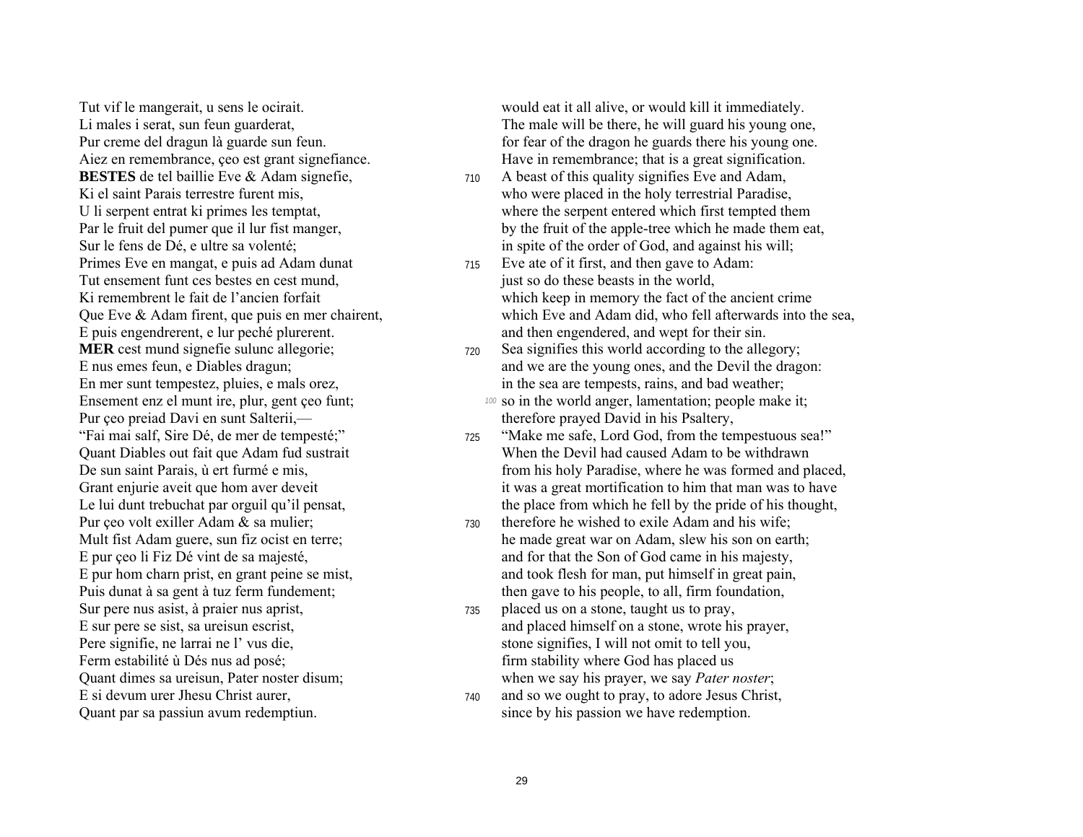**BESTES** de tel baillie Eve & Adam signefie,  $\frac{710}{4}$  A beast of this quality signifies Eve and Adam, Primes Eve en mangat, e puis ad Adam dunat 715 Eve ate of it first, and then gave to Adam: Tut ensement funt ces bestes en cest mund, just so do these beasts in the world, **MER** cest mund signefie sulunc allegorie:  $\frac{720}{4}$  Sea signifies this world according to the allegory; Pur çeo preiad Davi en sunt Salterii, therefore prayed David in his Psaltery,<br>
"Fai mai salf, Sire Dé, de mer de tempesté;" 725 "Make me safe, Lord God, from the ter Sur pere nus asist, à praier nus aprist,  $\frac{735}{4}$  placed us on a stone, taught us to pray, Pere signifie, ne larrai ne l' vus die, stone signifies, I will not omit to tell you, Ferm estabilité ù Dés nus ad posé; firm stability where God has placed us E si devum urer Jhesu Christ aurer,  $\frac{740}{20}$  and so we ought to pray, to adore Jesus Christ,

Tut vif le mangerait, u sens le ocirait. would eat it all alive, or would kill it immediately. Li males i serat, sun feun guarderat, the male will be the male will be there, he will guard his young one, Pur creme del dragun là guarde sun feun. for fear of the dragon he guards there his young one. Aiez en remembrance, ceo est grant signefiance. Have in remembrance; that is a great signification.

- Ki el saint Parais terrestre furent mis, who were placed in the holy terrestrial Paradise, U li serpent entrat ki primes les temptat, where the serpent entered which first tempted them Par le fruit del pumer que il lur fist manger, by the fruit of the apple-tree which he made them eat, Sur le fens de Dé, e ultre sa volenté:<br>
in spite of the order of God, and against his will;
- Ki remembrent le fait de l'ancien forfait which keep in memory the fact of the ancient crime Que Eve & Adam firent, que puis en mer chairent, which Eve and Adam did, who fell afterwards into the sea, E puis engendrerent, e lur pechÈ plurerent. and then engendered, and wept for their sin.
- E nus emes feun, e Diables dragun; and we are the young ones, and the Devil the dragon: En mer sunt tempestez, pluies, e mals orez, in the sea are tempests, rains, and bad weather;
- Ensement enz el munt ire, plur, gent ceo funt; *100 so* in the world anger, lamentation; people make it;
- <sup>725</sup> "Make me safe, Lord God, from the tempestuous sea!" Quant Diables out fait que Adam fud sustrait When the Devil had caused Adam to be withdrawn De sun saint Parais, ù ert furmé e mis, from his holy Paradise, where he was formed and placed, Grant enjurie aveit que hom aver deveit it was a great mortification to him that man was to have Le lui dunt trebuchat par orguil qu'il pensat, the place from which he fell by the pride of his thought,
- Pur ceo volt exiller Adam  $\&$  sa mulier;  $\qquad \qquad$  730 therefore he wished to exile Adam and his wife; Mult fist Adam guere, sun fiz ocist en terre; he made great war on Adam, slew his son on earth; E pur ceo li Fiz Dé vint de sa majesté, and for that the Son of God came in his majesty, E pur hom charn prist, en grant peine se mist,<br>
Puis dunat à sa gent à tuz ferm fundement;<br>
then gave to his people, to all, firm foundation, then gave to his people, to all, firm foundation,
- E sur pere se sist, sa ureisun escrist, and placed himself on a stone, wrote his prayer, Quant dimes sa ureisun, Pater noster disum; when we say his prayer, we say *Pater noster*;
- Quant par sa passiun avum redemptiun.  $\frac{1}{2}$  since by his passion we have redemption.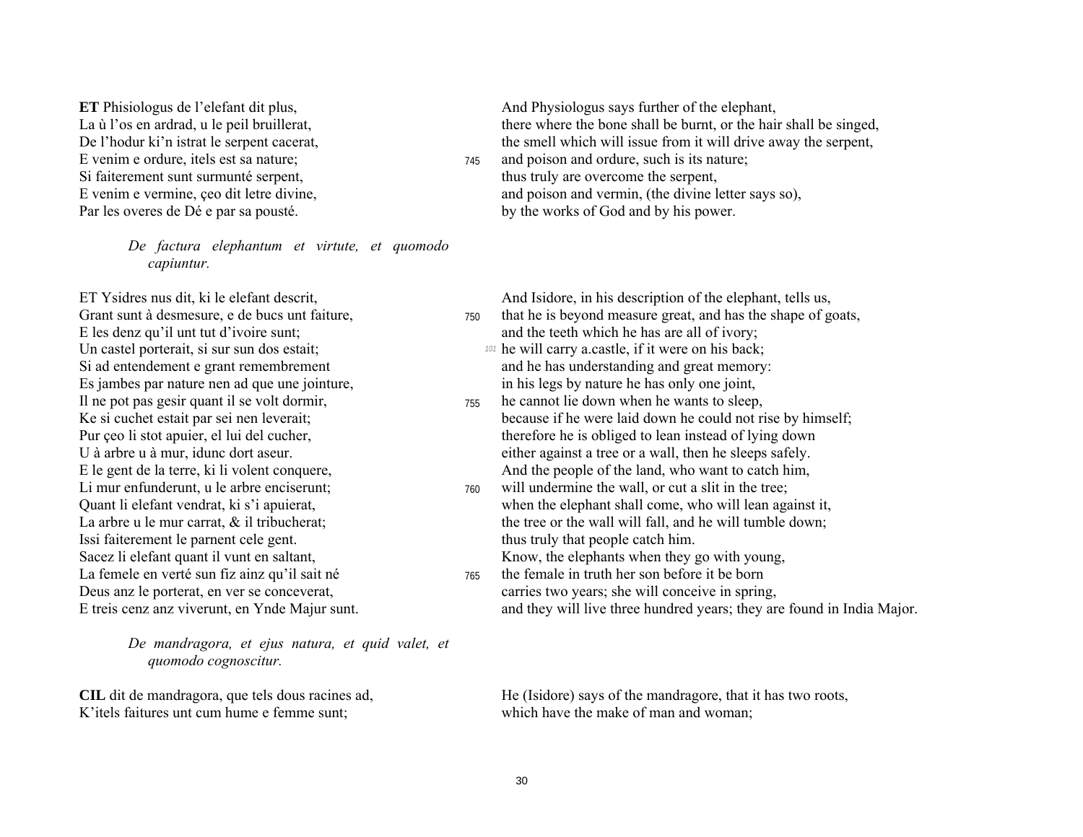Si faiterement sunt surmunté serpent, thus truly are overcome the serpent,

*De factura elephantum et virtute, et quomodo capiuntur.* 

Un castel porterait, si sur sun dos estait; **101 <b>he** will carry a.castle, if it were on his back; Si ad entendement e grant remembrement and he has understanding and great memory: Es jambes par nature nen ad que une jointure, in his legs by nature he has only one joint, Issi faiterement le parnent cele gent. thus truly that people catch him. Sacez li elefant quant il vunt en saltant,<br>
La femele en verté sun fiz ainz qu'il sait né<br>  $\frac{765}{400}$  the female in truth her son before it be born La femele en verté sun fiz ainz qu'il sait né 765

*De mandragora, et ejus natura, et quid valet, et quomodo cognoscitur.* 

K' itels faitures unt cum hume e femme sunt; which have the make of man and woman;

**ET** Phisiologus de l'elefant dit plus, And Physiologus says further of the elephant, La ù l'os en ardrad, u le peil bruillerat, there where the bone shall be burnt, or the hair shall be singed, De l'hodur ki'n istrat le serpent cacerat, the smell which will issue from it will drive away the serpent, E venim e ordure, itels est sa nature;  $\frac{745}{45}$  and poison and ordure, such is its nature;

E venim e vermine, ceo dit letre divine, and poison and vermin, (the divine letter says so), Par les overes de Dé e par sa pousté. by the works of God and by his power.

ET Ysidres nus dit, ki le elefant descrit, And Isidore, in his description of the elephant, tells us,

- Grant sunt à desmesure, e de bucs unt faiture,  $\frac{750}{4}$  that he is beyond measure great, and has the shape of goats,  $E$  les denz qu'il unt tut d'ivoire sunt; and the teeth which he has are all of ivory;
	-
- Il ne pot pas gesir quant il se volt dormir, <sup>755</sup> he cannot lie down when he wants to sleep, Ke si cuchet estait par sei nen leverait; because if he were laid down he could not rise by himself; Pur çeo li stot apuier, el lui del cucher,<br>U à arbre u à mur, idunc dort aseur.<br>U à arbre u à mur, idunc dort aseur.<br>
El este de la partie de la partie de la partie de la partie de la partie de la partie de la partie de la either against a tree or a wall, then he sleeps safely. E le gent de la terre, ki li volent conquere, And the people of the land, who want to catch him,
- Li mur enfunderunt, u le arbre enciserunt;  $\frac{760}{400}$  will undermine the wall, or cut a slit in the tree; Quant li elefant vendrat, ki s'i apuierat, when the elephant shall come, who will lean against it, La arbre u le mur carrat,  $\&$  il tribucherat; the tree or the wall will fall, and he will tumble down;
- Deus anz le porterat, en ver se conceverat, carries two years; she will conceive in spring, E treis cenz anz viverunt, en Ynde Majur sunt. and they will live three hundred years; they are found in India Major.

**CIL** dit de mandragora, que tels dous racines ad, He (Isidore) says of the mandragore, that it has two roots,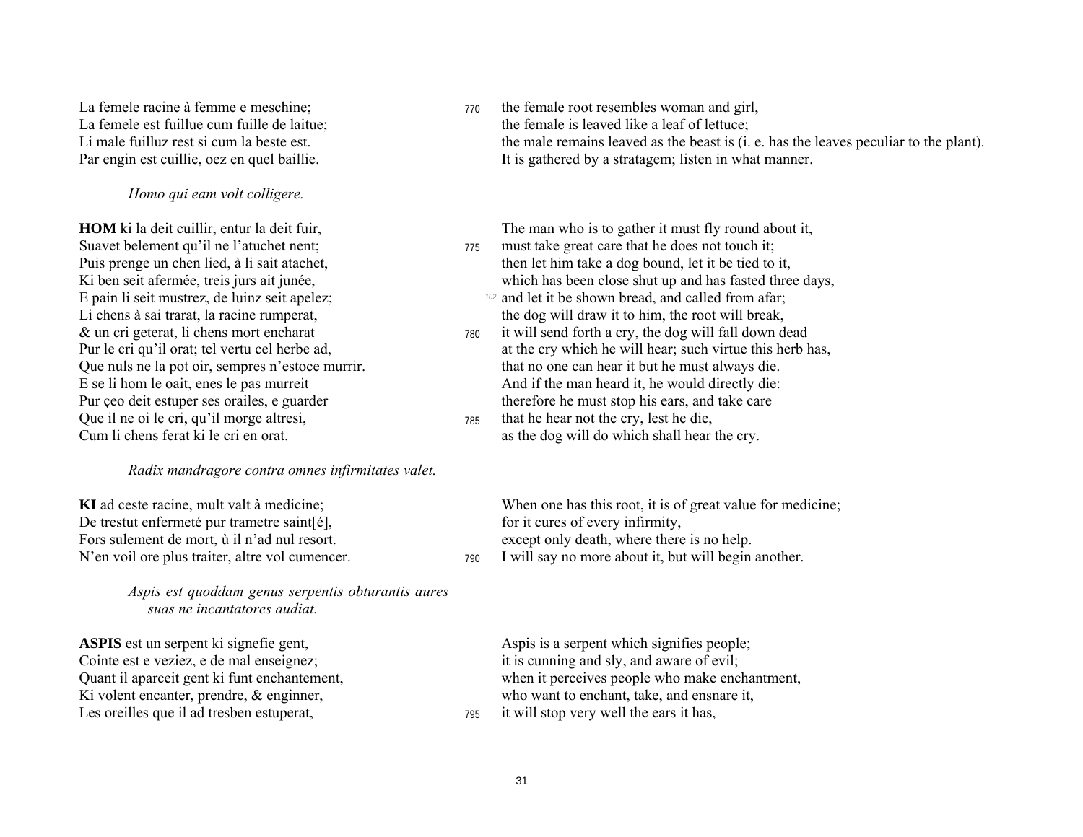*Homo qui eam volt colligere.* 

Suavet belement qu'il ne l'atuchet nent; 775 must take great care that he does not touch it; E pain li seit mustrez, de luinz seit apelez; *<sup>102</sup>* and let it be shown bread, and called from afar; & un cri geterat, li chens mort encharat <sup>780</sup> it will send forth a cry, the dog will fall down dead Que il ne oi le cri, qu'il morge altresi,  $\frac{785}{4}$  that he hear not the cry, lest he die, Cum li chens ferat ki le cri en orat. as the dog will do which shall hear the cry.

#### *Radix mandragore contra omnes infirmitates valet.*

De trestut enfermeté pur trametre saint[é], for it cures of every infirmity, Fors sulement de mort,  $\dot{u}$  il n'ad nul resort. except only death, where there is no help. N'en voil ore plus traiter, altre vol cumencer. 790 I will say no more about it, but will begin another.

*Aspis est quoddam genus serpentis obturantis aures suas ne incantatores audiat.* 

Cointe est e veziez, e de mal enseignez; it is cunning and sly, and aware of evil; Ki volent encanter, prendre, & enginner, who want to enchant, take, and ensnare it, Les oreilles que il ad tresben estuperat,  $\frac{795}{4}$  it will stop very well the ears it has,

La femele racine à femme e meschine;  $\frac{770}{4}$  the female root resembles woman and girl, La femele est fuillue cum fuille de laitue; the female is leaved like a leaf of lettuce; Li male fuilluz rest si cum la beste est. the male remains leaved as the beast is (i. e. has the leaves peculiar to the plant). Par engin est cuillie, oez en quel baillie. It is gathered by a stratagem; listen in what manner.

**HOM** ki la deit cuillir, entur la deit fuir, The man who is to gather it must fly round about it,

Puis prenge un chen lied, à li sait atachet, then let him take a dog bound, let it be tied to it, Ki ben seit afermée, treis jurs ait junée, which has been close shut up and has fasted three days,

Li chens à sai trarat, la racine rumperat, the dog will draw it to him, the root will break,

- Pur le cri qu'il orat; tel vertu cel herbe ad, at the cry which he will hear; such virtue this herb has, Que nuls ne la pot oir, sempres n'estoce murrir. that no one can hear it but he must always die. E se li hom le oait, enes le pas murreit And if the man heard it, he would directly die: Pur ceo deit estuper ses orailes, e guarder therefore he must stop his ears, and take care
	-

**KI** ad ceste racine, mult valt à medicine; When one has this root, it is of great value for medicine;

**ASPIS** est un serpent ki signefie gent, Aspis is a serpent which signifies people; Quant il aparceit gent ki funt enchantement, when it perceives people who make enchantment,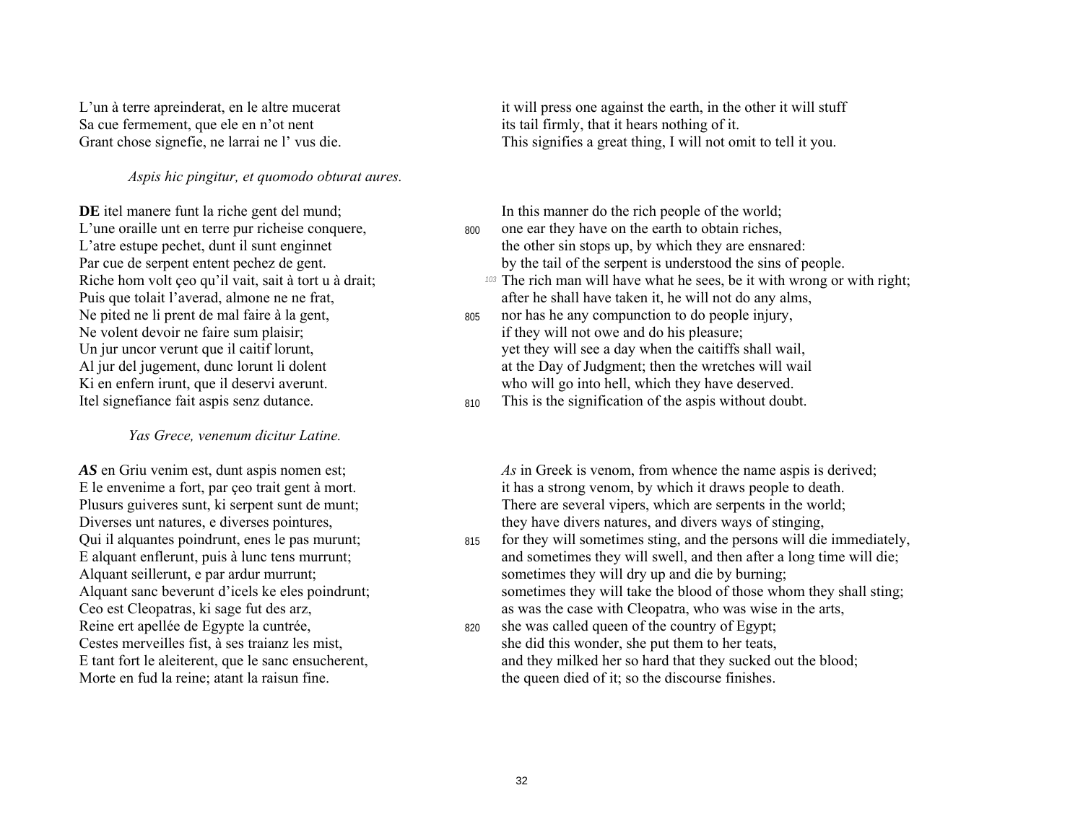Sa cue fermement, que ele en n'ot nent its tail firmly, that it hears nothing of it.

*Aspis hic pingitur, et quomodo obturat aures.* 

**DE** itel manere funt la riche gent del mund; In this manner do the rich people of the world; L'une oraille unt en terre pur richeise conquere, 800 one ear they have on the earth to obtain riches, Puis que tolait l'averad, almone ne ne frat,<br>
Ne pited ne li prent de mal faire à la gent,<br>  $\frac{1}{205}$  nor has he any compunction to do people injury,

#### *Yas Grece, venenum dicitur Latine.*

Reine ert apellée de Egypte la cuntrée,  $\frac{820}{100}$  she was called queen of the country of Egypt;

L'un à terre apreinderat, en le altre mucerat it will press one against the earth, in the other it will stuff Grant chose signefie, ne larrai ne l' vus die. This signifies a great thing, I will not omit to tell it you.

- L'atre estupe pechet, dunt il sunt enginnet the other sin stops up, by which they are ensnared: Par cue de serpent entent pechez de gent. by the tail of the serpent is understood the sins of people.
- Riche hom volt çeo qu'il vait, sait à tort u à drait; *103* The rich man will have what he sees, be it with wrong or with right;<br>Puis que tolait l'averad, almone ne ne frat, after he shall have taken it, he will not do any
- Ne pited ne li prent de mal faire à la gent,<br>
805 nor has he any compunction to do people injury,<br>
805 nor has he any compunction to do people injury,<br>
if they will not owe and do his pleasure: if they will not owe and do his pleasure; Un jur uncor verunt que il caitif lorunt, yet they will see a day when the caitiffs shall wail, Al jur del jugement, dunc lorunt li dolent at the Day of Judgment; then the wretches will wail Ki en enfern irunt, que il deservi averunt. who will go into hell, which they have deserved.
- Itel signefiance fait aspis senz dutance. 810 This is the signification of the aspis without doubt.

*AS* en Griu venim est, dunt aspis nomen est; *As* in Greek is venom, from whence the name aspis is derived; E le envenime a fort, par çeo trait gent à mort. it has a strong venom, by which it draws people to death. Plusurs guiveres sunt, ki serpent sunt de munt; There are several vipers, which are serpents in the world; Diverses unt natures, e diverses pointures, they have divers natures, and divers ways of stinging,

- Qui il alquantes poindrunt, enes le pas murunt; 815 for they will sometimes sting, and the persons will die immediately, E alquant enflerunt, puis à lunc tens murrunt; and sometimes they will swell, and then after a long time will die; Alquant seillerunt, e par ardur murrunt;<br>Alquant sanc beverunt d'icels ke eles poindrunt;<br>Sometimes they will take the blood of those who sometimes they will take the blood of those whom they shall sting; Ceo est Cleopatras, ki sage fut des arz, as was the case with Cleopatra, who was wise in the arts,
- Cestes merveilles fist, à ses traianz les mist, she put them to her teats, she put them to her teats, E tant fort le aleiterent, que le sanc ensucherent, and they milked her so hard that they sucked out the blood; Morte en fud la reine; atant la raisun fine. the queen died of it; so the discourse finishes.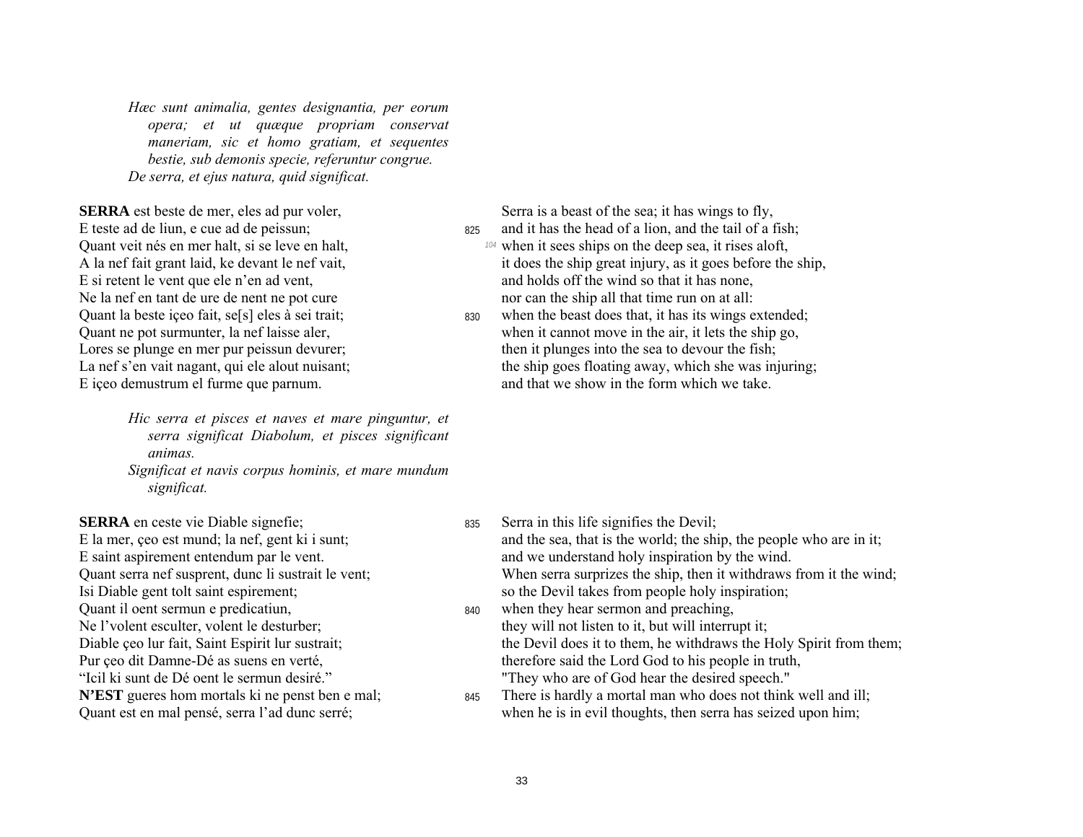*Hæc sunt animalia, gentes designantia, per eorum opera;* et ut quæque propriam conservat *maneriam, sic et homo gratiam, et sequentes bestie, sub demonis specie, referuntur congrue. De serra, et ejus natura, quid significat.* 

**SERRA** est beste de mer, eles ad pur voler, Serra is a beast of the sea; it has wings to fly, E teste ad de liun, e cue ad de peissun; 825 and it has the head of a lion, and the tail of a fish;

*Hic serra et pisces et naves et mare pinguntur, et serra significat Diabolum, et pisces significant animas.* 

*Significat et navis corpus hominis, et mare mundum significat.* 

Quant il oent sermun e predicatiun,  $_{840}$  when they hear sermon and preaching, Diable ceo lur fait, Saint Espirit lur sustrait; the Devil does it to them, he withdraws the Holy Spirit from them; ìIcil ki sunt de DÈ oent le sermun desirÈ.î "They who are of God hear the desired speech."

- Quant veit nés en mer halt, si se leve en halt, *104* when it sees ships on the deep sea, it rises aloft, A la nef fait grant laid, ke devant le nef vait, it does the ship great injury, as it goes before the ship, E si retent le vent que ele n'en ad vent, and holds off the wind so that it has none, Ne la nef en tant de ure de nent ne pot cure nor can the ship all that time run on at all:
- Quant la beste içeo fait, se[s] eles à sei trait; 830 when the beast does that, it has its wings extended; Quant ne pot surmunter, la nef laisse aler, when it cannot move in the air, it lets the ship go, Lores se plunge en mer pur peissun devurer; the nit plunges into the sea to devour the fish; La nef s'en vait nagant, qui ele alout nuisant; the ship goes floating away, which she was injuring; E iceo demustrum el furme que parnum. And that we show in the form which we take.

- **SERRA** en ceste vie Diable signefie; 835 Serra in this life signifies the Devil; E la mer, ceo est mund; la nef, gent ki i sunt; and the sea, that is the world; the ship, the people who are in it; E saint aspirement entendum par le vent.<br>
Ouant serra nef susprent, dunc li sustrait le vent;<br>
When serra surprizes the ship, then it withdraws When serra surprizes the ship, then it withdraws from it the wind; Isi Diable gent tolt saint espirement; so the Devil takes from people holy inspiration; Ne l'volent esculter, volent le desturber; they will not listen to it, but will interrupt it;
- Pur ceo dit Damne-Dé as suens en verté, therefore said the Lord God to his people in truth,
- **N'EST** gueres hom mortals ki ne penst ben e mal; 845 There is hardly a mortal man who does not think well and ill; Quant est en mal pensé, serra l'ad dunc serré; when he is in evil thoughts, then serra has seized upon him;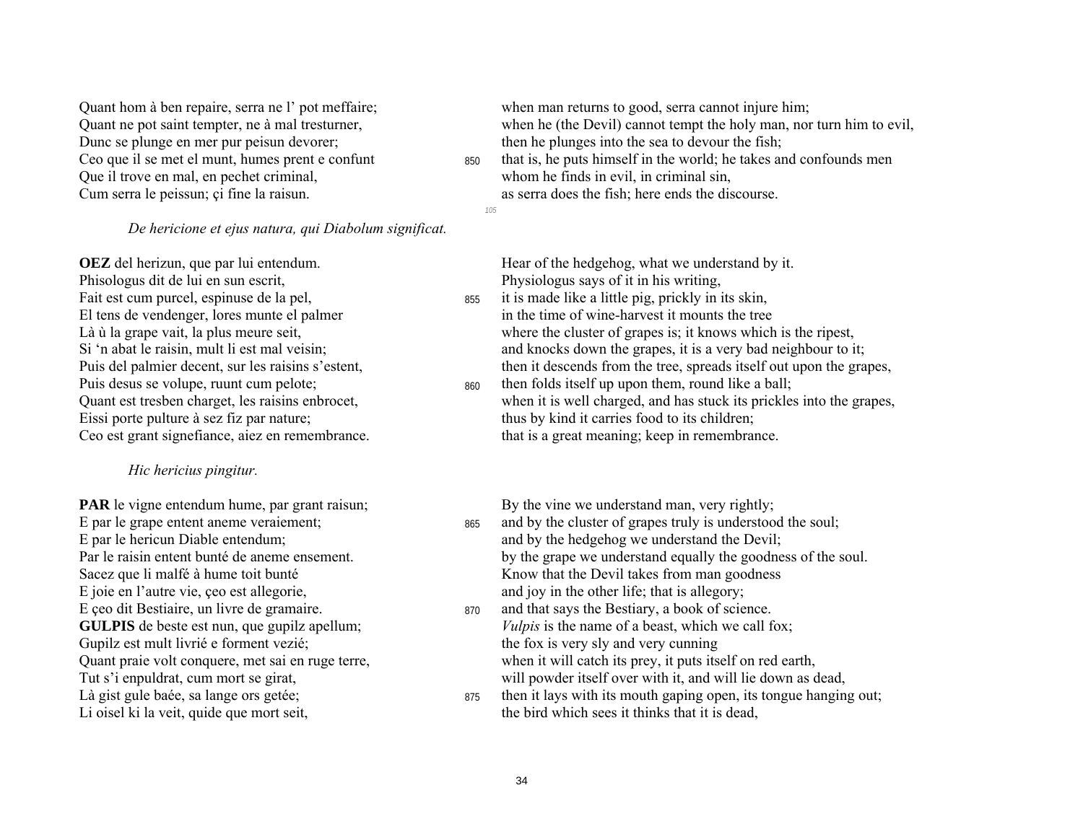Dunc se plunge en mer pur peisun devorer; then he plunges into the sea to devour the fish; Que il trove en mal, en pechet criminal, Cum serra le peissun; ci fine la raisun.  $\frac{1}{10}$  as serra does the fish; here ends the discourse.

*De hericione et ejus natura, qui Diabolum significat.* 

**OEZ** del herizun, que par lui entendum.<br>
Hear of the hedgehog, what we understand by it.<br>
Physiologus says of it in his writing, Phisologus dit de lui en sun escrit,<br>Fait est cum purcel, espinuse de la pel,<br>Fait est cum purcel, espinuse de la pel,<br>Fait est cum purcel, espinuse de la pel,<br>Fait est cum purcel, espinuse de la pel, Puis desus se volupe, ruunt cum pelote; 860 then folds itself up upon them, round like a ball;

#### *Hic hericius pingitur.*

**PAR** le vigne entendum hume, par grant raisun; By the vine we understand man, very rightly; E joie en l'autre vie, ceo est allegorie, and joy in the other life; that is allegory; E ceo dit Bestiaire, un livre de gramaire. 870 and that says the Bestiary, a book of science. Gupilz est mult livrié e forment vezié; the fox is very sly and very cunning

Quant hom à ben repaire, serra ne l' pot meffaire; when man returns to good, serra cannot injure him;

Quant ne pot saint tempter, ne à mal tresturner, when he (the Devil) cannot tempt the holy man, nor turn him to evil,

Ceo que il se met el munt, humes prent e confunt 850 that is, he puts himself in the world; he takes and confounds men<br>Oue il trove en mal, en pechet criminal,<br>Whom he finds in evil, in criminal sin,

*105* 

855 it is made like a little pig, prickly in its skin, El tens de vendenger, lores munte el palmer in the time of wine-harvest it mounts the tree<br>Là ù la grape vait, la plus meure seit,<br>where the cluster of grapes is; it knows which where the cluster of grapes is; it knows which is the ripest. Si 'n abat le raisin, mult li est mal veisin; and knocks down the grapes, it is a very bad neighbour to it; Puis del palmier decent, sur les raisins s'estent, then it descends from the tree, spreads itself out upon the grapes,

Quant est tresben charget, les raisins enbrocet, when it is well charged, and has stuck its prickles into the grapes, Eissi porte pulture à sez fiz par nature; thus by kind it carries food to its children; Ceo est grant signefiance, aiez en remembrance. that is a great meaning; keep in remembrance.

- E par le grape entent aneme veraiement; 865 and by the cluster of grapes truly is understood the soul; E par le hericun Diable entendum; and by the hedgehog we understand the Devil; Par le raisin entent bunté de aneme ensement. by the grape we understand equally the goodness of the soul. Sacez que li malfé à hume toit bunté  $\blacksquare$  Know that the Devil takes from man goodness
- **GULPIS** de beste est nun, que gupilz apellum; *Vulpis* is the name of a beast, which we call fox; Quant praie volt conquere, met sai en ruge terre, when it will catch its prey, it puts itself on red earth, Tut s'i enpuldrat, cum mort se girat, will powder itself over with it, and will lie down as dead,
- Là gist gule baée, sa lange ors getée;  $\frac{875}{100}$  then it lays with its mouth gaping open, its tongue hanging out; Li oisel ki la veit, quide que mort seit, the bird which sees it thinks that it is dead,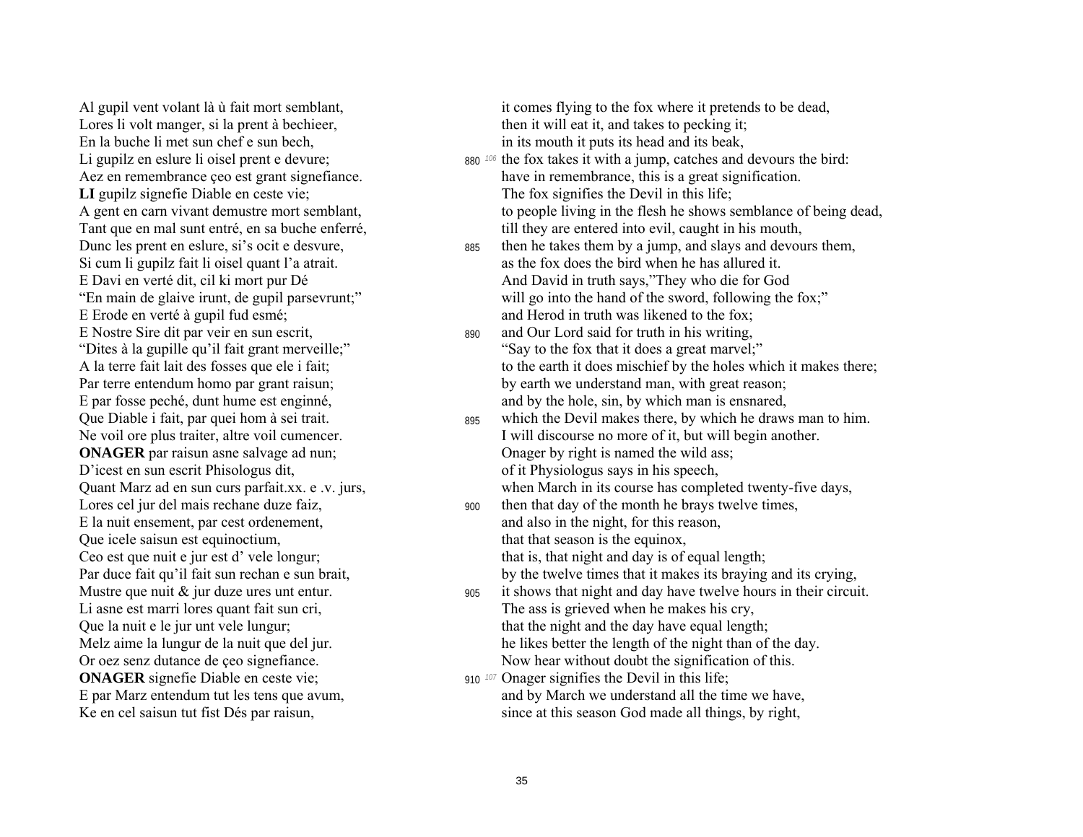Al gupil vent volant là ù fait mort semblant, Lores li volt manger, si la prent à bechieer, En la buche li met sun chef e sun bech. Li gupilz en eslure li oisel prent e devure; Aez en remembrance çeo est grant signefiance. LI gupilz signefie Diable en ceste vie; A gent en carn vivant demustre mort semblant, Tant que en mal sunt entré, en sa buche enferré, Dunc les prent en eslure, si's ocit e desvure, Si cum li gupilz fait li oisel quant l'a atrait. E Davi en verté dit, cil ki mort pur Dé "En main de glaive irunt, de gupil parsevrunt;" E Erode en verté à gupil fud esmé; E Nostre Sire dit par veir en sun escrit. "Dites à la gupille qu'il fait grant merveille;" A la terre fait lait des fosses que ele i fait; Par terre entendum homo par grant raisun; E par fosse peché, dunt hume est engine, Que Diable i fait, par quei hom à sei trait. Ne voil ore plus traiter, altre voil cumencer. **ONAGER** par raisun asne salvage ad nun; D'icest en sun escrit Phisologus dit, Quant Marz ad en sun curs parfait.xx. e .v. jurs, Lores cel jur del mais rechane duze faiz. E la nuit ensement, par cest ordenement, Que icele saisun est equinoctium, Ceo est que nuit e jur est d' vele longur; Par duce fait qu'il fait sun rechan e sun brait, Mustre que nuit  $\&$  jur duze ures unt entur. Li asne est marri lores quant fait sun cri, Que la nuit e le jur unt vele lungur; Melz aime la lungur de la nuit que del jur. Or oez senz dutance de çeo signefiance. **ONAGER** signefie Diable en ceste vie; E par Marz entendum tut les tens que avum, Ke en cel saisun tut fist Dés par raisun,

it comes flying to the fox where it pretends to be dead. then it will eat it, and takes to pecking it; in its mouth it puts its head and its beak,

- 880<sup>106</sup> the fox takes it with a jump, catches and devours the bird: have in remembrance, this is a great signification. The fox signifies the Devil in this life; to people living in the flesh he shows semblance of being dead, till they are entered into evil, caught in his mouth,
- then he takes them by a jump, and slays and devours them, 885 as the fox does the bird when he has allured it. And David in truth says,"They who die for God will go into the hand of the sword, following the fox;" and Herod in truth was likened to the fox:
- and Our Lord said for truth in his writing. 890 "Say to the fox that it does a great marvel;" to the earth it does mischief by the holes which it makes there; by earth we understand man, with great reason; and by the hole, sin, by which man is ensnared,
- which the Devil makes there, by which he draws man to him. 895 I will discourse no more of it, but will begin another. Onager by right is named the wild ass; of it Physiologus says in his speech, when March in its course has completed twenty-five days,
- then that day of the month he brays twelve times,  $900<sub>1</sub>$ and also in the night, for this reason, that that season is the equinox, that is, that night and day is of equal length;
	- by the twelve times that it makes its braying and its crying,
- it shows that night and day have twelve hours in their circuit. 905 The ass is grieved when he makes his cry. that the night and the day have equal length; he likes better the length of the night than of the day. Now hear without doubt the signification of this.
- 910  $107$  Onager signifies the Devil in this life; and by March we understand all the time we have, since at this season God made all things, by right,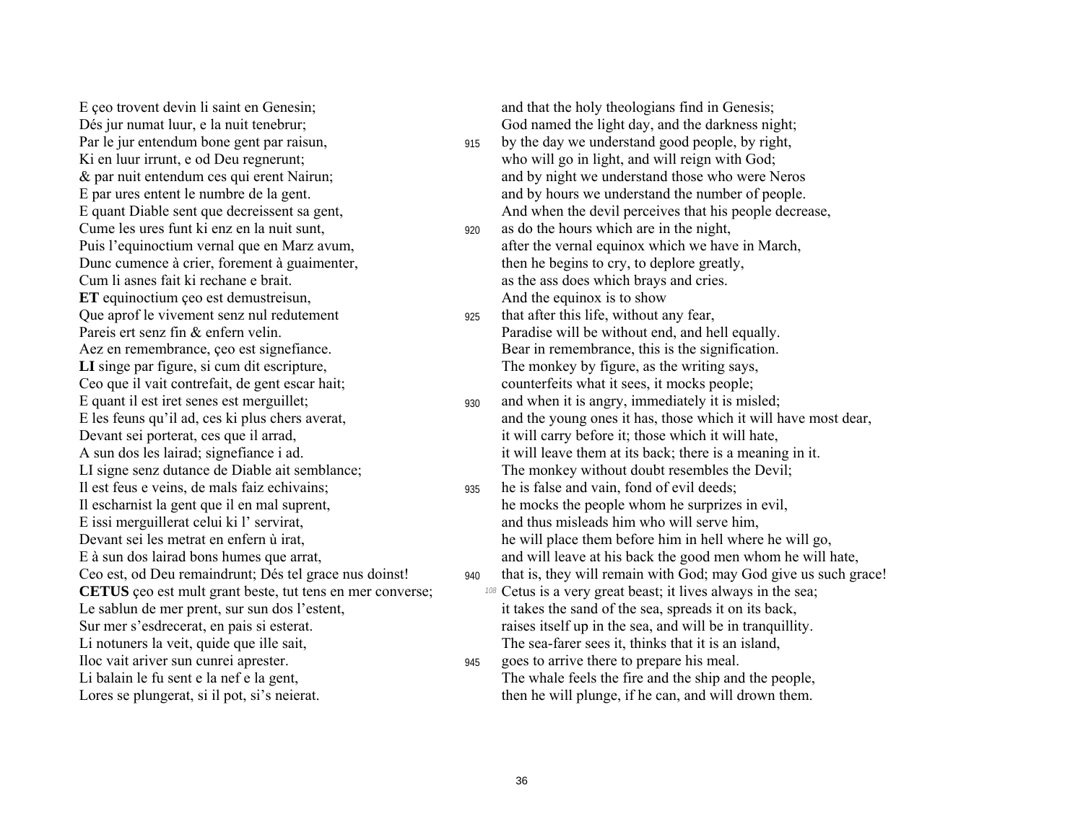E ceo trovent devin li saint en Genesin; and that the holy theologians find in Genesis; Dés jur numat luur, e la nuit tenebrur; God named the light day, and the darkness night; Par le jur entendum bone gent par raisun, 915 by the day we understand good people, by right, Ki en luur irrunt, e od Deu regnerunt; who will go in light, and will reign with God; Cume les ures funt ki enz en la nuit sunt, 920 as do the hours which are in the night, Dunc cumence à crier, forement à guaimenter, then he begins to cry, to deplore greatly, Cum li asnes fait ki rechane e brait. As the ass does which brays and cries. **ET** equinoctium ceo est demustreisun, And the equinox is to show Que aprof le vivement senz nul redutement 925 that after this life, without any fear, Pareis ert senz fin & enfern velin. Paradise will be without end, and hell equally. Aez en remembrance, ceo est signefiance.  $\qquad \qquad$  Bear in remembrance, this is the signification. LI singe par figure, si cum dit escripture, The monkey by figure, as the writing says, Ceo que il vait contrefait, de gent escar hait; counterfeits what it sees, it mocks people; E quant il est iret senes est merguillet; 930 and when it is angry, immediately it is misled;<br>E les feuns qu'il ad, ces ki plus chers averat, and the young ones it has, those which it will h Devant sei porterat, ces que il arrad, it will carry before it; those which it will hate, Il est feus e veins, de mals faiz echivains; 935 he is false and vain, fond of evil deeds; E issi merguillerat celui ki l' servirat,<br>
Devant sei les metrat en enfern ù irat,<br>
he will place them before him in hell where Li notuners la veit, quide que ille sait, thinks that it is an island, the sea-farer sees it, thinks that it is an island, Iloc vait ariver sun cunrei aprester.  $\frac{945}{995}$  goes to arrive there to prepare his meal.

- & par nuit entendum ces qui erent Nairun; and by night we understand those who were Neros E par ures entent le numbre de la gent. and by hours we understand the number of people. E quant Diable sent que decreissent sa gent, And when the devil perceives that his people decrease,
- Puis l'equinoctium vernal que en Marz avum, after the vernal equinox which we have in March,
	-
- and the young ones it has, those which it will have most dear, A sun dos les lairad; signefiance i ad. it will leave them at its back; there is a meaning in it. LI signe senz dutance de Diable ait semblance; The monkey without doubt resembles the Devil;
- Il escharnist la gent que il en mal suprent, he mocks the people whom he surprizes in evil, he will place them before him in hell where he will go, E à sun dos lairad bons humes que arrat, and will leave at his back the good men whom he will hate,
- Ceo est, od Deu remaindrunt; Dés tel grace nus doinst! 940 that is, they will remain with God; may God give us such grace! **CETUS** ceo est mult grant beste, tut tens en mer converse;  $\frac{108}{9}$  Cetus is a very great beast; it lives always in the sea; Le sablun de mer prent, sur sun dos l'estent, it takes the sand of the sea, spreads it on its back, Sur mer s'esdrecerat, en pais si esterat. raises itself up in the sea, and will be in tranquillity.
- Li balain le fu sent e la nef e la gent, The whale feels the fire and the ship and the people, Lores se plungerat, si il pot, si's neierat. the new ill plunge, if he can, and will drown them.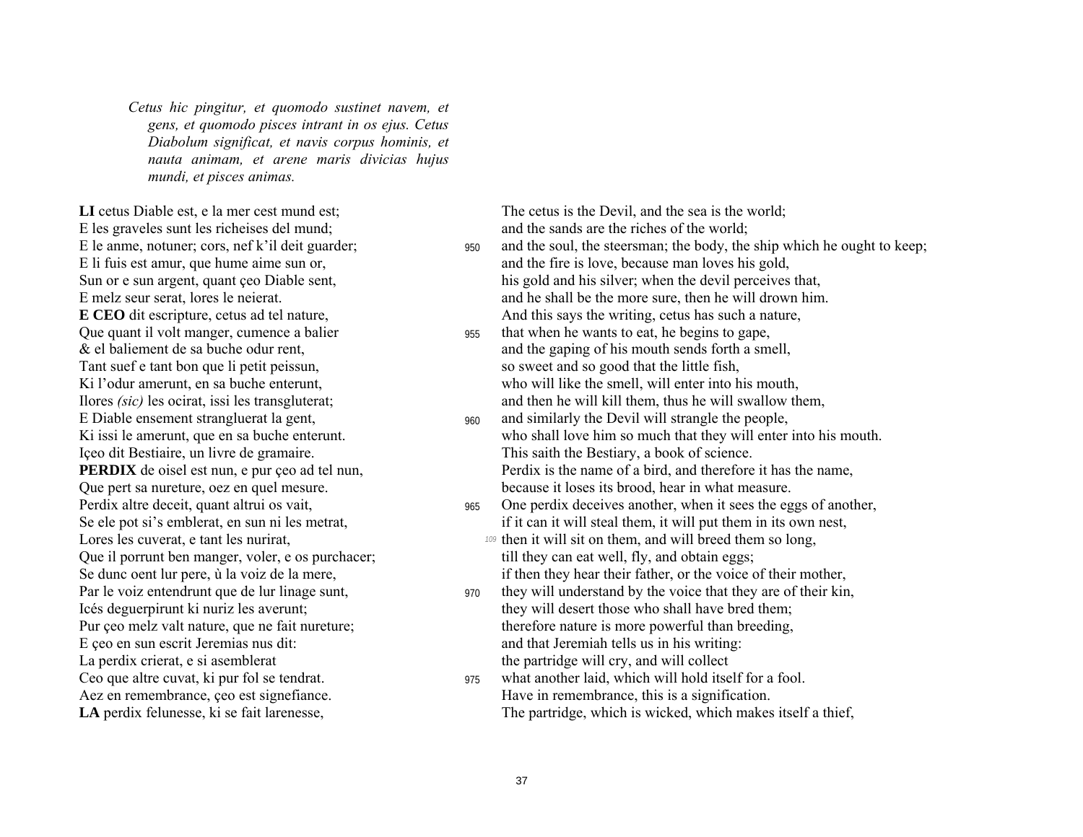*Cetus hic pingitur, et quomodo sustinet navem, et gens, et quomodo pisces intrant in os ejus. Cetus Diabolum significat, et navis corpus hominis, et nauta animam, et arene maris divicias hujus mundi, et pisces animas.* 

LI cetus Diable est, e la mer cest mund est; The cetus is the Devil, and the sea is the world; E les graveles sunt les richeises del mund; and the sands are the riches of the world; Tant suef e tant bon que li petit peissun, so sweet and so good that the little fish, E Diable ensement strangluerat la gent, 960 and similarly the Devil will strangle the people, Içeo dit Bestiaire, un livre de gramaire. This saith the Bestiary, a book of science. Que pert sa nureture, oez en quel mesure.<br>
Perdix altre deceit, quant altrui os vait,<br>  $\begin{array}{ccc}\n\text{965} & \text{One perdix deceives another, when it sees the eg}\n\end{array}$ Que il porrunt ben manger, voler, e os purchacer; the till they can eat well, fly, and obtain eggs; E ceo en sun escrit Jeremias nus dit: and that Jeremiah tells us in his writing: La perdix crierat, e si asemblerat the partridge will cry, and will collect

- E le anme, notuner; cors, nef k'il deit guarder;  $\frac{950}{950}$  and the soul, the steersman; the body, the ship which he ought to keep; E li fuis est amur, que hume aime sun or, and the fire is love, because man loves his gold, Sun or e sun argent, quant ceo Diable sent, his gold and his silver; when the devil perceives that, E melz seur serat, lores le neierat. And he shall be the more sure, then he will drown him. **E CEO** dit escripture, cetus ad tel nature, And this says the writing, cetus has such a nature,
- Que quant il volt manger, cumence a balier 955 that when he wants to eat, he begins to gape, & el baliement de sa buche odur rent, and the gaping of his mouth sends forth a smell, Ki l'odur amerunt, en sa buche enterunt, who will like the smell, will enter into his mouth, Ilores *(sic)* les ocirat, issi les transgluterat; and then he will kill them, thus he will swallow them,
- Ki issi le amerunt, que en sa buche enterunt. who shall love him so much that they will enter into his mouth. **PERDIX** de oisel est nun, e pur çeo ad tel nun, Perdix is the name of a bird, and therefore it has the name,
- 965 One perdix deceives another, when it sees the eggs of another, Se ele pot si's emblerat, en sun ni les metrat, in the metrat if it can it will steal them, it will put them in its own nest, Lores les cuverat, e tant les nurirat, **109** then it will sit on them, and will breed them so long,
- Se dunc oent lur pere, ù la voiz de la mere, if then they hear their father, or the voice of their mother,
- Par le voiz entendrunt que de lur linage sunt,  $\frac{970}{4}$  they will understand by the voice that they are of their kin, Icés deguerpirunt ki nuriz les averunt; they will desert those who shall have bred them; Pur ceo melz valt nature, que ne fait nureture; therefore nature is more powerful than breeding,
- Ceo que altre cuvat, ki pur fol se tendrat. 975 what another laid, which will hold itself for a fool. Aez en remembrance, ceo est signefiance. Have in remembrance, this is a signification. LA perdix felunesse, ki se fait larenesse,  $\blacksquare$  The partridge, which is wicked, which makes itself a thief,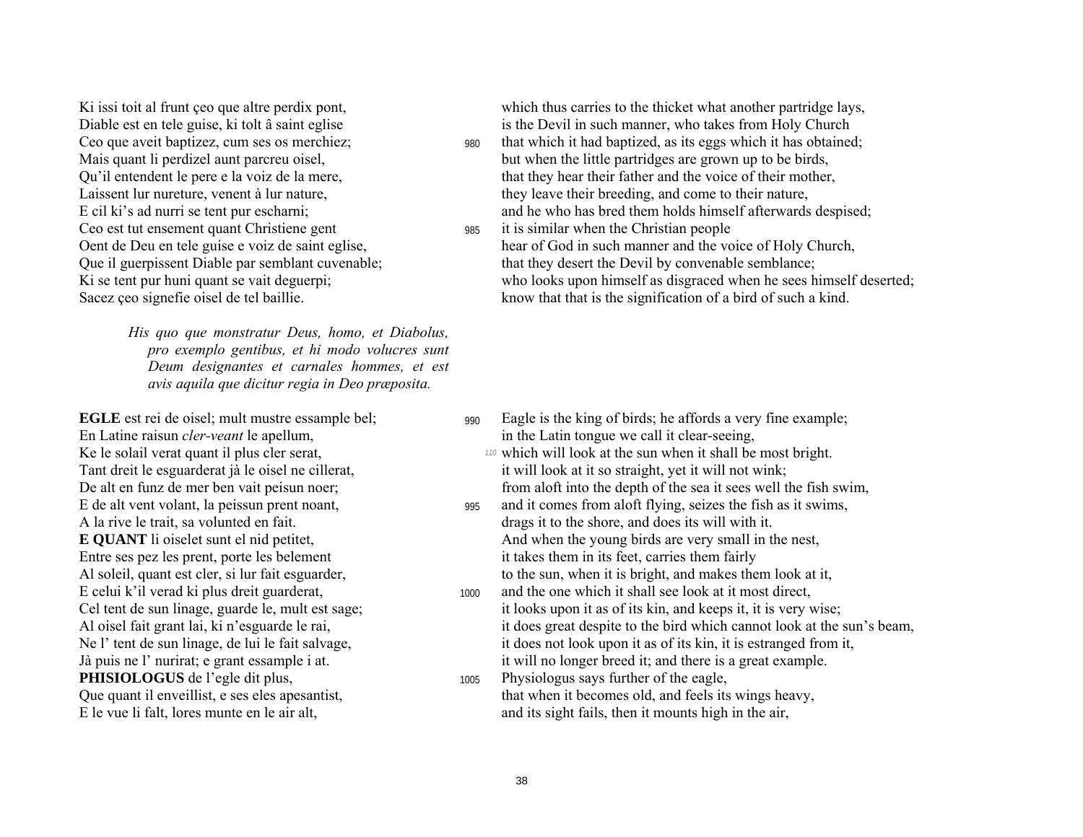Ceo est tut ensement quant Christiene gent 985 it is similar when the Christian people<br>Oent de Deu en tele guise e voiz de saint eglise.<br>
985 it is similar when the Christian people<br>
1985 it is similar when the Christian p

*His quo que monstratur Deus, homo, et Diabolus, pro exemplo gentibus, et hi modo volucres sunt Deum designantes et carnales hommes, et est avis aquila que dicitur regia in Deo præposita.* 

En Latine raisun *cler-veant* le apellum, in the Latin tongue we call it clear-seeing, E de alt vent volant, la peissun prent noant, 995 and it comes from a loft flying, seizes the fish as it swims, Entre ses pez les prent, porte les belement it takes them in its feet, carries them fairly<br>Al soleil, quant est cler, si lur fait esguarder,<br>the sun, when it is bright, and makes the Al soleil, quant est cler, si lur fait esguarder, to the sun, when it is bright, and makes them look at it,<br>E celui k'il verad ki plus dreit guarderat, to the sun, when it is bright, and makes them look at it,<br> $\frac{1000}{2}$ **PHISIOLOGUS** de l'egle dit plus, 1005 Physiologus says further of the eagle,

Ki issi toit al frunt ceo que altre perdix pont, which thus carries to the thicket what another partridge lays, Diable est en tele guise, ki tolt â saint eglise is the Devil in such manner, who takes from Holy Church

- Ceo que aveit baptizez, cum ses os merchiez;  $980$  that which it had baptized, as its eggs which it has obtained; Mais quant li perdizel aunt parcreu oisel, but when the little partridges are grown up to be birds, Qu'il entendent le pere e la voiz de la mere, that they hear their father and the voice of their mother, Laissent lur nureture, venent à lur nature, they leave their breeding, and come to their nature, E cil ki's ad nurri se tent pur escharni; and he who has bred them holds himself afterwards despised;
- hear of God in such manner and the voice of Holy Church, Que il guerpissent Diable par semblant cuvenable; that they desert the Devil by convenable semblance; Ki se tent pur huni quant se vait deguerpi; who looks upon himself as disgraced when he sees himself deserted; Sacez ceo signefie oisel de tel baillie. know that that is the signification of a bird of such a kind.

- **EGLE** est rei de oisel; mult mustre essample bel; 990 Eagle is the king of birds; he affords a very fine example;
- Ke le solail verat quant il plus cler serat, *110* which will look at the sun when it shall be most bright. Tant dreit le esguarderat jà le oisel ne cillerat, it will look at it so straight, yet it will not wink; De alt en funz de mer ben vait peisun noer; from aloft into the depth of the sea it sees well the fish swim,
- A la rive le trait, sa volunted en fait. drags it to the shore, and does its will with it. **E QUANT** li oiselet sunt el nid petitet, And when the young birds are very small in the nest,
- 1000 and the one which it shall see look at it most direct, Cel tent de sun linage, guarde le, mult est sage; it looks upon it as of its kin, and keeps it, it is very wise; Al oisel fait grant lai, ki n'esguarde le rai, it does great despite to the bird which cannot look at the sun's beam, Ne l' tent de sun linage, de lui le fait salvage, it does not look upon it as of its kin, it is estranged from it, Jà puis ne l' nurirat; e grant essample i at. it will no longer breed it; and there is a great example.
- Que quant il enveillist, e ses eles apesantist, that when it becomes old, and feels its wings heavy, E le vue li falt, lores munte en le air alt, and its sight fails, then it mounts high in the air,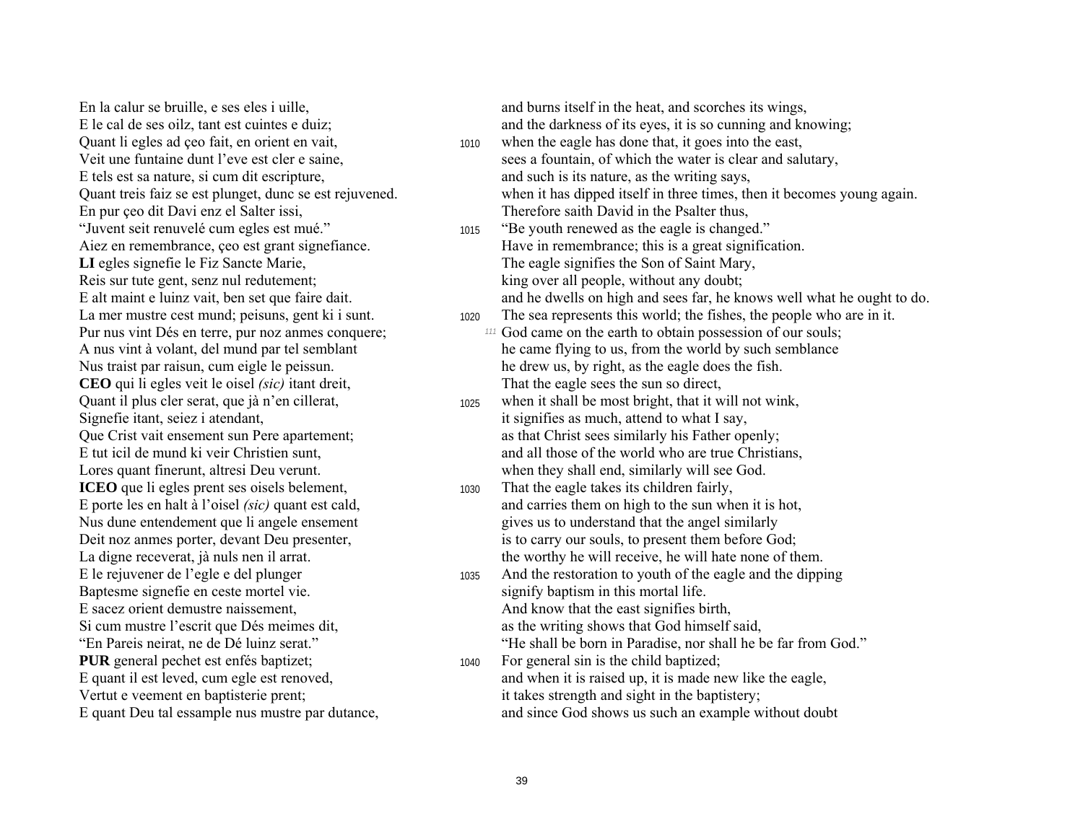En la calur se bruille, e ses eles i uille, and scorches its wings, and burns itself in the heat, and scorches its wings, E tels est sa nature, si cum dit escripture, and such is its nature, as the writing says, En pur çeo dit Davi enz el Salter issi, Therefore saith David in the Psalter thus, "Juvent seit renuvelé cum egles est mué." 1015 <sup>''</sup>Be youth renewed as the eagle is changed." LI egles signefie le Fiz Sancte Marie, The eagle signifies the Son of Saint Mary, Reis sur tute gent, senz nul redutement; king over all people, without any doubt; **CEO** qui li egles veit le oisel *(sic)* itant dreit, That the eagle sees the sun so direct, Signefie itant, seiez i atendant, it signifies as much, attend to what I say, Lores quant finerunt, altresi Deu verunt. When they shall end, similarly will see God. **ICEO** que li egles prent ses oisels belement, 1030 That the eagle takes its children fairly, Nus dune entendement que li angele ensement gives us to understand that the angel similarly Baptesme signefie en ceste mortel vie. E sacez orient demustre naissement, And know that the east signifies birth, Si cum mustre l'escrit que Dés meimes dit, as the writing shows that God himself said, "En Pareis neirat, ne de Dé luinz serat."<br> **En Pareis nor shall be born in Paradise**, nor shall he be far from God." **PUR** general pechet est enfés baptizet; 1040 For general sin is the child baptized; Vertut e veement en baptisterie prent; it takes strength and sight in the baptistery;

E le cal de ses oilz, tant est cuintes e duiz; and the darkness of its eyes, it is so cunning and knowing; Quant li egles ad ceo fait, en orient en vait, 1010 when the eagle has done that, it goes into the east, Veit une funtaine dunt l'eve est cler e saine, sees a fountain, of which the water is clear and salutary, Quant treis faiz se est plunget, dunc se est rejuvened. when it has dipped itself in three times, then it becomes young again. Aiez en remembrance, çeo est grant signefiance. Have in remembrance; this is a great signification. E alt maint e luinz vait, ben set que faire dait. and he dwells on high and sees far, he knows well what he ought to do. La mer mustre cest mund; peisuns, gent ki i sunt. 1020 The sea represents this world; the fishes, the people who are in it. Pur nus vint Dés en terre, pur noz anmes conquere; *<sup>111</sup>* God came on the earth to obtain possession of our souls; A nus vint à volant, del mund par tel semblant he came flying to us, from the world by such semblance Nus traist par raisun, cum eigle le peissun. he drew us, by right, as the eagle does the fish. Quant il plus cler serat, que jà n'en cillerat, 1025 when it shall be most bright, that it will not wink, Que Crist vait ensement sun Pere apartement; and as that Christ sees similarly his Father openly; E tut icil de mund ki veir Christien sunt, and all those of the world who are true Christians, E porte les en halt à l'oisel *(sic)* quant est cald, and carries them on high to the sun when it is hot, Deit noz anmes porter, devant Deu presenter, is to carry our souls, to present them before God; La digne receverat, jà nuls nen il arrat. the worthy he will receive, he will hate none of them. E le rejuvener de l'egle e del plunger 1035 And the restoration to youth of the eagle and the dipping<br>Baptesme signefie en ceste mortel vie.<br>Baptesme signefie en ceste mortel vie.

E quant il est leved, cum egle est renoved, and when it is raised up, it is made new like the eagle, E quant Deu tal essample nus mustre par dutance, and since God shows us such an example without doubt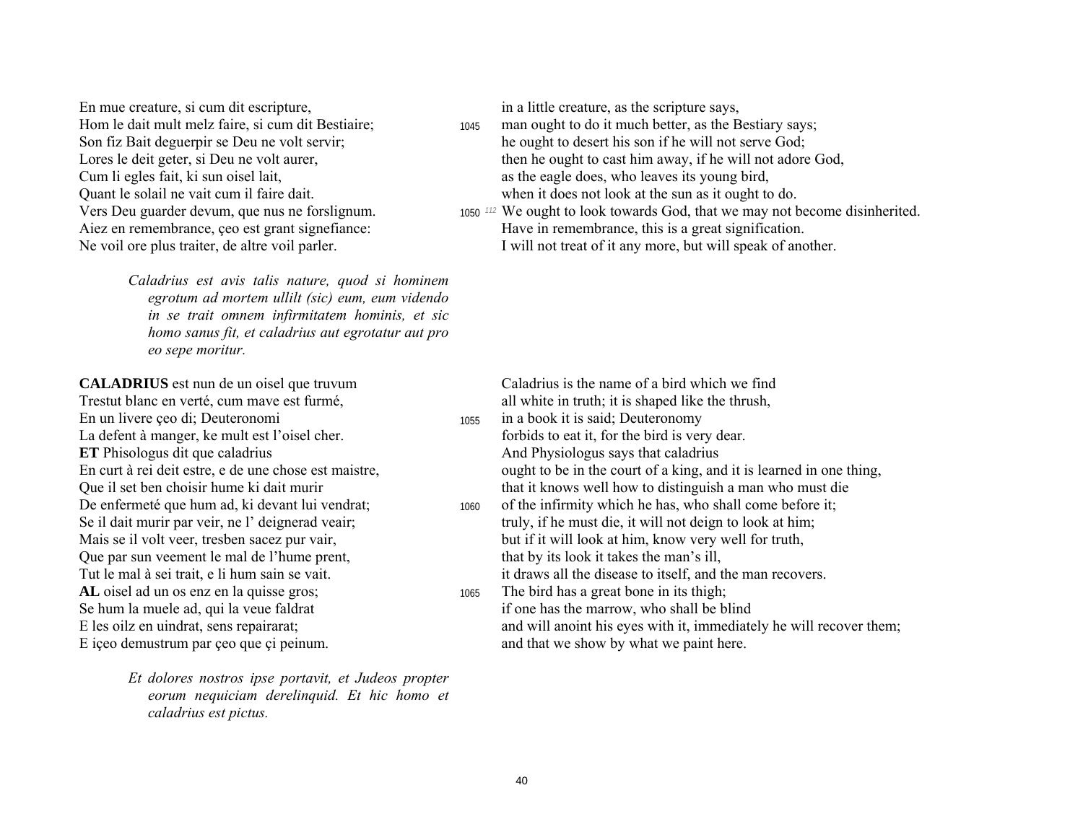En mue creature, si cum dit escripture, in a little creature, as the scripture says, Hom le dait mult melz faire, si cum dit Bestiaire; 1045 man ought to do it much better, as the Bestiary says; Quant le solail ne vait cum il faire dait. when it does not look at the sun as it ought to do.

*Caladrius est avis talis nature, quod si hominem egrotum ad mortem ullilt (sic) eum, eum videndo in se trait omnem infirmitatem hominis, et sic homo sanus fit, et caladrius aut egrotatur aut pro eo sepe moritur.* 

Trestut blanc en verté, cum mave est furmé, all white in truth; it is shaped like the thrush, En un livere ceo di; Deuteronomi 1055 in a book it is said; Deuteronomy La defent à manger, ke mult est l'oisel cher. for the bird is very dear. **ET** Phisologus dit que caladrius **And Physiologus says that caladrius** And Physiologus says that caladrius Que il set ben choisir hume ki dait murir that it knows well how to distinguish a man who must die Que par sun veement le mal de l'hume prent, that by its look it takes the man's ill, AL oisel ad un os enz en la quisse gros; 1065 The bird has a great bone in its thigh; Se hum la muele ad, qui la veue faldrat is not if one has the marrow, who shall be blind E iceo demustrum par ceo que ci peinum. And that we show by what we paint here.

*Et dolores nostros ipse portavit, et Judeos propter eorum nequiciam derelinquid. Et hic homo et caladrius est pictus.* 

- Son fiz Bait deguerpir se Deu ne volt servir; he ought to desert his son if he will not serve God; Lores le deit geter, si Deu ne volt aurer, then he ought to cast him away, if he will not adore God, Cum li egles fait, ki sun oisel lait, as the eagle does, who leaves its young bird,
- Vers Deu guarder devum, que nus ne forslignum. 1050 <sup>112</sup> We ought to look towards God, that we may not become disinherited. Aiez en remembrance, çeo est grant signefiance: Have in remembrance, this is a great signification. Ne voil ore plus traiter, de altre voil parler. I will not treat of it any more, but will speak of another.

**CALADRIUS** est nun de un oisel que truvum Caladrius is the name of a bird which we find

- 
- En curt à rei deit estre, e de une chose est maistre, ought to be in the court of a king, and it is learned in one thing,
- De enfermeté que hum ad, ki devant lui vendrat; 1060 of the infirmity which he has, who shall come before it; Se il dait murir par veir, ne l' deignerad veair; truly, if he must die, it will not deign to look at him; Mais se il volt veer, tresben sacez pur vair, but if it will look at him, know very well for truth, Tut le mal à sei trait, e li hum sain se vait. it draws all the disease to itself, and the man recovers.
- E les oilz en uindrat, sens repairarat; and will anoint his eves with it, immediately he will recover them;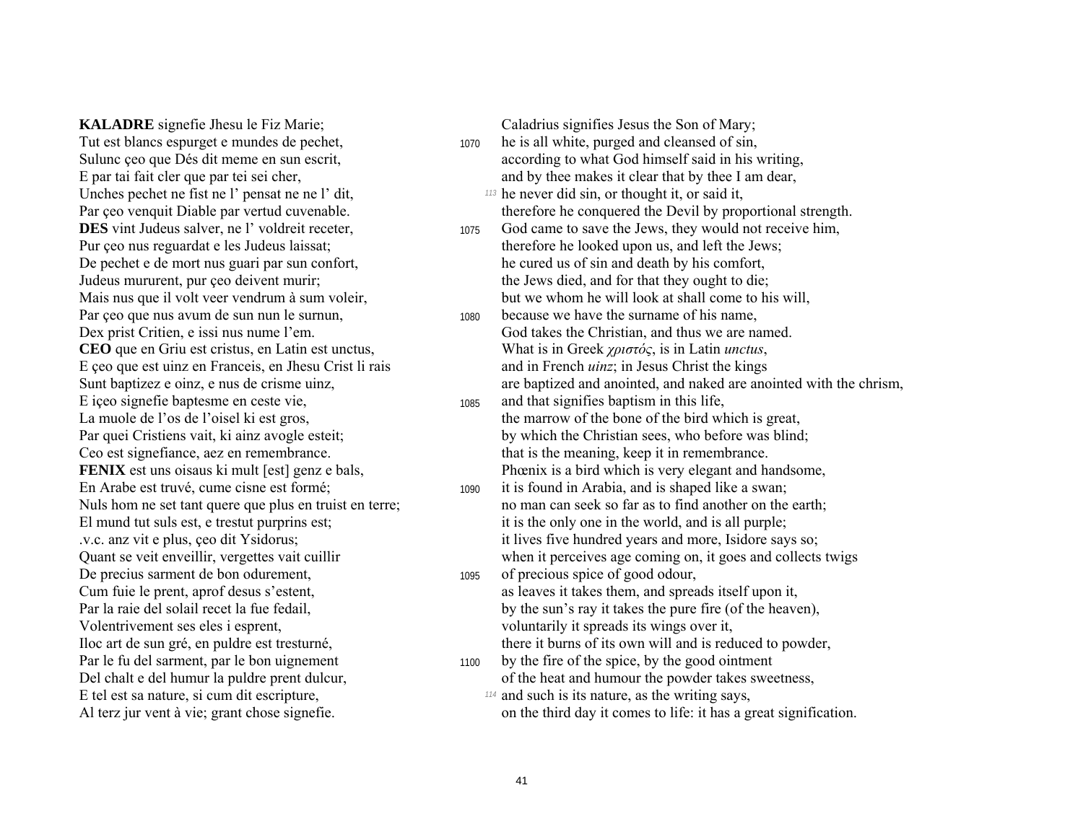**KALADRE** signefie Jhesu le Fiz Marie; Caladrius signifies Jesus the Son of Mary; Tut est blancs espurget e mundes de pechet, 1070 he is all white, purged and cleansed of sin, Unches pechet ne fist ne l' pensat ne ne l' dit, *113* he never did sin, or thought it, or said it, **DES** vint Judeus salver, ne l' voldreit receter, 1075 God came to save the Jews, they would not receive him, Par çeo que nus avum de sun nun le surnun, 1080 because we have the surname of his name, E içeo signefie baptesme en ceste vie,  $1085$  and that signifies baptism in this life, De precius sarment de bon odurement, 1095 of precious spice of good odour, Volentrivement ses eles i esprent, voluntarily it spreads its wings over it, Iloc art de sun gré, en puldre est tresturné, there it burns of its own will and is reduced to powder, E tel est sa nature, si cum dit escripture, *114* and such is its nature, as the writing says,

- Sulunc ceo que Dés dit meme en sun escrit, according to what God himself said in his writing, E par tai fait cler que par tei sei cher, and by thee makes it clear that by thee I am dear,
- Par çeo venquit Diable par vertud cuvenable. therefore he conquered the Devil by proportional strength.
- Pur çeo nus reguardat e les Judeus laissat; therefore he looked upon us, and left the Jews; De pechet e de mort nus guari par sun confort, he cured us of sin and death by his comfort, Judeus mururent, pur ceo deivent murir; the Jews died, and for that they ought to die; Mais nus que il volt veer vendrum à sum voleir. but we whom he will look at shall come to his will,
- Dex prist Critien, e issi nus nume l'em. God takes the Christian, and thus we are named. **CEO** que en Griu est cristus, en Latin est unctus, What is in Greek *χριστός*, is in Latin *unctus*, E ceo que est uinz en Franceis, en Jhesu Crist li rais and in French *uinz*; in Jesus Christ the kings Sunt baptizez e oinz, e nus de crisme uinz, and are baptized and anointed, and naked are anointed with the chrism,
- La muole de l'os de l'oisel ki est gros, the marrow of the bone of the bird which is great, Par quei Cristiens vait, ki ainz avogle esteit; by which the Christian sees, who before was blind; Ceo est signefiance, aez en remembrance. that is the meaning, keep it in remembrance. **FENIX** est uns oisaus ki mult [est] genz e bals, Phœnix is a bird which is very elegant and handsome,
- En Arabe est truvé, cume cisne est formé; 1090 it is found in Arabia, and is shaped like a swan; Nuls hom ne set tant quere que plus en truist en terre; no man can seek so far as to find another on the earth; El mund tut suls est, e trestut purprins est; it is the only one in the world, and is all purple; v.c. anz vit e plus, ee dit Ysidorus; it lives five hundred years and more, Isidore says so; Quant se veit enveillir, vergettes vait cuillir when it perceives age coming on, it goes and collects twigs
- Cum fuie le prent, aprof desus síestent, as leaves it takes them, and spreads itself upon it, Par la raie del solail recet la fue fedail, by the sun's ray it takes the pure fire (of the heaven),
- Par le fu del sarment, par le bon uignement 1100 by the fire of the spice, by the good ointment Del chalt e del humur la puldre prent dulcur, on the heat and humour the powder takes sweetness,
- Al terz jur vent à vie; grant chose signefie.  $\blacksquare$  on the third day it comes to life: it has a great signification.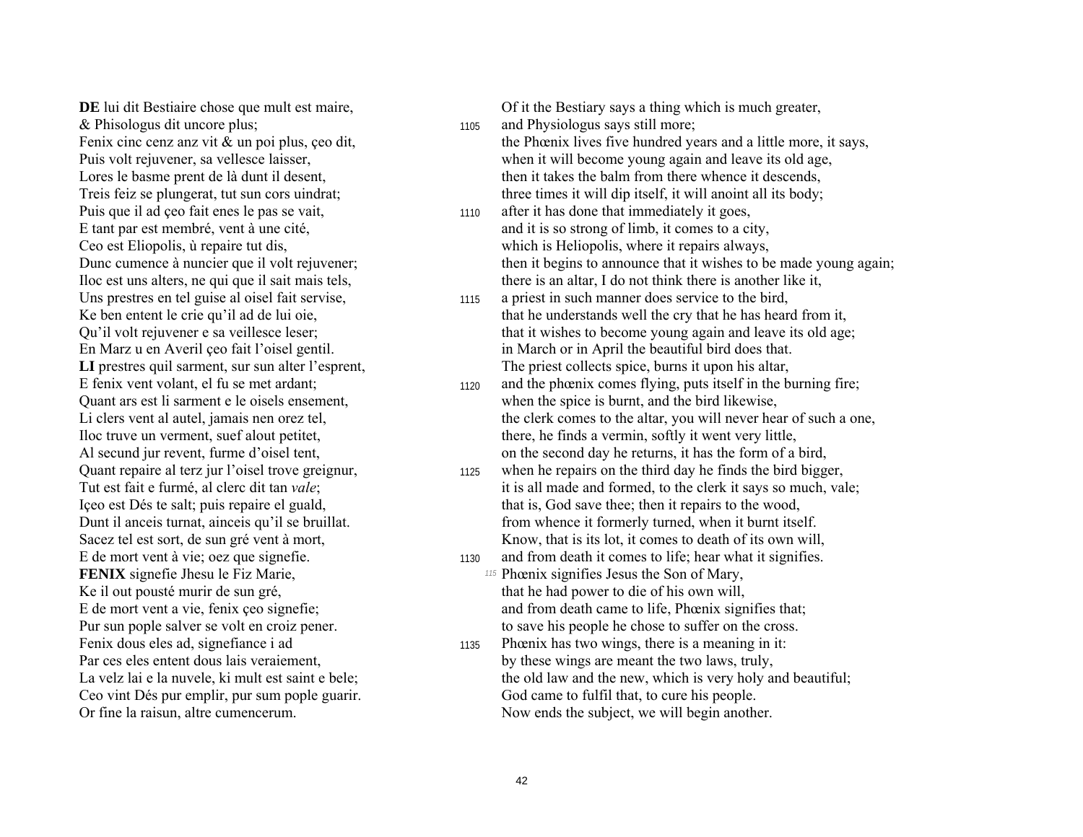& Phisologus dit uncore plus; <sup>1105</sup> and Physiologus says still more; Puis que il ad çeo fait enes le pas se vait, 1110 after it has done that immediately it goes, Uns prestres en tel guise al oisel fait servise, 1115 a priest in such manner does service to the bird, **FENIX** signefie Jhesu le Fiz Marie, *115 Phoenix signifies Jesus the Son of Mary,* Ke il out pousté murir de sun gré, that he had power to die of his own will, Fenix dous eles ad, signefiance i ad 1135 Phoenix has two wings, there is a meaning in it:

**DE** lui dit Bestiaire chose que mult est maire,  $\overline{O}$  Of it the Bestiary says a thing which is much greater, Fenix cinc cenz anz vit  $\&$  un poi plus, ceo dit, the Phoenix lives five hundred years and a little more, it says, Puis volt rejuvener, sa vellesce laisser, when it will become young again and leave its old age, Lores le basme prent de là dunt il desent, then it takes the balm from there whence it descends, Treis feiz se plungerat, tut sun cors uindrat; three times it will dip itself, it will anoint all its body;

E tant par est membré, vent à une cité, and it is so strong of limb, it comes to a city, Ceo est Eliopolis,  $\dot{u}$  repaire tut dis, which is Heliopolis, where it repairs always, Dunc cumence à nuncier que il volt rejuvener; then it begins to announce that it wishes to be made young again; Iloc est uns alters, ne qui que il sait mais tels, there is an altar, I do not think there is another like it,

- Ke ben entent le crie qu'il ad de lui oie, that he understands well the cry that he has heard from it,<br>Ou'il volt reiuvener e sa veillesce leser: that it wishes to become voung again and leave its old age that it wishes to become young again and leave its old age; En Marz u en Averil ceo fait l'oisel gentil. in March or in April the beautiful bird does that. LI prestres quil sarment, sur sun alter l'esprent, The priest collects spice, burns it upon his altar,
- E fenix vent volant, el fu se met ardant; 1120 and the phœnix comes flying, puts itself in the burning fire; Quant ars est li sarment e le oisels ensement, when the spice is burnt, and the bird likewise, Li clers vent al autel, jamais nen orez tel, the clerk comes to the altar, you will never hear of such a one, Iloc truve un verment, suef alout petitet, there, he finds a vermin, softly it went very little, Al secund jur revent, furme d'oisel tent, on the second day he returns, it has the form of a bird,
- Quant repaire al terz jur l'oisel trove greignur, 1125 when he repairs on the third day he finds the bird bigger, Tut est fait e furmé, al clerc dit tan *vale*; it is all made and formed, to the clerk it says so much, vale; Içeo est Dés te salt; puis repaire el guald, that is, God save thee; then it repairs to the wood, Dunt il anceis turnat, ainceis qu'il se bruillat. From whence it formerly turned, when it burnt itself. Sacez tel est sort, de sun grévent à mort, Know, that is its lot, it comes to death of its own will,
- E de mort vent à vie; oez que signefie. 1130 and from death it comes to life; hear what it signifies. E de mort vent a vie, fenix ceo signefie; and from death came to life, Phœnix signifies that; Pur sun pople salver se volt en croiz pener. to save his people he chose to suffer on the cross.
- Par ces eles entent dous lais veraiement, by these wings are meant the two laws, truly, La velz lai e la nuvele, ki mult est saint e bele; the old law and the new, which is very holy and beautiful; Ceo vint Dés pur emplir, pur sum pople guarir. God came to fulfil that, to cure his people. Or fine la raisun, altre cumencerum. Now ends the subject, we will begin another.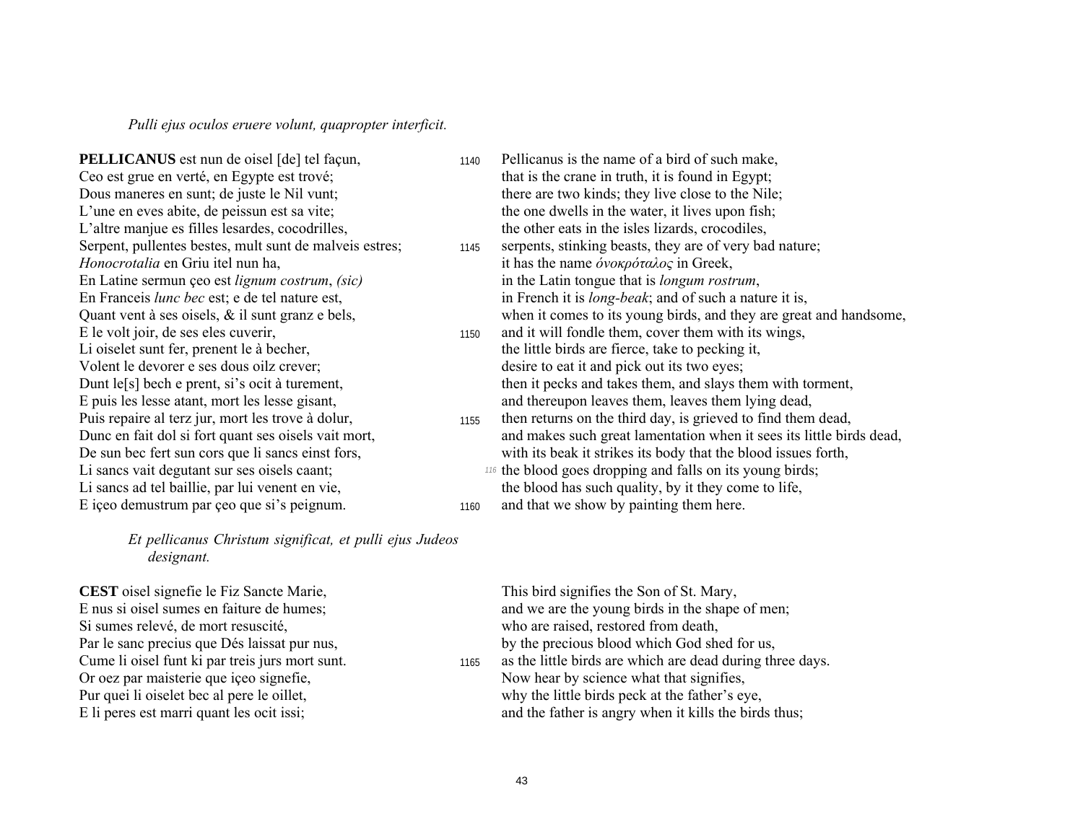*Pulli ejus oculos eruere volunt, quapropter interficit.* 

L'altre manjue es filles lesardes, cocodrilles, the other eats in the isles lizards, crocodiles, *Honocrotalia* en Griu itel nun ha, it has the name *όνοκρόταλος* in Greek, En Latine sermun çeo est *lignum costrum*, *(sic)* in the Latin tongue that is *longum rostrum*, Li oiselet sunt fer, prenent le à becher, the little birds are fierce, take to pecking it, Volent le devorer e ses dous oilz crever; desire to eat it and pick out its two eyes; E içeo demustrum par çeo que si's peignum. 1160 and that we show by painting them here.

*Et pellicanus Christum significat, et pulli ejus Judeos designant.* 

**CEST** oisel signefie le Fiz Sancte Marie, This bird signifies the Son of St. Mary, Si sumes relevÈ, de mort resuscitÈ, who are raised, restored from death, Or oez par maisterie que içeo signefie, Now hear by science what that signifies, Pur quei li oiselet bec al pere le oillet,<br>
E li peres est marri quant les ocit issi;<br>
and the father is angry when it kills the bird

**PELLICANUS** est nun de oisel [de] tel façun, 1140 Pellicanus is the name of a bird of such make, Ceo est grue en verté, en Egypte est trové; that is the crane in truth, it is found in Egypt; Dous maneres en sunt; de juste le Nil vunt; there are two kinds; they live close to the Nile; L'une en eves abite, de peissun est sa vite; the one dwells in the water, it lives upon fish; Serpent, pullentes bestes, mult sunt de malveis estres; 1145 serpents, stinking beasts, they are of very bad nature; En Franceis *lunc bec* est; e de tel nature est, in French it is *long-beak*; and of such a nature it is, Quant vent  $\hat{a}$  ses oisels,  $\&$  il sunt granz  $e$  bels, when it comes to its young birds, and they are great and handsome, E le volt joir, de ses eles cuverir, 1150 and it will fondle them, cover them with its wings, Dunt le[s] bech e prent, si's ocit à turement, then it pecks and takes them, and slays them with torment, E puis les lesse atant, mort les lesse gisant, and thereupon leaves them, leaves them lying dead, Puis repaire al terz jur, mort les trove à dolur, then returns on the third day, is grieved to find them dead,<br>Dunc en fait dol si fort quant ses oisels vait mort, and makes such great lamentation when it sees its little b and makes such great lamentation when it sees its little birds dead, De sun bec fert sun cors que li sancs einst fors, with its beak it strikes its body that the blood issues forth, Li sancs vait degutant sur ses oisels caant; *116* the blood goes dropping and falls on its young birds; Li sancs ad tel baillie, par lui venent en vie, the blood has such quality, by it they come to life,

E nus si oisel sumes en faiture de humes; and we are the young birds in the shape of men; Par le sanc precius que Dés laissat pur nus, by the precious blood which God shed for us, Cume li oisel funt ki par treis jurs mort sunt. 1165 as the little birds are which are dead during three days.

and the father is angry when it kills the birds thus;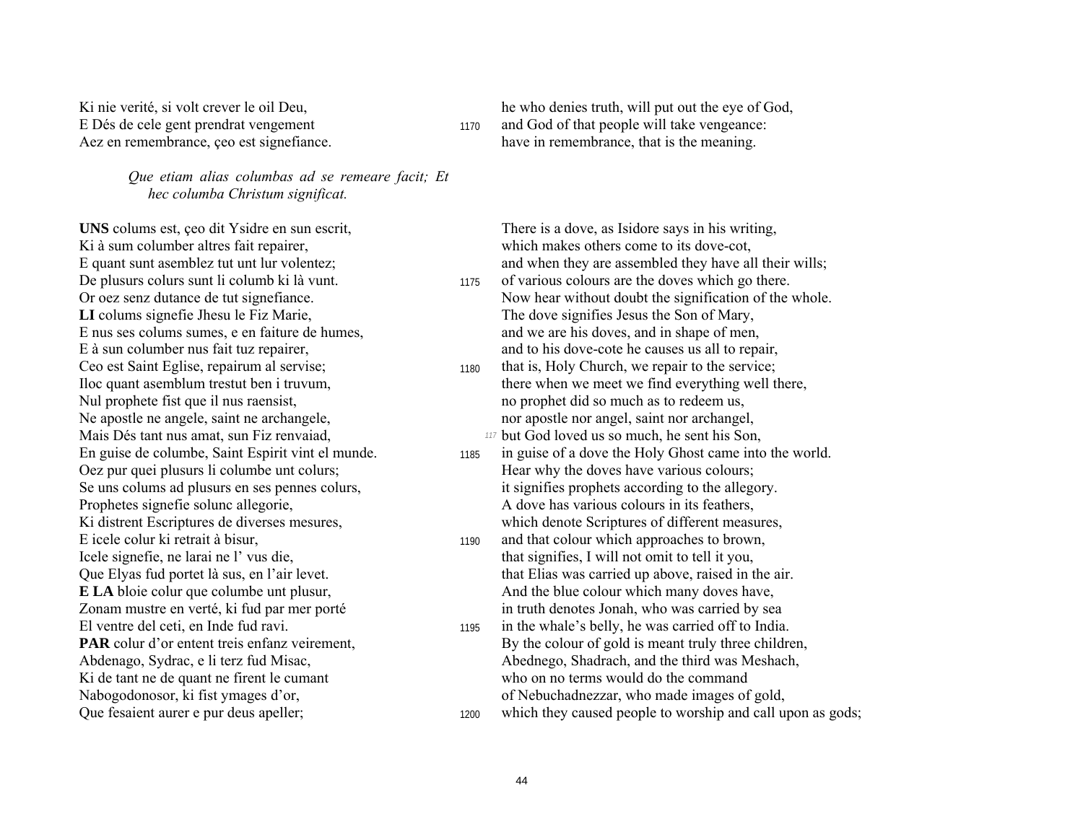*Que etiam alias columbas ad se remeare facit; Et hec columba Christum significat.* 

**UNS** colums est, çeo dit Ysidre en sun escrit, There is a dove, as Isidore says in his writing, Ki à sum columber altres fait repairer, which makes others come to its dove-cot, Ceo est Saint Eglise, repairum al servise; 1180 that is, Holy Church, we repair to the service; E icele colur ki retrait à bisur, 1190 and that colour which approaches to brown, El ventre del ceti, en Inde fud ravi. 1195 in the whale s belly, he was carried off to India.

Ki nie verité, si volt crever le oil Deu, he who denies truth, will put out the eye of God, E Dés de cele gent prendrat vengement 1170 and God of that people will take vengeance: Aez en remembrance, ceo est signefiance. https://www.marking.induce.in.induced.com/have in remembrance, that is the meaning.

E quant sunt asemblez tut unt lur volentez; and when they are assembled they have all their wills; De plusurs colurs sunt li columb ki là vunt. 1175 of various colours are the doves which go there. Or oez senz dutance de tut signefiance.<br> **LI** colums signefie Jhesu le Fiz Marie,<br>
The dove signifies Jesus the Son of Mary, The dove signifies Jesus the Son of Mary, E nus ses colums sumes, e en faiture de humes, and we are his doves, and in shape of men, E à sun columber nus fait tuz repairer, and to his dove-cote he causes us all to repair,

- Iloc quant asemblum trestut ben i truvum, there when we meet we find everything well there, Nul prophete fist que il nus raensist, no prophet did so much as to redeem us, Ne apostle ne angele, saint ne archangele, nor apostle nor apostle nor angel, saint nor archangel, Mais DÈs tant nus amat, sun Fiz renvaiad, *117* but God loved us so much, he sent his Son,
- En guise de columbe, Saint Espirit vint el munde. 1185 in guise of a dove the Holy Ghost came into the world. Oez pur quei plusurs li columbe unt colurs; Hear why the doves have various colours; Se uns colums ad plusurs en ses pennes colurs, it signifies prophets according to the allegory. Prophetes signefie solunc allegorie, A dove has various colours in its feathers, Ki distrent Escriptures de diverses mesures, which denote Scriptures of different measures,
- Icele signefie, ne larai ne l' vus die, that signifies, I will not omit to tell it you, Que Elyas fud portet là sus, en l'air levet. that Elias was carried up above, raised in the air. **E LA** bloie columbe unt plusur, And the blue colour which many doves have, Zonam mustre en verté, ki fud par mer porté in truth denotes Jonah, who was carried by sea
- **PAR** colur d'or entent treis enfanz veirement, By the colour of gold is meant truly three children, Abdenago, Sydrac, e li terz fud Misac, Abednego, Shadrach, and the third was Meshach, Ki de tant ne de quant ne firent le cumant who on no terms would do the command Nabogodonosor, ki fist ymages d'or, charles entre electronic de Nebuchadnezzar, who made images of gold,
- Que fesaient aurer e pur deus apeller; 1200 which they caused people to worship and call upon as gods;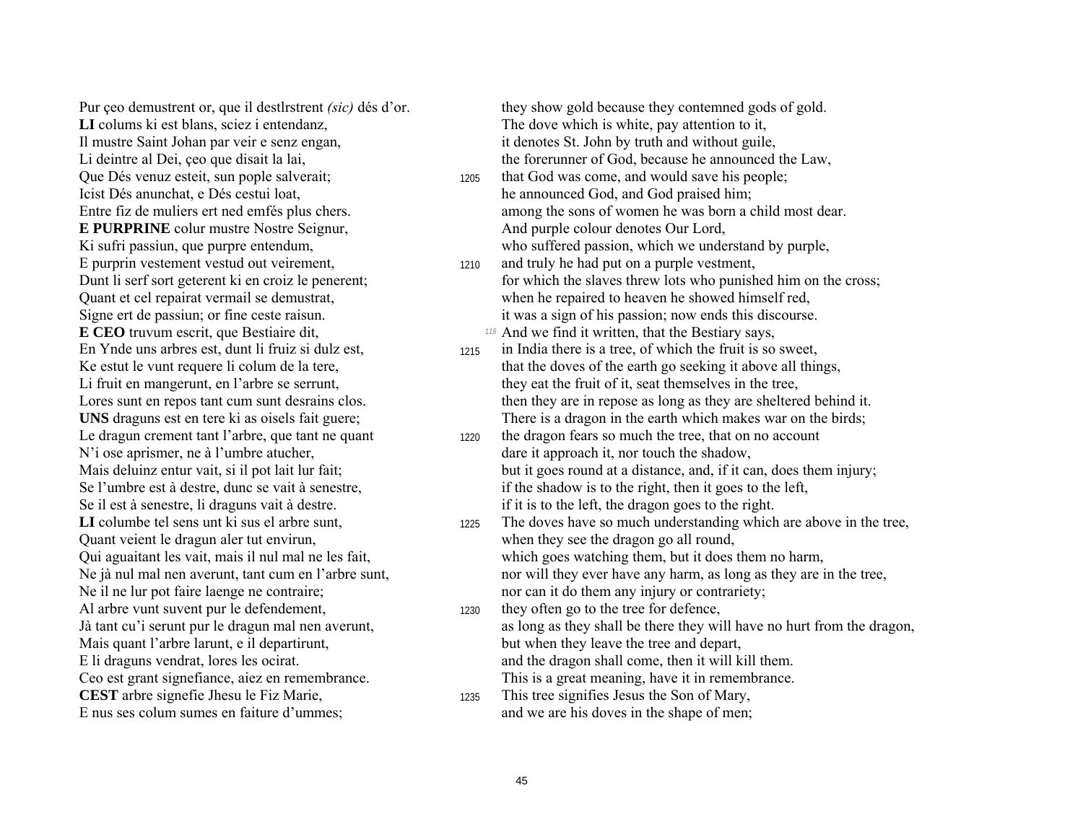LI colums ki est blans, sciez i entendanz,  $\blacksquare$  The dove which is white, pay attention to it, Il mustre Saint Johan par veir e senz engan, it denotes St. John by truth and without guile, Que Dés venuz esteit, sun pople salverait; 1205 that God was come, and would save his people; Icist Dés anunchat, e Dés cestui loat, he announced God, and God praised him; **E PURPRINE** colur mustre Nostre Seignur, And purple colour denotes Our Lord, E purprin vestement vestud out veirement, <sup>1210</sup> and truly he had put on a purple vestment, **E CEO** truvum escrit, que Bestiaire dit, *118* And we find it written, that the Bestiary says, N'i ose aprismer, ne à l'umbre atucher, dans dare it approach it, nor touch the shadow, Quant veient le dragun aler tut envirun, when they see the dragon go all round, Al arbre vunt suvent pur le defendement, 1230 they often go to the tree for defence, Mais quant l'arbre larunt, e il departirunt, but when they leave the tree and depart, **CEST** arbre signefie Jhesu le Fiz Marie, 1235 This tree signifies Jesus the Son of Mary,

Pur ceo demustrent or, que il destlrstrent *(sic)* dés d'or. they show gold because they contemned gods of gold. Li deintre al Dei, ceo que disait la lai, the forerunner of God, because he announced the Law,

- Entre fiz de muliers ert ned emfés plus chers. among the sons of women he was born a child most dear. Ki sufri passiun, que purpre entendum, who suffered passion, which we understand by purple,
- Dunt li serf sort geterent ki en croiz le penerent; for which the slaves threw lots who punished him on the cross; Quant et cel repairat vermail se demustrat, when he repaired to heaven he showed himself red, Signe ert de passiun; or fine ceste raisun. it was a sign of his passion; now ends this discourse.
- En Ynde uns arbres est, dunt li fruiz si dulz est, 1215 in India there is a tree, of which the fruit is so sweet, Ke estut le vunt requere li colum de la tere, that the doves of the earth go seeking it above all things, Li fruit en mangerunt, en l'arbre se serrunt, they eat the fruit of it, seat themselves in the tree, Lores sunt en repos tant cum sunt desrains clos. then they are in repose as long as they are sheltered behind it. **UNS** draguns est en tere ki as oisels fait guere; There is a dragon in the earth which makes war on the birds;
- Le dragun crement tant l'arbre, que tant ne quant 1220 the dragon fears so much the tree, that on no account Mais deluinz entur vait, si il pot lait lur fait; but it goes round at a distance, and, if it can, does them injury; Se l'umbre est à destre, dunc se vait à senestre, in the shadow is to the right, then it goes to the left, Se il est à senestre, li draguns vait à destre. if it is to the left, the dragon goes to the right.
- LI columbe tel sens unt ki sus el arbre sunt, 1225 The doves have so much understanding which are above in the tree, Qui aguaitant les vait, mais il nul mal ne les fait, which goes watching them, but it does them no harm, Ne jà nul mal nen averunt, tant cum en l'arbre sunt, nor will they ever have any harm, as long as they are in the tree, Ne il ne lur pot faire laenge ne contraire; nor can it do them any injury or contrariety;
- Jà tant cu'i serunt pur le dragun mal nen averunt, as long as they shall be there they will have no hurt from the dragon, E li draguns vendrat, lores les ocirat. And the dragon shall come, then it will kill them. Ceo est grant signefiance, aiez en remembrance. This is a great meaning, have it in remembrance.
- E nus ses colum sumes en faiture d'ummes; and we are his doves in the shape of men;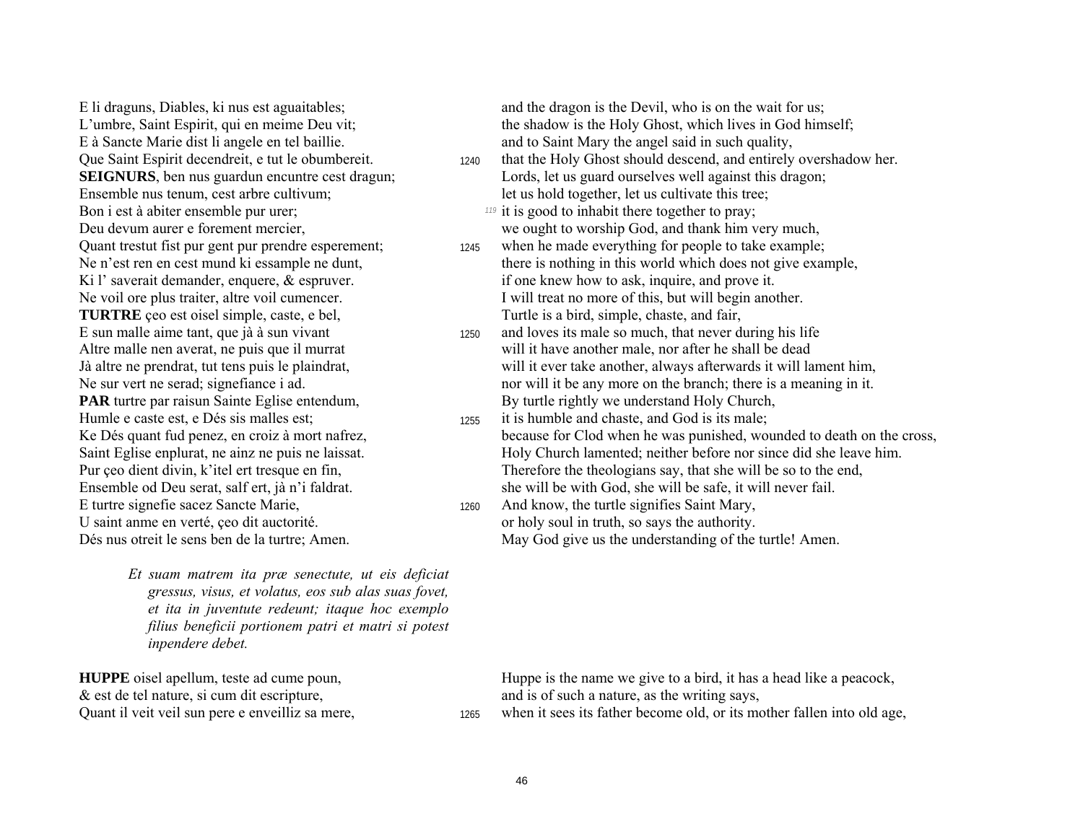E à Sancte Marie dist li angele en tel baillie. And to Saint Mary the angel said in such quality, Ensemble nus tenum, cest arbre cultivum; let us hold together, let us cultivate this tree; Bon i est à abiter ensemble pur urer; *<sup>119</sup>* it is good to inhabit there together to pray; Quant trestut fist pur gent pur prendre esperement; 1245 when he made everything for people to take example; **TURTRE** ceo est oisel simple, caste, e bel, Turtle is a bird, simple, chaste, and fair, Humle e caste est, e Dés sis malles est; 1255 it is humble and chaste, and God is its male; E turtre signefie sacez Sancte Marie, 1260 And know, the turtle signifies Saint Mary, U saint anme en verté, ceo dit auctorité.  $\blacksquare$  or holy soul in truth, so says the authority.

Et suam matrem ita præ senectute, ut eis deficiat *gressus, visus, et volatus, eos sub alas suas fovet, et ita in juventute redeunt; itaque hoc exemplo filius beneficii portionem patri et matri si potest inpendere debet.* 

& est de tel nature, si cum dit escripture, and is of such a nature, as the writing says,

E li draguns, Diables, ki nus est aguaitables; and the dragon is the Devil, who is on the wait for us; L'umbre, Saint Espirit, qui en meime Deu vit; the shadow is the Holy Ghost, which lives in God himself;

Que Saint Espirit decendreit, e tut le obumbereit. 1240 that the Holy Ghost should descend, and entirely overshadow her. **SEIGNURS**, ben nus guardun encuntre cest dragun; Lords, let us guard ourselves well against this dragon;

Deu devum aurer e forement mercier, we ought to worship God, and thank him very much,

- Ne n'est ren en cest mund ki essample ne dunt, there is nothing in this world which does not give example, Ki l' saverait demander, enquere, & espruver. if one knew how to ask, inquire, and prove it. Ne voil ore plus traiter, altre voil cumencer. I will treat no more of this, but will begin another.
- E sun malle aime tant, que jà à sun vivant 1250 and loves its male so much, that never during his life Altre malle nen averat, ne puis que il murrat will it have another male, nor after he shall be dead Jà altre ne prendrat, tut tens puis le plaindrat, will it ever take another, always afterwards it will lament him, Ne sur vert ne serad; signefiance i ad. nor will it be any more on the branch; there is a meaning in it. **PAR** turtre par raisun Sainte Eglise entendum, By turtle rightly we understand Holy Church,
- Ke Dés quant fud penez, en croiz à mort nafrez, because for Clod when he was punished, wounded to death on the cross, Saint Eglise enplurat, ne ainz ne puis ne laissat. Holy Church lamented; neither before nor since did she leave him. Pur çeo dient divin, k'itel ert tresque en fin, Therefore the theologians say, that she will be so to the end, Ensemble od Deu serat, salf ert, jà n'i faldrat. She will be with God, she will be safe, it will never fail.
- Dés nus otreit le sens ben de la turtre; Amen. May God give us the understanding of the turtle! Amen.

**HUPPE** oisel apellum, teste ad cume poun, Huppe is the name we give to a bird, it has a head like a peacock,

Quant il veit veil sun pere e enveilliz sa mere,  $\frac{1265}{1265}$  when it sees its father become old, or its mother fallen into old age,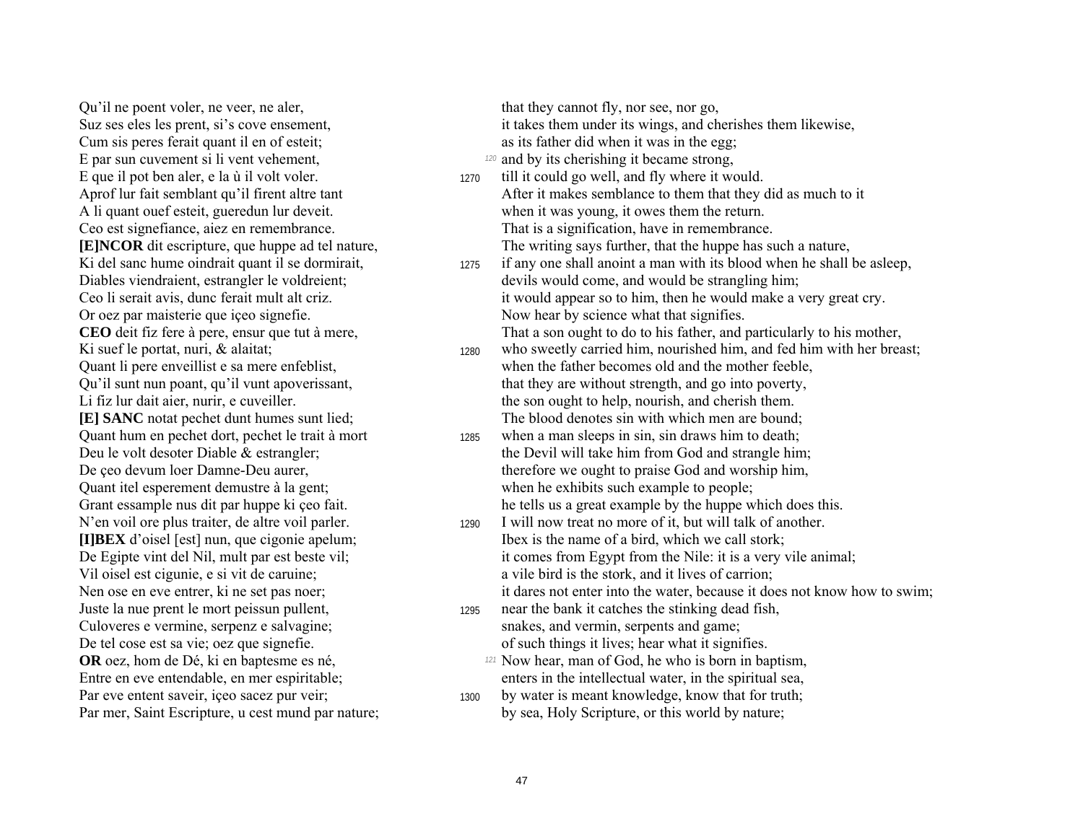Ou'il ne poent voler, ne veer, ne aler, Suz ses eles les prent, si's cove ensement, Cum sis peres ferait quant il en of esteit; E par sun cuvement si li vent vehement, E que il pot ben aler, e la ù il volt voler. Aprof lur fait semblant qu'il firent altre tant A li quant ouef esteit, guered un lur deveit. Ceo est signefiance, aiez en remembrance. **EINCOR** dit escripture, que huppe ad tel nature, Ki del sanc hume oindrait quant il se dormirait, Diables viendraient, estrangler le voldreient; Ceo li serait avis, dunc ferait mult alt criz. Or oez par maisterie que içeo signefie. CEO deit fiz fere à pere, ensur que tut à mere, Ki suef le portat, nuri, & alaitat; Quant li pere enveillist e sa mere enfeblist, Ou'il sunt nun poant, qu'il vunt apoverissant, Li fiz lur dait aier, nurir, e cuveiller. [E] SANC notat pechet dunt humes sunt lied; Quant hum en pechet dort, pechet le trait à mort Deu le volt desoter Diable & estrangler; De çeo devum loer Damne-Deu aurer, Quant itel esperement demustre à la gent; Grant essample nus dit par huppe ki çeo fait. N'en voil ore plus traiter, de altre voil parler. [I]BEX d'oisel [est] nun, que cigonie apelum; De Egipte vint del Nil, mult par est beste vil; Vil oisel est cigunie, e si vit de caruine; Nen ose en eve entrer, ki ne set pas noer; Juste la nue prent le mort peissun pullent. Culoveres e vermine, serpenz e salvagine; De tel cose est sa vie; oez que signefie. **OR** oez, hom de Dé, ki en baptesme es né, Entre en eve entendable, en mer espiritable; Par eve entent saveir, iceo sacez pur veir; Par mer, Saint Escripture, u cest mund par nature;

that they cannot fly, nor see, nor go, it takes them under its wings, and cherishes them likewise, as its father did when it was in the egg. 120 and by its cherishing it became strong, till it could go well, and fly where it would. 1270

After it makes semblance to them that they did as much to it when it was young, it owes them the return. That is a signification, have in remembrance. The writing says further, that the huppe has such a nature,

if any one shall anoint a man with its blood when he shall be asleep. 1275 devils would come, and would be strangling him; it would appear so to him, then he would make a very great cry. Now hear by science what that signifies.

That a son ought to do to his father, and particularly to his mother,

who sweetly carried him, nourished him, and fed him with her breast; 1280 when the father becomes old and the mother feeble. that they are without strength, and go into poverty, the son ought to help, nourish, and cherish them. The blood denotes sin with which men are bound;

- when a man sleeps in sin, sin draws him to death; 1285 the Devil will take him from God and strangle him; therefore we ought to praise God and worship him, when he exhibits such example to people; he tells us a great example by the huppe which does this.
- I will now treat no more of it, but will talk of another. 1290 Ibex is the name of a bird, which we call stork: it comes from Egypt from the Nile: it is a very vile animal; a vile bird is the stork, and it lives of carrion: it dares not enter into the water, because it does not know how to swim:
- near the bank it catches the stinking dead fish. 1295 snakes, and vermin, serpents and game; of such things it lives; hear what it signifies.
	- 121 Now hear, man of God, he who is born in baptism, enters in the intellectual water, in the spiritual sea,
- by water is meant knowledge, know that for truth; 1300 by sea, Holy Scripture, or this world by nature;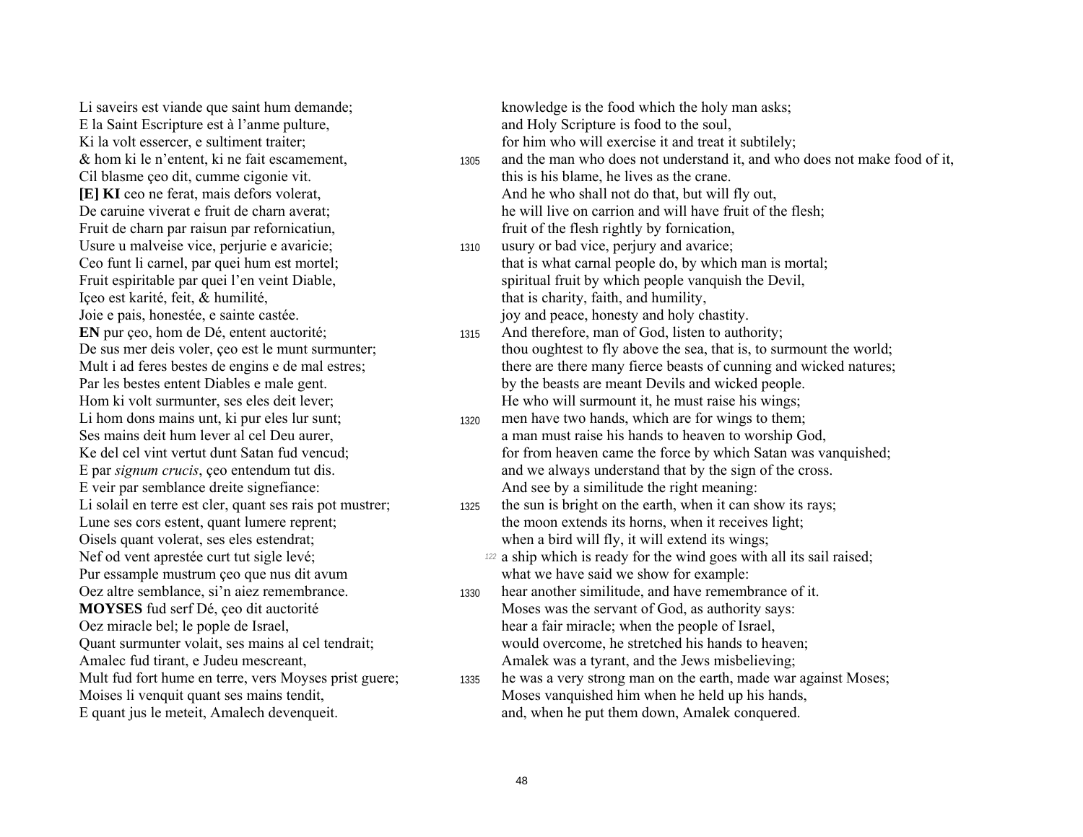Li saveirs est viande que saint hum demande: E la Saint Escripture est à l'anme pulture, Ki la volt essercer, e sultiment traiter; & hom ki le n'entent, ki ne fait escamement, Cil blasme ceo dit, cumme cigonie vit. **IEI KI** ceo ne ferat, mais defors volerat. De caruine viverat e fruit de charn averat: Fruit de charn par raisun par refornicatiun, Usure u malveise vice, perjurie e avaricie; Ceo funt li carnel, par quei hum est mortel; Fruit espiritable par quei l'en veint Diable, Içeo est karité, feit, & humilité, Joie e pais, honestée, e sainte castée. **EN** pur ceo, hom de Dé, entent auctorité: De sus mer deis voler, ceo est le munt surmunter; Mult i ad feres bestes de engins e de mal estres; Par les bestes entent Diables e male gent. Hom ki volt surmunter, ses eles deit lever; Li hom dons mains unt, ki pur eles lur sunt; Ses mains deit hum lever al cel Deu aurer, Ke del cel vint vertut dunt Satan fud vencud: E par *signum crucis*, ceo entendum tut dis. E veir par semblance dreite signefiance: Li solail en terre est cler, quant ses rais pot mustrer; Lune ses cors estent, quant lumere reprent; Oisels quant volerat, ses eles estendrat; Nef od vent aprestée curt tut sigle levé; Pur essample mustrum ceo que nus dit avum Oez altre semblance, si'n aiez remembrance. **MOYSES** fud serf Dé, ceo dit auctorité Oez miracle bel; le pople de Israel, Quant surmunter volait, ses mains al cel tendrait; Amalec fud tirant, e Judeu mescreant, Mult fud fort hume en terre, vers Moyses prist guere; Moises li venquit quant ses mains tendit, E quant jus le meteit, Amalech devenqueit.

knowledge is the food which the holy man asks; and Holy Scripture is food to the soul, for him who will exercise it and treat it subtilely;

and the man who does not understand it, and who does not make food of it, 1305 this is his blame, he lives as the crane. And he who shall not do that, but will fly out, he will live on carrion and will have fruit of the flesh;

fruit of the flesh rightly by fornication,

- usury or bad vice, perjury and avarice; 1310 that is what carnal people do, by which man is mortal; spiritual fruit by which people vanquish the Devil, that is charity, faith, and humility, joy and peace, honesty and holy chastity.
- And therefore, man of God, listen to authority: 1315 thou oughtest to fly above the sea, that is, to surmount the world; there are there many fierce beasts of cunning and wicked natures; by the beasts are meant Devils and wicked people. He who will surmount it, he must raise his wings;
- men have two hands, which are for wings to them; 1320 a man must raise his hands to heaven to worship God, for from heaven came the force by which Satan was vanquished; and we always understand that by the sign of the cross. And see by a similitude the right meaning:
- the sun is bright on the earth, when it can show its rays; 1325 the moon extends its horns, when it receives light; when a bird will fly, it will extend its wings;
	- <sup>122</sup> a ship which is ready for the wind goes with all its sail raised; what we have said we show for example:
- hear another similitude, and have remembrance of it. 1330 Moses was the servant of God, as authority says: hear a fair miracle; when the people of Israel, would overcome, he stretched his hands to heaven; Amalek was a tyrant, and the Jews misbelieving;
- he was a very strong man on the earth, made war against Moses; 1335 Moses vanquished him when he held up his hands, and, when he put them down, Amalek conquered.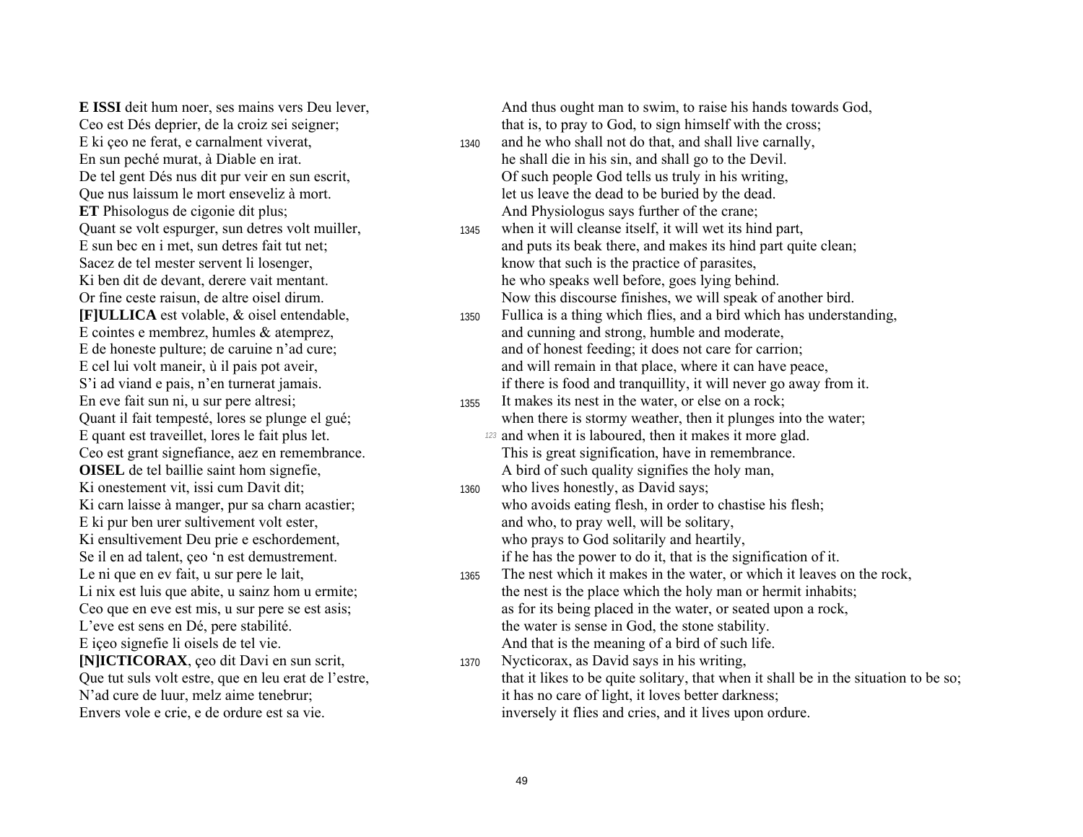**E ISSI** deit hum noer, ses mains vers Deu lever, Ceo est Dés deprier, de la croiz sei seigner; E ki ceo ne ferat, e carnalment viverat, En sun peché murat, à Diable en irat. De tel gent Dés nus dit pur veir en sun escrit, Que nus laissum le mort enseveliz à mort. **ET** Phisologus de cigonie dit plus; Quant se volt espurger, sun detres volt muiller, E sun bec en i met, sun detres fait tut net; Sacez de tel mester servent li losenger, Ki ben dit de devant, derere vait mentant. Or fine ceste raisun, de altre oisel dirum. [F]ULLICA est volable, & oisel entendable, E cointes e membrez, humles  $&$  atemprez. E de honeste pulture; de caruine n'ad cure; E cel lui volt maneir, ù il pais pot aveir, S'i ad viand e pais, n'en turnerat jamais. En eve fait sun ni, u sur pere altresi; Quant il fait tempesté, lores se plunge el gué; E quant est traveillet, lores le fait plus let. Ceo est grant signefiance, aez en remembrance. **OISEL** de tel baillie saint hom signefie, Ki onestement vit, issi cum Davit dit; Ki carn laisse à manger, pur sa charn acastier; E ki pur ben urer sultivement volt ester, Ki ensultivement Deu prie e eschordement, Se il en ad talent, ceo 'n est demustrement. Le ni que en ev fait, u sur pere le lait, Li nix est luis que abite, u sainz hom u ermite; Ceo que en eve est mis, u sur pere se est asis; L'eve est sens en Dé, pere stabilité. E iceo signefie li oisels de tel vie. [N]ICTICORAX, ceo dit Davi en sun scrit, Que tut suls volt estre, que en leu erat de l'estre, N'ad cure de luur, melz aime tenebrur; Envers vole e crie, e de ordure est sa vie.

And thus ought man to swim, to raise his hands towards God, that is, to pray to God, to sign himself with the cross;

- and he who shall not do that, and shall live carnally, 1340 he shall die in his sin, and shall go to the Devil. Of such people God tells us truly in his writing. let us leave the dead to be buried by the dead. And Physiologus says further of the crane;
- when it will cleanse itself, it will wet its hind part, 1345 and puts its beak there, and makes its hind part quite clean; know that such is the practice of parasites. he who speaks well before, goes lying behind. Now this discourse finishes, we will speak of another bird.
- Fullica is a thing which flies, and a bird which has understanding, 1350 and cunning and strong, humble and moderate. and of honest feeding; it does not care for carrion; and will remain in that place, where it can have peace, if there is food and tranquillity, it will never go away from it.
- It makes its nest in the water, or else on a rock; 1355 when there is stormy weather, then it plunges into the water; 123 and when it is laboured, then it makes it more glad.
	- This is great signification, have in remembrance. A bird of such quality signifies the holy man,
- who lives honestly, as David says; 1360 who avoids eating flesh, in order to chastise his flesh; and who, to pray well, will be solitary, who prays to God solitarily and heartily, if he has the power to do it, that is the signification of it.
- The nest which it makes in the water, or which it leaves on the rock, 1365 the nest is the place which the holy man or hermit inhabits; as for its being placed in the water, or seated upon a rock, the water is sense in God, the stone stability. And that is the meaning of a bird of such life.
- Nycticorax, as David says in his writing, 1370 that it likes to be quite solitary, that when it shall be in the situation to be so; it has no care of light, it loves better darkness; inversely it flies and cries, and it lives upon ordure.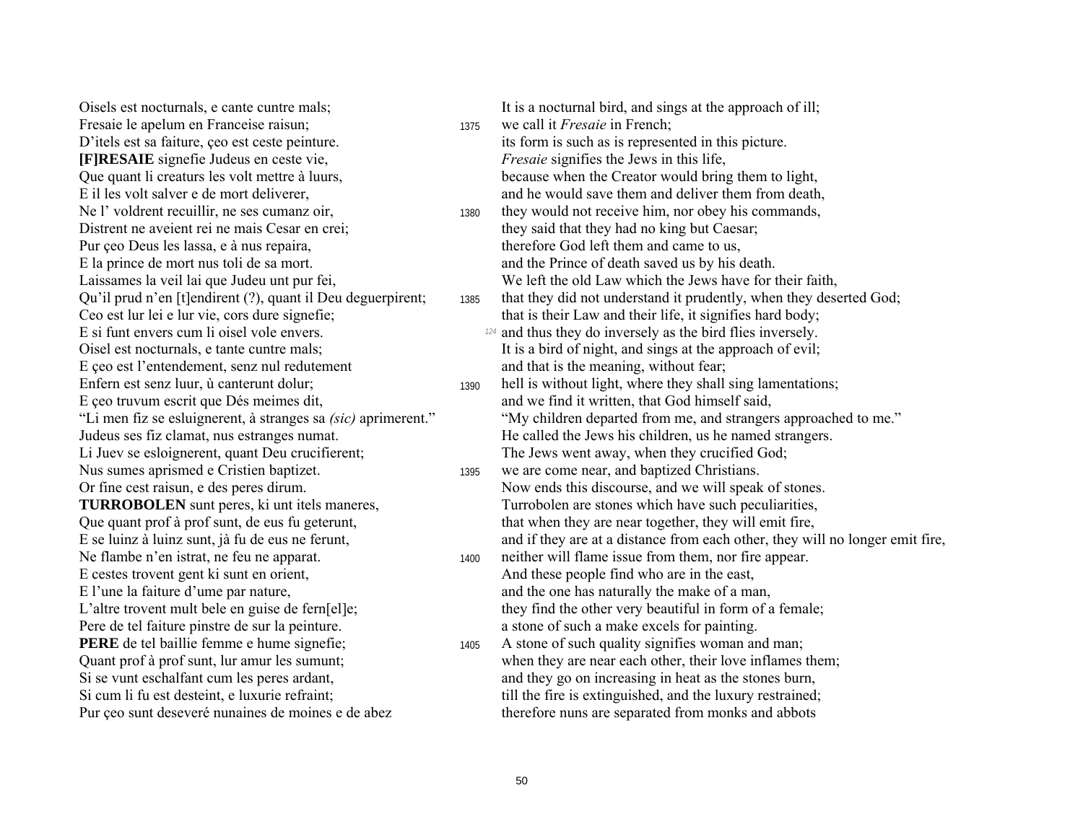Fresaie le apelum en Franceise raisun; <sup>1375</sup> we call it *Fresaie* in French; D'itels est sa faiture, ceo est ceste peinture. its form is such as is represented in this picture. **[F]RESAIE** signefie Judeus en ceste vie, *Fresaie* signifies the Jews in this life, Distrent ne aveient rei ne mais Cesar en crei; they said that they had no king but Caesar; Pur çeo Deus les lassa, e à nus repaira, therefore God left them and came to us, E la prince de mort nus toli de sa mort. and the Prince of death saved us by his death. E ceo est l'entendement, senz nul redutement and that is the meaning, without fear; E ceo truvum escrit que Dés meimes dit, and we find it written, that God himself said, Li Juev se esloignerent, quant Deu crucifierent; The Jews went away, when they crucified God; Nus sumes aprismed e Cristien baptizet. 1395 we are come near, and baptized Christians. E cestes trovent gent ki sunt en orient,<br>
E l'une la faiture d'ume par nature,<br>
And these people find who are in the east,<br>
and the one has naturally the make of a ma Pere de tel faiture pinstre de sur la peinture. A la peinture de sur la peinture de sur la peinture. **PERE** de tel baillie femme e hume signefie; 1405 A stone of such quality signifies woman and man; Pur ceo sunt deseveré nunaines de moines e de abez therefore nuns are separated from monks and abbots

Oisels est nocturnals, e cante cuntre mals; It is a nocturnal bird, and sings at the approach of ill; Que quant li creaturs les volt mettre à luurs, because when the Creator would bring them to light, E il les volt salver e de mort deliverer, and he would save them and deliver them from death, Ne l' voldrent recuillir, ne ses cumanz oir, 1380 they would not receive him, nor obey his commands, Laissames la veil lai que Judeu unt pur fei, We left the old Law which the Jews have for their faith, Qu'il prud n'en [t]endirent (?), quant il Deu deguerpirent; 1385 that they did not understand it prudently, when they deserted God; Ceo est lur lei e lur vie, cors dure signefie; that is their Law and their life, it signifies hard body; E si funt envers cum li oisel vole envers. *124* and thus they do inversely as the bird flies inversely. Oisel est nocturnals, e tante cuntre mals; It is a bird of night, and sings at the approach of evil; Enfern est senz luur, ù canterunt dolur; 1390 hell is without light, where they shall sing lamentations; "Li men fiz se esluignerent, à stranges sa *(sic)* aprimerent." "My children departed from me, and strangers approached to me." Judeus ses fiz clamat, nus estranges numat. He called the Jews his children, us he named strangers. Or fine cest raisun, e des peres dirum. Now ends this discourse, and we will speak of stones. **TURROBOLEN** sunt peres, ki unt itels maneres, Turrobolen are stones which have such peculiarities, Que quant prof à prof sunt, de eus fu geterunt, that when they are near together, they will emit fire, E se luinz à luinz sunt, jà fu de eus ne ferunt, and if they are at a distance from each other, they will no longer emit fire, Ne flambe n'en istrat, ne feu ne apparat. 1400 neither will flame issue from them, nor fire appear. and the one has naturally the make of a man, L'altre trovent mult bele en guise de fern[el]e; they find the other very beautiful in form of a female; Quant prof à prof sunt, lur amur les sumunt; when they are near each other, their love inflames them; Si se vunt eschalfant cum les peres ardant, and they go on increasing in heat as the stones burn, Si cum li fu est desteint, e luxurie refraint; till the fire is extinguished, and the luxury restrained;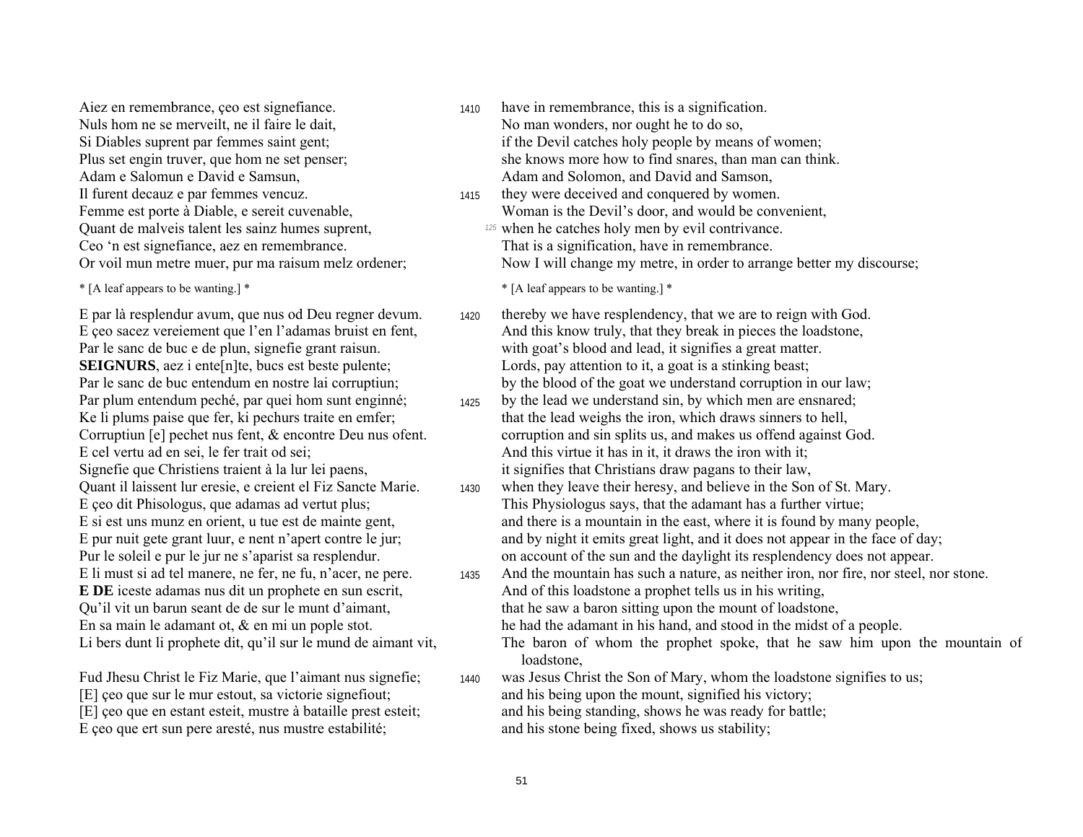Aiez en remembrance, ceo est signefiance. 1410 have in remembrance, this is a signification. Nuls hom ne se merveilt, ne il faire le dait, No man wonders, nor ought he to do so, Il furent decauz e par femmes vencuz. <sup>1415</sup> they were deceived and conquered by women. Quant de malveis talent les sainz humes suprent, *125* when he catches holy men by evil contrivance. Ceo ën est signefiance, aez en remembrance. That is a signification, have in remembrance.

**SEIGNURS**, aez i ente[n]te, bucs est beste pulente; Lords, pay attention to it, a goat is a stinking beast; E cel vertu ad en sei, le fer trait od sei; And this virtue it has in it, it draws the iron with it; Signefie que Christiens traient à la lur lei paens, it signifies that Christians draw pagans to their law, Qu'il vit un barun seant de de sur le munt d'aimant, that he saw a baron sitting upon the mount of loadstone, En sa main le adamant ot,  $\&$  en mi un pople stot. he had the adamant in his hand, and stood in the midst of a people.

E ceo que ert sun pere aresté, nus mustre estabilité; and his stone being fixed, shows us stability;

- Si Diables suprent par femmes saint gent:<br>if the Devil catches holy people by means of women; Plus set engin truver, que hom ne set penser; she knows more how to find snares, than man can think. Adam e Salomun e David e Samsun, Adam and Solomon, and David and Samson,
- Femme est porte à Diable, e sereit cuvenable, Woman is the Devil's door, and would be convenient,
- Or voil mun metre muer, pur ma raisum melz ordener; Now I will change my metre, in order to arrange better my discourse;

\* [A leaf appears to be wanting.] \* \* [A leaf appears to be wanting.] \*

- E par là resplendur avum, que nus od Deu regner devum. 1420 thereby we have resplendency, that we are to reign with God. E ceo sacez vereiement que l'en l'adamas bruist en fent, And this know truly, that they break in pieces the loadstone, Par le sanc de buc e de plun, signefie grant raisun. with goat's blood and lead, it signifies a great matter. Par le sanc de buc entendum en nostre lai corruptiun; by the blood of the goat we understand corruption in our law;
- Par plum entendum peché, par quei hom sunt enginné; by the lead we understand sin, by which men are ensnared;<br>Ke li plums paise que fer, ki pechurs traite en emfer; that the lead weighs the iron, which draws sinners to hel that the lead weighs the iron, which draws sinners to hell, Corruptiun [e] pechet nus fent, & encontre Deu nus ofent. corruption and sin splits us, and makes us offend against God.
- Quant il laissent lur eresie, e creient el Fiz Sancte Marie. <sup>1430</sup> when they leave their heresy, and believe in the Son of St. Mary. E çeo dit Phisologus, que adamas ad vertut plus; This Physiologus says, that the adamant has a further virtue; E si est uns munz en orient, u tue est de mainte gent, and there is a mountain in the east, where it is found by many people, E pur nuit gete grant luur, e nent n'apert contre le jur; and by night it emits great light, and it does not appear in the face of day; Pur le soleil e pur le jur ne s'aparist sa resplendur.  $\blacksquare$  on account of the sun and the daylight its resplendency does not appear.
- E li must si ad tel manere, ne fer, ne fu, n'acer, ne pere.  $\frac{1435}{435}$  And the mountain has such a nature, as neither iron, nor fire, nor steel, nor stone. **E DE** iceste adamas nus dit un prophete en sun escrit, And of this loadstone a prophet tells us in his writing,
	-
	-
- Li bers dunt li prophete dit, qu'il sur le mund de aimant vit, The baron of whom the prophet spoke, that he saw him upon the mountain of loadstone,
- Fud Jhesu Christ le Fiz Marie, que l'aimant nus signefie;  $_{1440}$  was Jesus Christ the Son of Mary, whom the loadstone signifies to us; [E] ceo que sur le mur estout, sa victorie signefiout; and his being upon the mount, signified his victory; [E] ceo que en estant esteit, mustre à bataille prest esteit; and his being standing, shows he was ready for battle;
	-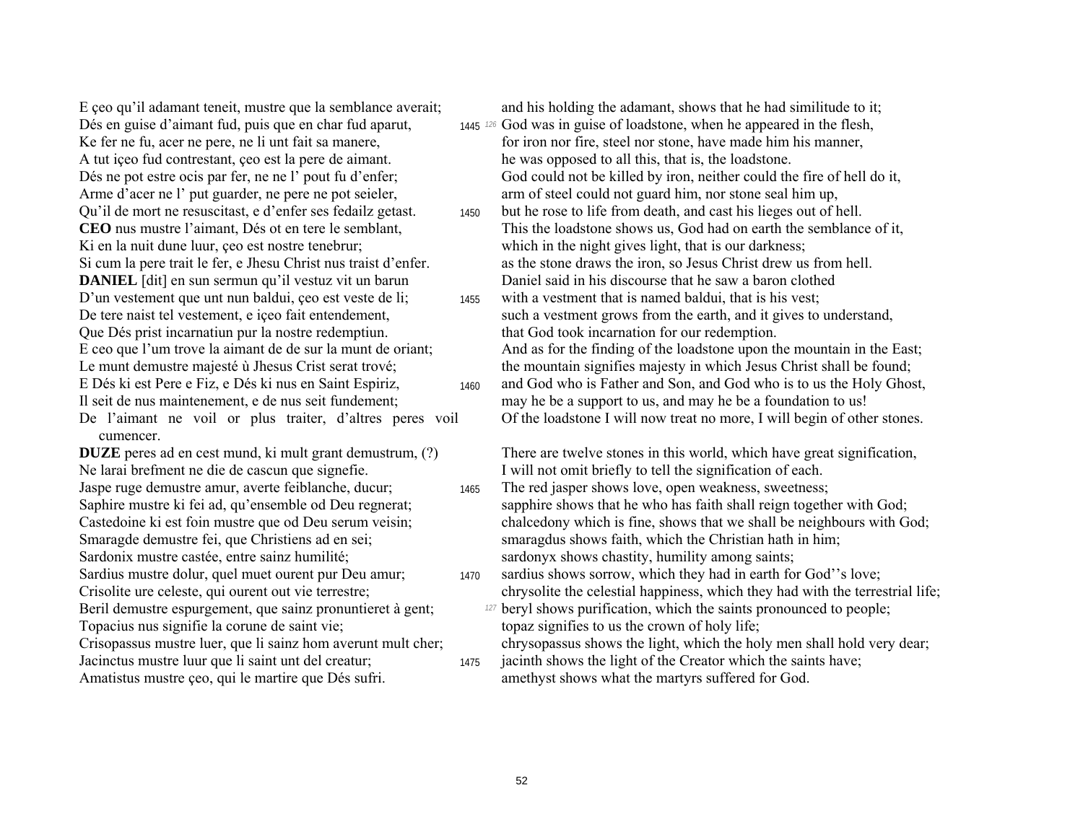A tut içeo fud contrestant, ceo est la pere de aimant. he was opposed to all this, that is, the loadstone. Arme d'acer ne l' put guarder, ne pere ne pot seieler, annot steel could not guard him, nor stone seal him up, Ki en la nuit dune luur, çeo est nostre tenebrur; which in the night gives light, that is our darkness; D'un vestement que unt nun baldui, ceo est veste de li;  $_{1455}$  with a vestment that is named baldui, that is his vest; Que DÈs prist incarnatiun pur la nostre redemptiun. that God took incarnation for our redemption.

De l'aimant ne voil or plus traiter, d'altres peres voil cumencer.

Ne larai brefment ne die de cascun que signefie. I will not omit briefly to tell the signification of each. Jaspe ruge demustre amur, averte feiblanche, ducur; <sup>1465</sup> The red jasper shows love, open weakness, sweetness; Sardonix mustre castée, entre sainz humilité; sardonyx shows chastity, humility among saints; Beril demustre espurgement, que sainz pronuntieret à gent; *<sup>127</sup>* beryl shows purification, which the saints pronounced to people; Topacius nus signifie la corune de saint vie; the corresponding topaz signifies to us the crown of holy life; Crisopassus mustre luer, que li sainz hom averunt mult cher; chrysopassus shows the light, which the holy men shall hold very dear; Jacinctus mustre luur que li saint unt del creatur; 1475 jacinth shows the light of the Creator which the saints have;

E ceo qu'il adamant teneit, mustre que la semblance averait; and his holding the adamant, shows that he had similitude to it;

- Dés en guise d'aimant fud, puis que en char fud aparut, 1445 <sup>126</sup> God was in guise of loadstone, when he appeared in the flesh, Ke fer ne fu, acer ne pere, ne li unt fait sa manere, for iron nor fire, steel nor stone, have made him his manner, Dés ne pot estre ocis par fer, ne ne l' pout fu d'enfer; God could not be killed by iron, neither could the fire of hell do it,
- Qu'il de mort ne resuscitast, e d'enfer ses fedailz getast. 1450 but he rose to life from death, and cast his lieges out of hell. **CEO** nus mustre l'aimant, Dés ot en tere le semblant, This the loadstone shows us, God had on earth the semblance of it, Si cum la pere trait le fer, e Jhesu Christ nus traist d'enfer. as the stone draws the iron, so Jesus Christ drew us from hell. **DANIEL** [dit] en sun sermun qu'il vestuz vit un barun Daniel said in his discourse that he saw a baron clothed
- De tere naist tel vestement, e içeo fait entendement, such a vestment grows from the earth, and it gives to understand, E ceo que l'um trove la aimant de de sur la munt de oriant;<br>And as for the finding of the loadstone upon the mountain in the East; Le munt demustre majesté ù Jhesus Crist serat trové; the mountain signifies majesty in which Jesus Christ shall be found; E DÈs ki est Pere e Fiz, e DÈs ki nus en Saint Espiriz, <sup>1460</sup> and God who is Father and Son, and God who is to us the Holy Ghost, Il seit de nus maintenement, e de nus seit fundement; may he be a support to us, and may he be a foundation to us! Of the loadstone I will now treat no more, I will begin of other stones.

**DUZE** peres ad en cest mund, ki mult grant demustrum, (?) There are twelve stones in this world, which have great signification,

- Saphire mustre ki fei ad, qu'ensemble od Deu regnerat; sapphire shows that he who has faith shall reign together with God; Castedoine ki est foin mustre que od Deu serum veisin; chalcedony which is fine, shows that we shall be neighbours with God; Smaragde demustre fei, que Christiens ad en sei; smaragdus shows faith, which the Christian hath in him;
- Sardius mustre dolur, quel muet ourent pur Deu amur; 1470 sardius shows sorrow, which they had in earth for God''s love; Crisolite ure celeste, qui ourent out vie terrestre; chrysolite the celestial happiness, which they had with the terrestrial life;
	-
	-
- Amatistus mustre ceo, qui le martire que Dés sufri. amethyst shows what the martyrs suffered for God.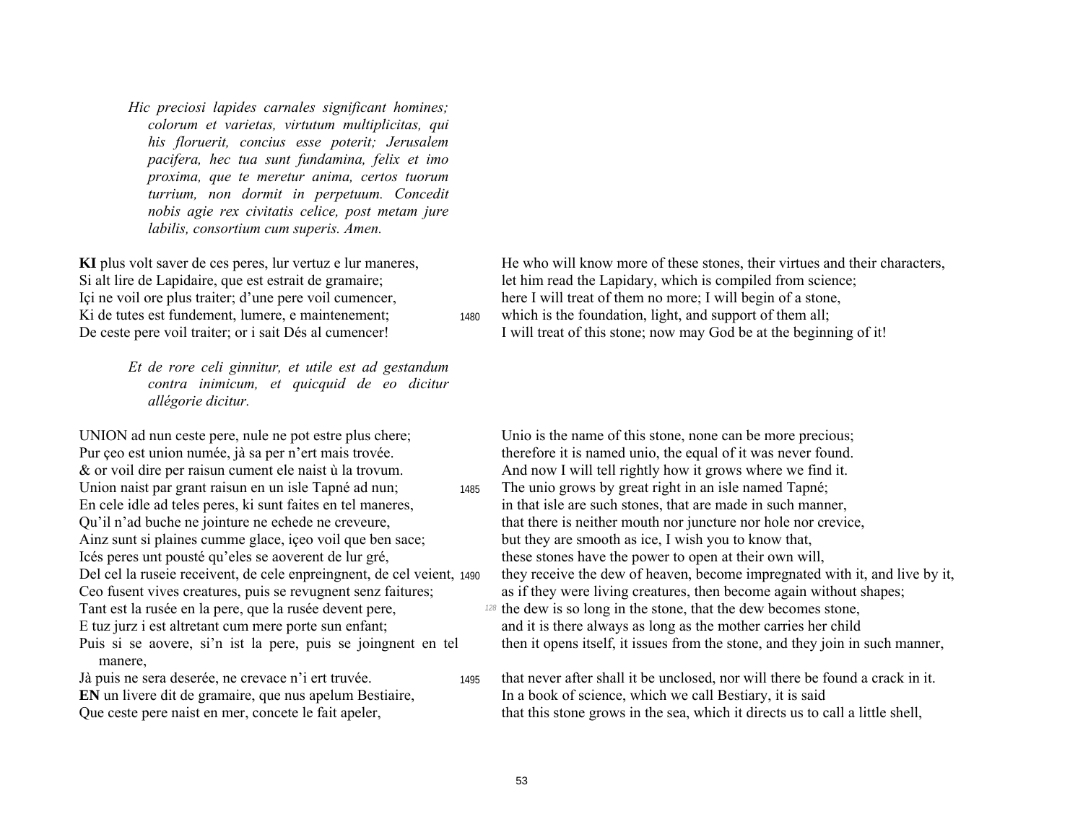*Hic preciosi lapides carnales significant homines; colorum et varietas, virtutum multiplicitas, qui his floruerit, concius esse poterit; Jerusalem pacifera, hec tua sunt fundamina, felix et imo proxima, que te meretur anima, certos tuorum turrium, non dormit in perpetuum. Concedit nobis agie rex civitatis celice, post metam jure labilis, consortium cum superis. Amen.* 

*Et de rore celi ginnitur, et utile est ad gestandum contra inimicum, et quicquid de eo dicitur allÈgorie dicitur.* 

UNION ad nun ceste pere, nule ne pot estre plus chere; Unio is the name of this stone, none can be more precious; Pur ceo est union numée, jà sa per n'ert mais trovée. therefore it is named unio, the equal of it was never found. & or voil dire per raisun cument ele naist ù la trovum. And now I will tell rightly how it grows where we find it. Union naist par grant raisun en un isle Tapné ad nun; 1485 The unio grows by great right in an isle named Tapné; En cele idle ad teles peres, ki sunt faites en tel maneres, in that isle are such stones, that are made in such manner, Ainz sunt si plaines cumme glace, içeo voil que ben sace; but they are smooth as ice, I wish you to know that, Icés peres unt pousté qu'eles se aoverent de lur gré, these stones have the power to open at their own will, Ceo fusent vives creatures, puis se revugnent senz faitures; as if they were living creatures, then become again without shapes; Tant est la rusée en la pere, que la rusée devent pere, *128* the dew is so long in the stone, that the dew becomes stone, E tuz jurz i est altretant cum mere porte sun enfant; and it is there always as long as the mother carries her child Puis si se aovere, si'n ist la pere, puis se joingnent en tel manere,

**KI** plus volt saver de ces peres, lur vertuz e lur maneres,<br>Si alt lire de Lapidaire, que est estrait de gramaire;<br>let him read the Lapidary, which is compiled from science; Si alt lire de Lapidaire, que est estrait de gramaire; let him read the Lapidary, which is compiled from science;<br>
Ici ne voil ore plus traiter; d'une pere voil cumencer, here I will treat of them no more; I will begin of here I will treat of them no more; I will begin of a stone, Ki de tutes est fundement, lumere, e maintenement; 1480 which is the foundation, light, and support of them all;

De ceste pere voil traiter; or i sait Dés al cumencer! I will treat of this stone; now may God be at the beginning of it!

- Qu'il n'ad buche ne jointure ne echede ne creveure, that there is neither mouth nor juncture nor hole nor crevice, Del cel la ruseie receivent, de cele enpreingnent, de cel veient, 1490 they receive the dew of heaven, become impregnated with it, and live by it,
	- then it opens itself, it issues from the stone, and they join in such manner,
- Jà puis ne sera deserée, ne crevace n'i ert truvée. <sub>1495</sub> that never after shall it be unclosed, nor will there be found a crack in it. **EN** un livere dit de gramaire, que nus apelum Bestiaire, In a book of science, which we call Bestiary, it is said Que ceste pere naist en mer, concete le fait apeler, that this stone grows in the sea, which it directs us to call a little shell,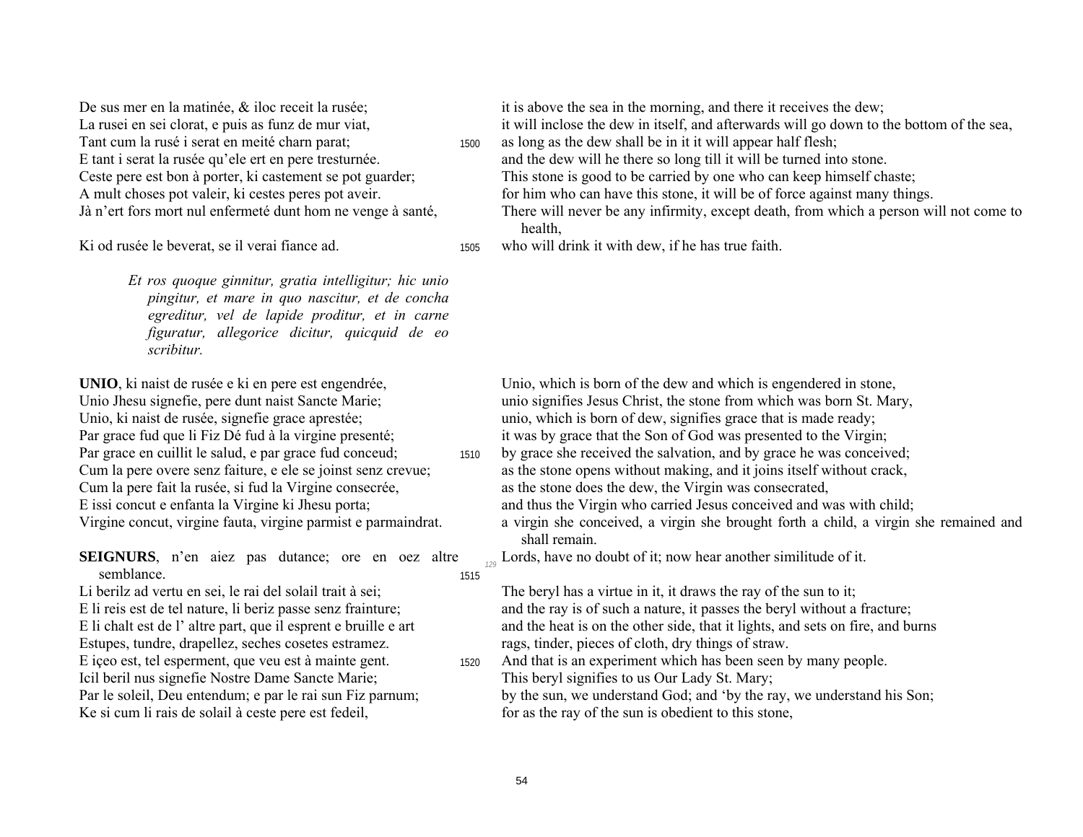De sus mer en la matinée, & iloc receit la rusée; La rusei en sei clorat, e puis as funz de mur viat, Tant cum la rusé i serat en meité charn parat; E tant i serat la rusée qu'ele ert en pere tresturnée. Ceste pere est bon à porter, ki castement se pot guarder; A mult choses pot valeir, ki cestes peres pot aveir. Jà n'ert fors mort nul enfermeté dunt hom ne venge à santé,

Ki od rusée le beverat, se il verai fiance ad.

Et ros quoque ginnitur, gratia intelligitur; hic unio pingitur, et mare in quo nascitur, et de concha egreditur, vel de lapide proditur, et in carne figuratur, allegorice dicitur, quicquid de eo scribitur.

UNIO, ki naist de rusée e ki en pere est engendrée. Unio Jhesu signefie, pere dunt naist Sancte Marie; Unio, ki naist de rusée, signefie grace aprestée; Par grace fud que li Fiz Dé fud à la virgine presenté; Par grace en cuillit le salud, e par grace fud conceud; Cum la pere overe senz faiture, e ele se joinst senz crevue; Cum la pere fait la rusée, si fud la Virgine consecrée, E issi concut e enfanta la Virgine ki Jhesu porta; Virgine concut, virgine fauta, virgine parmist e parmaindrat.

**SEIGNURS**, n'en aiez pas dutance; ore en oez altre semblance. 1515

Li berilz ad vertu en sei. le rai del solail trait à sei: E li reis est de tel nature, li beriz passe senz frainture; E li chalt est de l'altre part, que il esprent e bruille e art Estupes, tundre, drapellez, seches cosetes estramez. E içeo est, tel esperment, que veu est à mainte gent. Icil beril nus signefie Nostre Dame Sancte Marie; Par le soleil, Deu entendum; e par le rai sun Fiz parnum; Ke si cum li rais de solail à ceste pere est fedeil,

it is above the sea in the morning, and there it receives the dew;

it will inclose the dew in itself, and afterwards will go down to the bottom of the sea.

as long as the dew shall be in it it will appear half flesh; 1500 and the dew will he there so long till it will be turned into stone. This stone is good to be carried by one who can keep himself chaste;

for him who can have this stone, it will be of force against many things.

- There will never be any infirmity, except death, from which a person will not come to health,
- who will drink it with dew, if he has true faith. 1505

Unio, which is born of the dew and which is engendered in stone. unio signifies Jesus Christ, the stone from which was born St. Mary, unio, which is born of dew, signifies grace that is made ready; it was by grace that the Son of God was presented to the Virgin;

- by grace she received the salvation, and by grace he was conceived; 1510 as the stone opens without making, and it joins itself without crack, as the stone does the dew, the Virgin was consecrated,
	- and thus the Virgin who carried Jesus conceived and was with child;
	- a virgin she conceived, a virgin she brought forth a child, a virgin she remained and shall remain.

Lords, have no doubt of it; now hear another similitude of it.

The beryl has a virtue in it, it draws the ray of the sun to it; and the ray is of such a nature, it passes the beryl without a fracture; and the heat is on the other side, that it lights, and sets on fire, and burns rags, tinder, pieces of cloth, dry things of straw.

- And that is an experiment which has been seen by many people. 1520 This beryl signifies to us Our Lady St. Mary; by the sun, we understand God; and 'by the ray, we understand his Son;
	- for as the ray of the sun is obedient to this stone.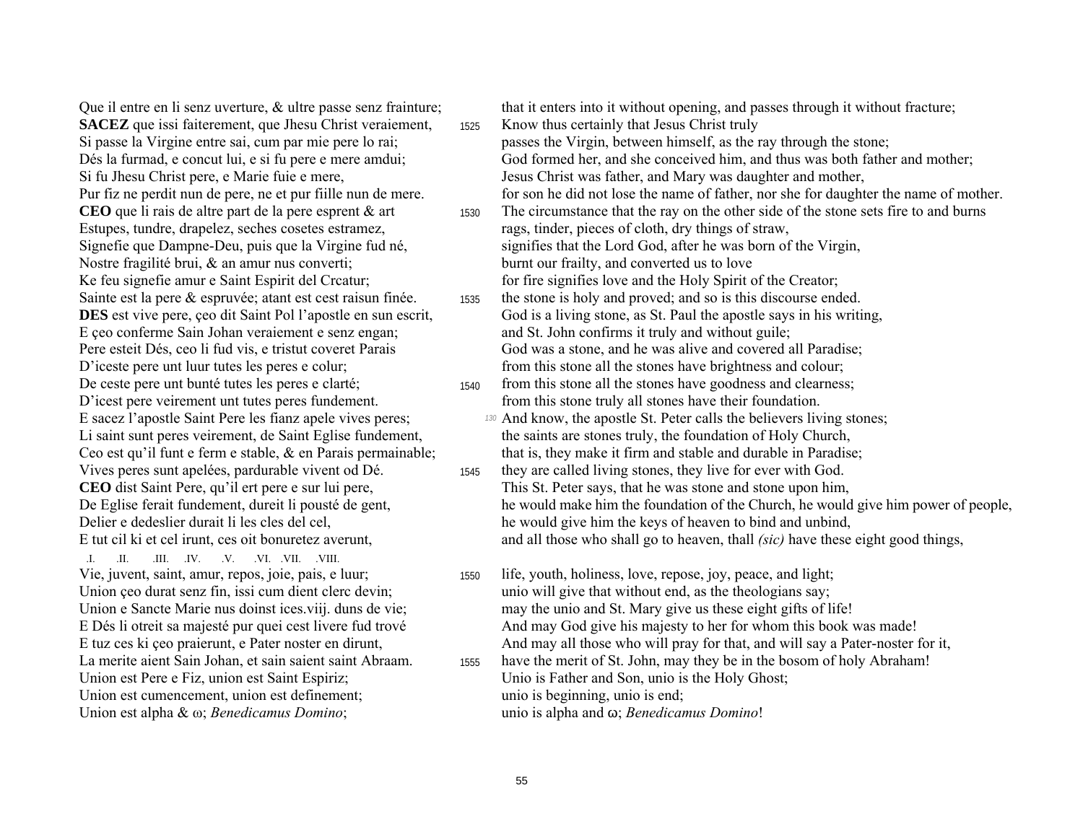Oue il entre en li senz uverture, & ultre passe senz frainture; **SACEZ** que issi faiterement, que Jhesu Christ veraiement, Si passe la Virgine entre sai, cum par mie pere lo rai; Dés la furmad, e concut lui, e si fu pere e mere amdui; Si fu Jhesu Christ pere, e Marie fuie e mere, Pur fiz ne perdit nun de pere, ne et pur fiille nun de mere. CEO que li rais de altre part de la pere esprent  $\&$  art Estupes, tundre, drapelez, seches cosetes estramez, Signefie que Dampne-Deu, puis que la Virgine fud né, Nostre fragilité brui, & an amur nus converti; Ke feu signefie amur e Saint Espirit del Creatur; Sainte est la pere & espruvée; atant est cest raisun finée. **DES** est vive pere, ceo dit Saint Pol l'apostle en sun escrit, E ceo conferme Sain Johan veraiement e senz engan: Pere esteit Dés, ceo li fud vis, e tristut coveret Parais D'iceste pere unt luur tutes les peres e colur; De ceste pere unt bunté tutes les peres e clarté; D'icest pere veirement unt tutes peres fundement. E sacez l'apostle Saint Pere les fianz apele vives peres; Li saint sunt peres veirement, de Saint Eglise fundement, Ceo est qu'il funt e ferm e stable, & en Parais permainable; Vives peres sunt apelées, pardurable vivent od Dé. CEO dist Saint Pere, qu'il ert pere e sur lui pere, De Eglise ferait fundement, dureit li pousté de gent, Delier e dedeslier durait li les cles del cel. E tut cil ki et cel irunt, ces oit bonuretez averunt,

 $\mathbf{H} = -\mathbf{H}$ .III. .IV. .V. .VI. .VII. .VIII. Vie, juvent, saint, amur, repos, joie, pais, e luur; Union çeo durat senz fin, issi cum dient clerc devin; Union e Sancte Marie nus doinst ices.viij. duns de vie; E Dés li otreit sa majesté pur quei cest livere fud trové E tuz ces ki ceo praierunt, e Pater noster en dirunt, La merite aient Sain Johan, et sain saient saint Abraam. Union est Pere e Fiz, union est Saint Espiriz; Union est cumencement, union est definement; Union est alpha &  $\omega$ ; *Benedicamus Domino*;

that it enters into it without opening, and passes through it without fracture; Know thus certainly that Jesus Christ truly 1525 passes the Virgin, between himself, as the ray through the stone; God formed her, and she conceived him, and thus was both father and mother; Jesus Christ was father, and Mary was daughter and mother, for son he did not lose the name of father, nor she for daughter the name of mother. The circumstance that the ray on the other side of the stone sets fire to and burns 1530 rags, tinder, pieces of cloth, dry things of straw, signifies that the Lord God, after he was born of the Virgin, burnt our frailty, and converted us to love for fire signifies love and the Holy Spirit of the Creator; the stone is holy and proved; and so is this discourse ended. 1535 God is a living stone, as St. Paul the apostle says in his writing, and St. John confirms it truly and without guile:

God was a stone, and he was alive and covered all Paradise; from this stone all the stones have brightness and colour;

- from this stone all the stones have goodness and clearness; 1540 from this stone truly all stones have their foundation.
	- 130 And know, the apostle St. Peter calls the believers living stones; the saints are stones truly, the foundation of Holy Church, that is, they make it firm and stable and durable in Paradise;
- they are called living stones, they live for ever with God. 1545 This St. Peter says, that he was stone and stone upon him, he would make him the foundation of the Church, he would give him power of people. he would give him the keys of heaven to bind and unbind. and all those who shall go to heaven, thall *(sic)* have these eight good things,
- life, youth, holiness, love, repose, joy, peace, and light; 1550 unio will give that without end, as the theologians say; may the unio and St. Mary give us these eight gifts of life! And may God give his majesty to her for whom this book was made! And may all those who will pray for that, and will say a Pater-noster for it,
- have the merit of St. John, may they be in the bosom of holy Abraham! 1555 Unio is Father and Son, unio is the Holy Ghost; unio is beginning, unio is end; unio is alpha and  $\omega$ ; *Benedicamus Domino!*